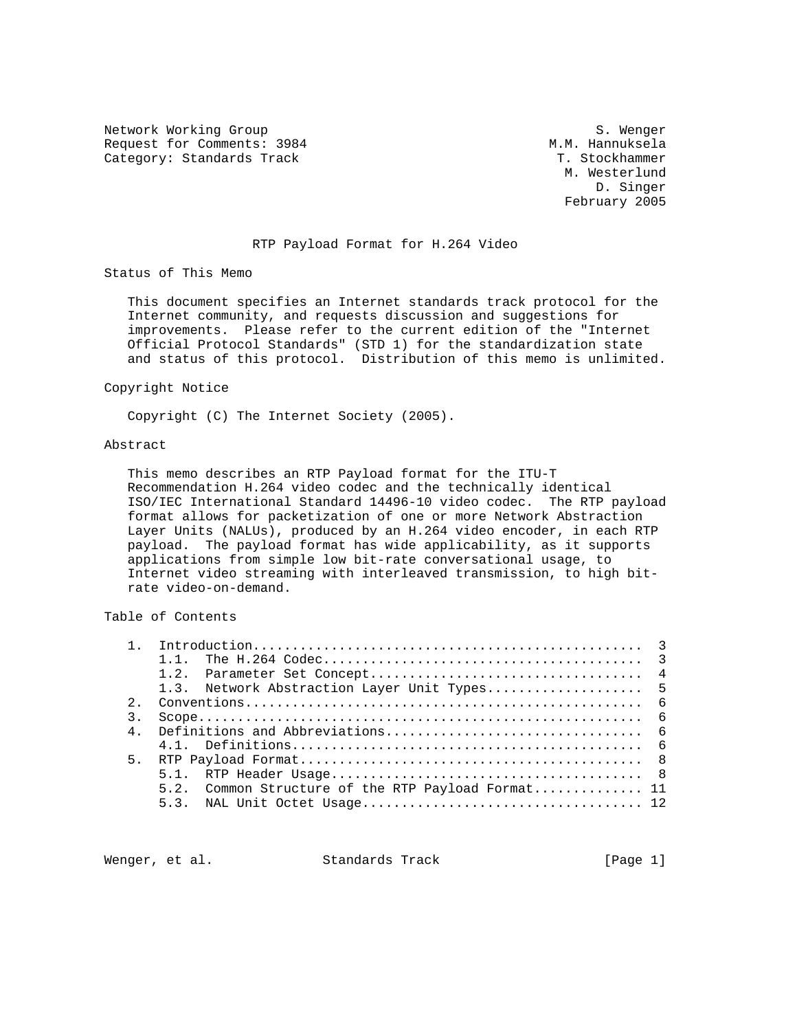Network Working Group S. Wenger<br>Request for Comments: 3984 Sequest M.M. Hannuksela Request for Comments: 3984 M.M. Hannuksela<br>Category: Standards Track M.M. Hannuksela Category: Standards Track

 M. Westerlund D. Singer February 2005

### RTP Payload Format for H.264 Video

Status of This Memo

 This document specifies an Internet standards track protocol for the Internet community, and requests discussion and suggestions for improvements. Please refer to the current edition of the "Internet Official Protocol Standards" (STD 1) for the standardization state and status of this protocol. Distribution of this memo is unlimited.

#### Copyright Notice

Copyright (C) The Internet Society (2005).

## Abstract

 This memo describes an RTP Payload format for the ITU-T Recommendation H.264 video codec and the technically identical ISO/IEC International Standard 14496-10 video codec. The RTP payload format allows for packetization of one or more Network Abstraction Layer Units (NALUs), produced by an H.264 video encoder, in each RTP payload. The payload format has wide applicability, as it supports applications from simple low bit-rate conversational usage, to Internet video streaming with interleaved transmission, to high bit rate video-on-demand.

## Table of Contents

|  | $1\quad1$                                          |
|--|----------------------------------------------------|
|  |                                                    |
|  | 1.3. Network Abstraction Layer Unit Types 5        |
|  |                                                    |
|  |                                                    |
|  |                                                    |
|  |                                                    |
|  |                                                    |
|  |                                                    |
|  | 5.2. Common Structure of the RTP Payload Format 11 |
|  |                                                    |
|  |                                                    |

Wenger, et al. Standards Track [Page 1]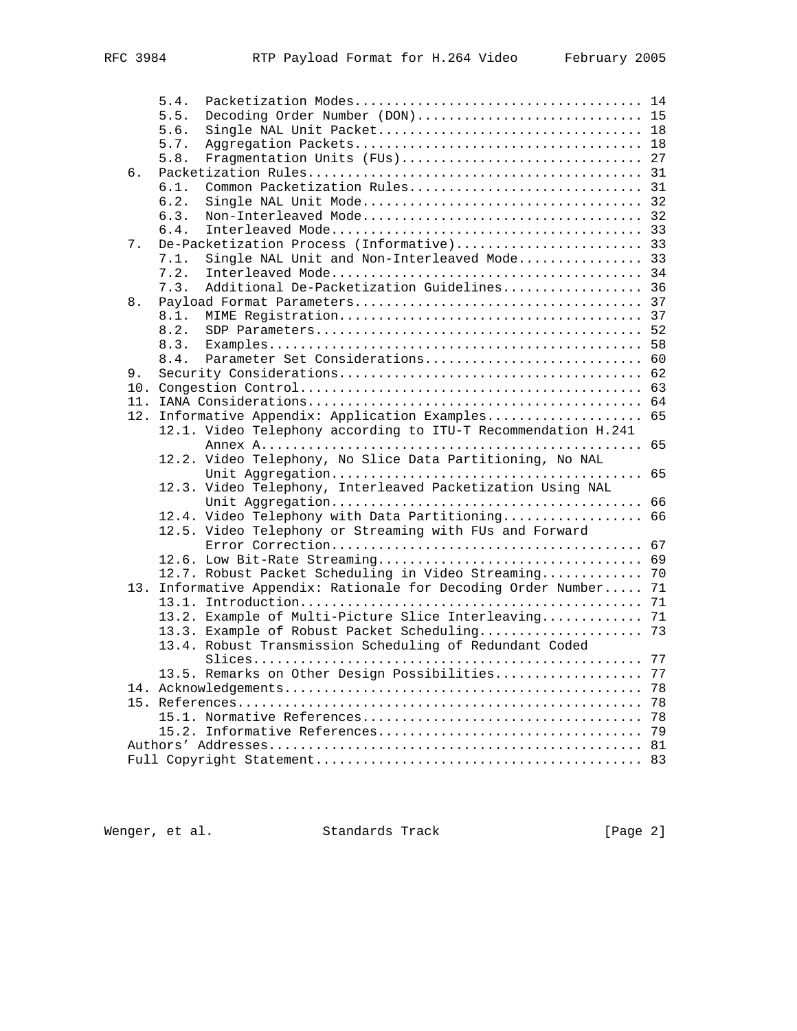|    | 5.4. |                                                               |    |
|----|------|---------------------------------------------------------------|----|
|    | 5.5. | Decoding Order Number (DON) 15                                |    |
|    | 5.6. |                                                               |    |
|    | 5.7. |                                                               |    |
|    | 5.8. | Fragmentation Units (FUs) 27                                  |    |
| б. |      |                                                               |    |
|    | 6.1. |                                                               |    |
|    | 6.2. |                                                               |    |
|    | 6.3. |                                                               |    |
|    | 6.4. |                                                               |    |
| 7. |      |                                                               |    |
|    | 7.1. | Single NAL Unit and Non-Interleaved Mode 33                   |    |
|    | 7.2. |                                                               |    |
|    | 7.3. | Additional De-Packetization Guidelines 36                     |    |
| 8. |      |                                                               |    |
|    | 8.1. |                                                               |    |
|    | 8.2. |                                                               |    |
|    | 8.3. |                                                               | 58 |
|    | 8.4. |                                                               |    |
| 9. |      |                                                               |    |
|    |      |                                                               | 63 |
|    |      |                                                               |    |
|    |      | 12. Informative Appendix: Application Examples                | 65 |
|    |      | 12.1. Video Telephony according to ITU-T Recommendation H.241 |    |
|    |      |                                                               | 65 |
|    |      | 12.2. Video Telephony, No Slice Data Partitioning, No NAL     |    |
|    |      |                                                               | 65 |
|    |      | 12.3. Video Telephony, Interleaved Packetization Using NAL    |    |
|    |      |                                                               | 66 |
|    |      | 12.4. Video Telephony with Data Partitioning                  | 66 |
|    |      | 12.5. Video Telephony or Streaming with FUs and Forward       |    |
|    |      |                                                               | 67 |
|    |      |                                                               | 69 |
|    |      | 12.7. Robust Packet Scheduling in Video Streaming             | 70 |
|    |      | 13. Informative Appendix: Rationale for Decoding Order Number | 71 |
|    |      |                                                               | 71 |
|    |      | 13.2. Example of Multi-Picture Slice Interleaving             | 71 |
|    |      | 13.3. Example of Robust Packet Scheduling 73                  |    |
|    |      | 13.4. Robust Transmission Scheduling of Redundant Coded       |    |
|    |      |                                                               | 77 |
|    |      | 13.5. Remarks on Other Design Possibilities                   | 77 |
|    |      |                                                               | 78 |
|    |      |                                                               | 78 |
|    |      |                                                               | 78 |
|    |      |                                                               | 79 |
|    |      |                                                               |    |
|    |      |                                                               |    |
|    |      |                                                               |    |

Wenger, et al. Standards Track [Page 2]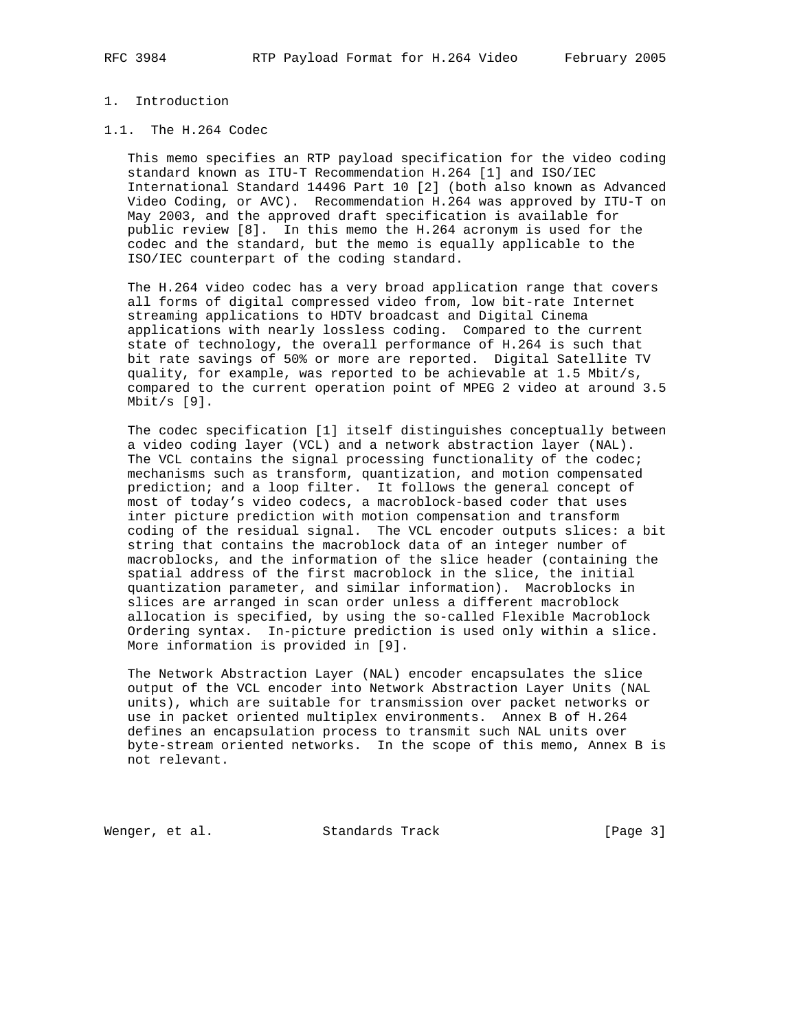## 1. Introduction

## 1.1. The H.264 Codec

 This memo specifies an RTP payload specification for the video coding standard known as ITU-T Recommendation H.264 [1] and ISO/IEC International Standard 14496 Part 10 [2] (both also known as Advanced Video Coding, or AVC). Recommendation H.264 was approved by ITU-T on May 2003, and the approved draft specification is available for public review [8]. In this memo the H.264 acronym is used for the codec and the standard, but the memo is equally applicable to the ISO/IEC counterpart of the coding standard.

 The H.264 video codec has a very broad application range that covers all forms of digital compressed video from, low bit-rate Internet streaming applications to HDTV broadcast and Digital Cinema applications with nearly lossless coding. Compared to the current state of technology, the overall performance of H.264 is such that bit rate savings of 50% or more are reported. Digital Satellite TV quality, for example, was reported to be achievable at 1.5 Mbit/s, compared to the current operation point of MPEG 2 video at around 3.5 Mbit/s [9].

 The codec specification [1] itself distinguishes conceptually between a video coding layer (VCL) and a network abstraction layer (NAL). The VCL contains the signal processing functionality of the codec; mechanisms such as transform, quantization, and motion compensated prediction; and a loop filter. It follows the general concept of most of today's video codecs, a macroblock-based coder that uses inter picture prediction with motion compensation and transform coding of the residual signal. The VCL encoder outputs slices: a bit string that contains the macroblock data of an integer number of macroblocks, and the information of the slice header (containing the spatial address of the first macroblock in the slice, the initial quantization parameter, and similar information). Macroblocks in slices are arranged in scan order unless a different macroblock allocation is specified, by using the so-called Flexible Macroblock Ordering syntax. In-picture prediction is used only within a slice. More information is provided in [9].

 The Network Abstraction Layer (NAL) encoder encapsulates the slice output of the VCL encoder into Network Abstraction Layer Units (NAL units), which are suitable for transmission over packet networks or use in packet oriented multiplex environments. Annex B of H.264 defines an encapsulation process to transmit such NAL units over byte-stream oriented networks. In the scope of this memo, Annex B is not relevant.

Wenger, et al. Standards Track [Page 3]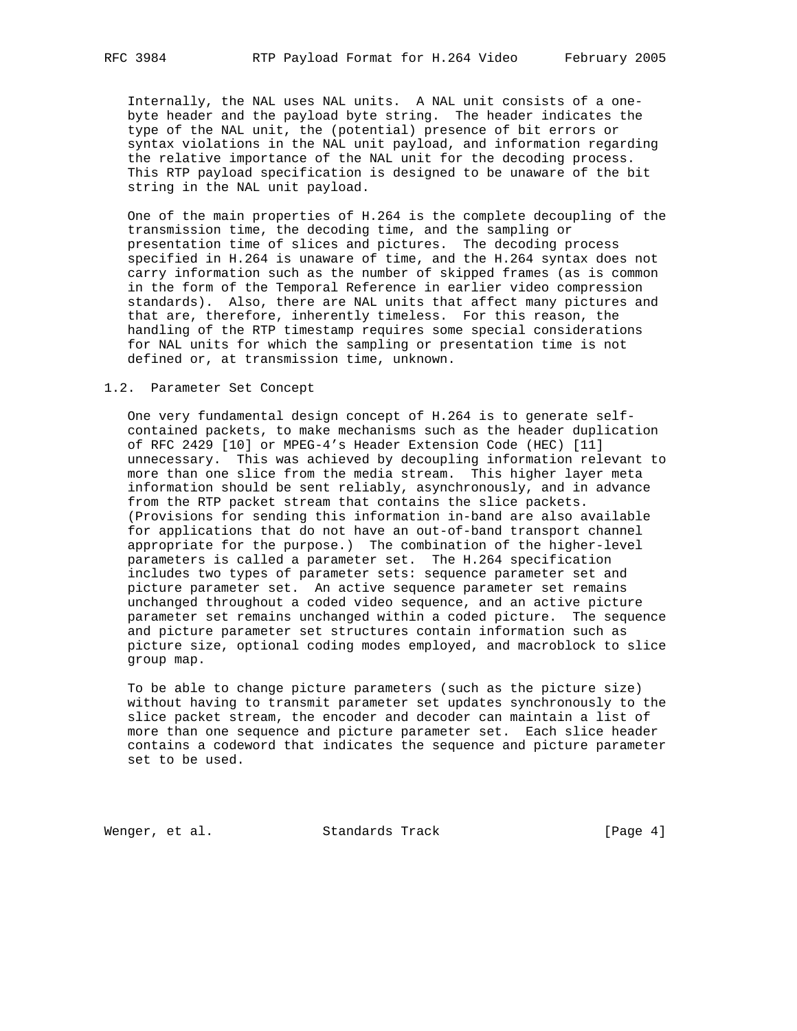Internally, the NAL uses NAL units. A NAL unit consists of a one byte header and the payload byte string. The header indicates the type of the NAL unit, the (potential) presence of bit errors or syntax violations in the NAL unit payload, and information regarding the relative importance of the NAL unit for the decoding process. This RTP payload specification is designed to be unaware of the bit string in the NAL unit payload.

 One of the main properties of H.264 is the complete decoupling of the transmission time, the decoding time, and the sampling or presentation time of slices and pictures. The decoding process specified in H.264 is unaware of time, and the H.264 syntax does not carry information such as the number of skipped frames (as is common in the form of the Temporal Reference in earlier video compression standards). Also, there are NAL units that affect many pictures and that are, therefore, inherently timeless. For this reason, the handling of the RTP timestamp requires some special considerations for NAL units for which the sampling or presentation time is not defined or, at transmission time, unknown.

#### 1.2. Parameter Set Concept

 One very fundamental design concept of H.264 is to generate self contained packets, to make mechanisms such as the header duplication of RFC 2429 [10] or MPEG-4's Header Extension Code (HEC) [11] unnecessary. This was achieved by decoupling information relevant to more than one slice from the media stream. This higher layer meta information should be sent reliably, asynchronously, and in advance from the RTP packet stream that contains the slice packets. (Provisions for sending this information in-band are also available for applications that do not have an out-of-band transport channel appropriate for the purpose.) The combination of the higher-level parameters is called a parameter set. The H.264 specification includes two types of parameter sets: sequence parameter set and picture parameter set. An active sequence parameter set remains unchanged throughout a coded video sequence, and an active picture parameter set remains unchanged within a coded picture. The sequence and picture parameter set structures contain information such as picture size, optional coding modes employed, and macroblock to slice group map.

 To be able to change picture parameters (such as the picture size) without having to transmit parameter set updates synchronously to the slice packet stream, the encoder and decoder can maintain a list of more than one sequence and picture parameter set. Each slice header contains a codeword that indicates the sequence and picture parameter set to be used.

Wenger, et al. Standards Track [Page 4]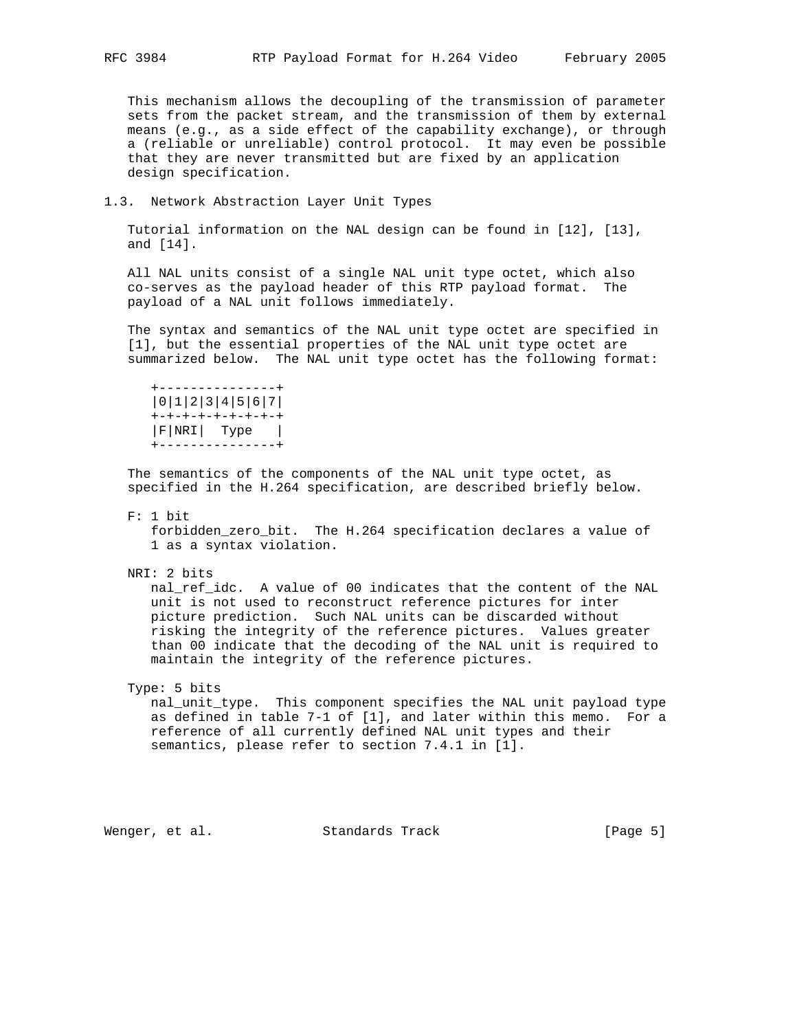This mechanism allows the decoupling of the transmission of parameter sets from the packet stream, and the transmission of them by external means (e.g., as a side effect of the capability exchange), or through a (reliable or unreliable) control protocol. It may even be possible that they are never transmitted but are fixed by an application design specification.

1.3. Network Abstraction Layer Unit Types

 Tutorial information on the NAL design can be found in [12], [13], and [14].

 All NAL units consist of a single NAL unit type octet, which also co-serves as the payload header of this RTP payload format. The payload of a NAL unit follows immediately.

 The syntax and semantics of the NAL unit type octet are specified in [1], but the essential properties of the NAL unit type octet are summarized below. The NAL unit type octet has the following format:

 +---------------+ |0|1|2|3|4|5|6|7| +-+-+-+-+-+-+-+-+ |F|NRI| Type | +---------------+

 The semantics of the components of the NAL unit type octet, as specified in the H.264 specification, are described briefly below.

F: 1 bit

forbidden zero bit. The H.264 specification declares a value of 1 as a syntax violation.

NRI: 2 bits

 nal\_ref\_idc. A value of 00 indicates that the content of the NAL unit is not used to reconstruct reference pictures for inter picture prediction. Such NAL units can be discarded without risking the integrity of the reference pictures. Values greater than 00 indicate that the decoding of the NAL unit is required to maintain the integrity of the reference pictures.

# Type: 5 bits

 nal\_unit\_type. This component specifies the NAL unit payload type as defined in table 7-1 of [1], and later within this memo. For a reference of all currently defined NAL unit types and their semantics, please refer to section 7.4.1 in [1].

Wenger, et al. Standards Track [Page 5]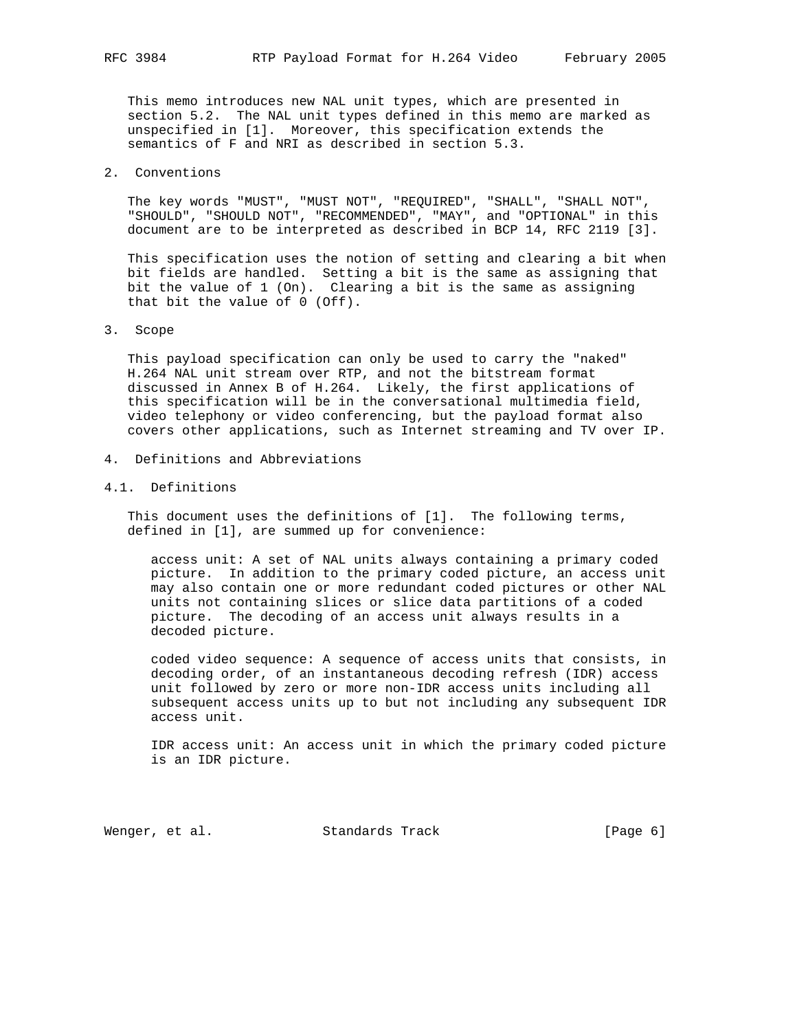This memo introduces new NAL unit types, which are presented in section 5.2. The NAL unit types defined in this memo are marked as unspecified in [1]. Moreover, this specification extends the semantics of F and NRI as described in section 5.3.

2. Conventions

 The key words "MUST", "MUST NOT", "REQUIRED", "SHALL", "SHALL NOT", "SHOULD", "SHOULD NOT", "RECOMMENDED", "MAY", and "OPTIONAL" in this document are to be interpreted as described in BCP 14, RFC 2119 [3].

 This specification uses the notion of setting and clearing a bit when bit fields are handled. Setting a bit is the same as assigning that bit the value of 1 (On). Clearing a bit is the same as assigning that bit the value of 0 (Off).

### 3. Scope

 This payload specification can only be used to carry the "naked" H.264 NAL unit stream over RTP, and not the bitstream format discussed in Annex B of H.264. Likely, the first applications of this specification will be in the conversational multimedia field, video telephony or video conferencing, but the payload format also covers other applications, such as Internet streaming and TV over IP.

4. Definitions and Abbreviations

### 4.1. Definitions

 This document uses the definitions of [1]. The following terms, defined in [1], are summed up for convenience:

 access unit: A set of NAL units always containing a primary coded picture. In addition to the primary coded picture, an access unit may also contain one or more redundant coded pictures or other NAL units not containing slices or slice data partitions of a coded picture. The decoding of an access unit always results in a decoded picture.

 coded video sequence: A sequence of access units that consists, in decoding order, of an instantaneous decoding refresh (IDR) access unit followed by zero or more non-IDR access units including all subsequent access units up to but not including any subsequent IDR access unit.

 IDR access unit: An access unit in which the primary coded picture is an IDR picture.

Wenger, et al. Standards Track [Page 6]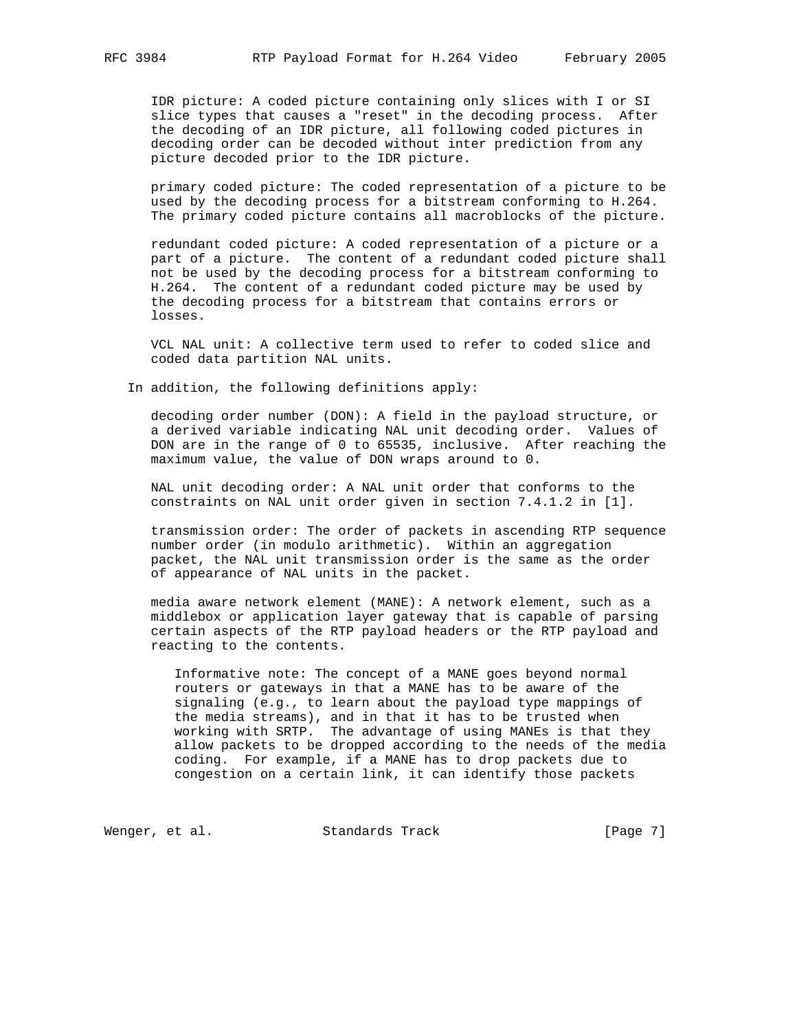IDR picture: A coded picture containing only slices with I or SI slice types that causes a "reset" in the decoding process. After the decoding of an IDR picture, all following coded pictures in decoding order can be decoded without inter prediction from any picture decoded prior to the IDR picture.

 primary coded picture: The coded representation of a picture to be used by the decoding process for a bitstream conforming to H.264. The primary coded picture contains all macroblocks of the picture.

 redundant coded picture: A coded representation of a picture or a part of a picture. The content of a redundant coded picture shall not be used by the decoding process for a bitstream conforming to H.264. The content of a redundant coded picture may be used by the decoding process for a bitstream that contains errors or losses.

 VCL NAL unit: A collective term used to refer to coded slice and coded data partition NAL units.

In addition, the following definitions apply:

 decoding order number (DON): A field in the payload structure, or a derived variable indicating NAL unit decoding order. Values of DON are in the range of 0 to 65535, inclusive. After reaching the maximum value, the value of DON wraps around to 0.

 NAL unit decoding order: A NAL unit order that conforms to the constraints on NAL unit order given in section 7.4.1.2 in [1].

 transmission order: The order of packets in ascending RTP sequence number order (in modulo arithmetic). Within an aggregation packet, the NAL unit transmission order is the same as the order of appearance of NAL units in the packet.

 media aware network element (MANE): A network element, such as a middlebox or application layer gateway that is capable of parsing certain aspects of the RTP payload headers or the RTP payload and reacting to the contents.

 Informative note: The concept of a MANE goes beyond normal routers or gateways in that a MANE has to be aware of the signaling (e.g., to learn about the payload type mappings of the media streams), and in that it has to be trusted when working with SRTP. The advantage of using MANEs is that they allow packets to be dropped according to the needs of the media coding. For example, if a MANE has to drop packets due to congestion on a certain link, it can identify those packets

Wenger, et al. Standards Track [Page 7]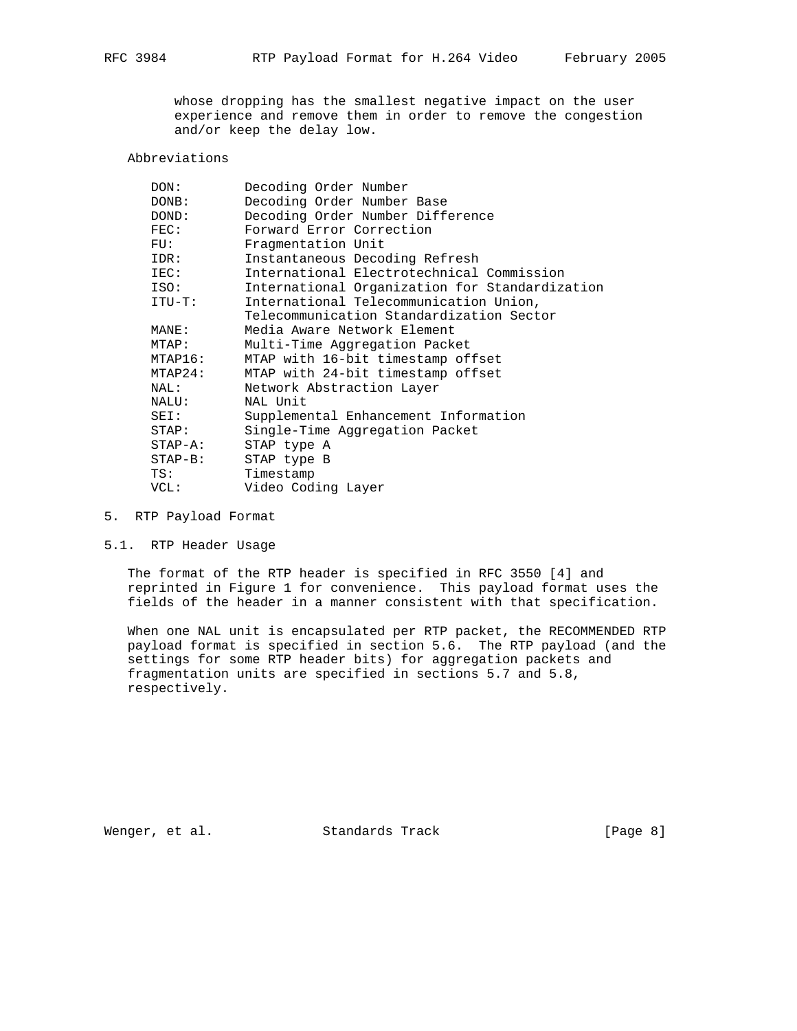whose dropping has the smallest negative impact on the user experience and remove them in order to remove the congestion and/or keep the delay low.

## Abbreviations

| DON:            | Decoding Order Number                          |
|-----------------|------------------------------------------------|
| DONB:           | Decoding Order Number Base                     |
| DOND:           | Decoding Order Number Difference               |
| $\texttt{FEC}:$ | Forward Error Correction                       |
| FU:             | Fragmentation Unit                             |
| IDR:            | Instantaneous Decoding Refresh                 |
| IEC:            | International Electrotechnical Commission      |
| ISO:            | International Organization for Standardization |
| $ITU-T$ :       | International Telecommunication Union,         |
|                 | Telecommunication Standardization Sector       |
| MANE:           | Media Aware Network Element                    |
| MTAP:           | Multi-Time Aggregation Packet                  |
| MTAP16:         | MTAP with 16-bit timestamp offset              |
| MTAP24:         | MTAP with 24-bit timestamp offset              |
| NAL:            | Network Abstraction Layer                      |
| NALU:           | NAL Unit                                       |
| SEI:            | Supplemental Enhancement Information           |
| STAP:           | Single-Time Aggregation Packet                 |
| $STAP - A$ :    | STAP type A                                    |
| $STAP-B$ :      | STAP type B                                    |
| TS:             | Timestamp                                      |
| VCL:            | Video Coding Layer                             |
|                 |                                                |

## 5. RTP Payload Format

5.1. RTP Header Usage

 The format of the RTP header is specified in RFC 3550 [4] and reprinted in Figure 1 for convenience. This payload format uses the fields of the header in a manner consistent with that specification.

 When one NAL unit is encapsulated per RTP packet, the RECOMMENDED RTP payload format is specified in section 5.6. The RTP payload (and the settings for some RTP header bits) for aggregation packets and fragmentation units are specified in sections 5.7 and 5.8, respectively.

Wenger, et al. Standards Track [Page 8]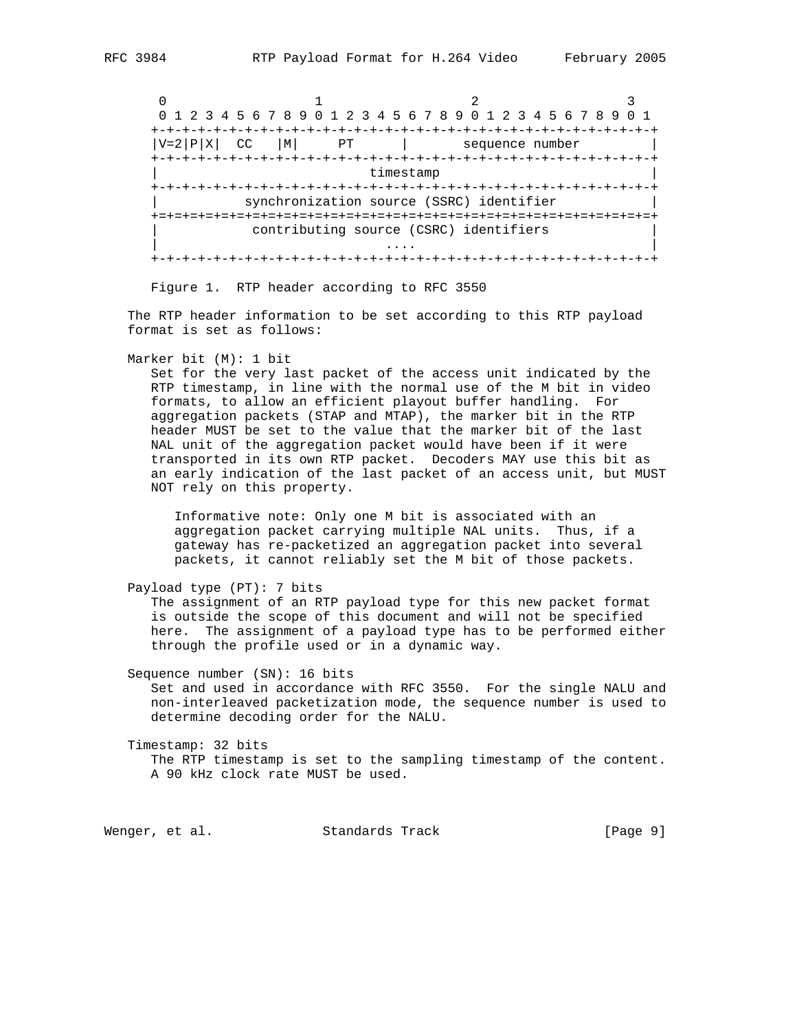$0$  1 2 3 0 1 2 3 4 5 6 7 8 9 0 1 2 3 4 5 6 7 8 9 0 1 2 3 4 5 6 7 8 9 0 1 +-+-+-+-+-+-+-+-+-+-+-+-+-+-+-+-+-+-+-+-+-+-+-+-+-+-+-+-+-+-+-+-+  $|V=2|P|X|$  CC  $|M|$  PT | sequence number +-+-+-+-+-+-+-+-+-+-+-+-+-+-+-+-+-+-+-+-+-+-+-+-+-+-+-+-+-+-+-+-+ timestamp +-+-+-+-+-+-+-+-+-+-+-+-+-+-+-+-+-+-+-+-+-+-+-+-+-+-+-+-+-+-+-+-+ synchronization source (SSRC) identifier +=+=+=+=+=+=+=+=+=+=+=+=+=+=+=+=+=+=+=+=+=+=+=+=+=+=+=+=+=+=+=+=+ contributing source (CSRC) identifiers | .... | .... | .... | .... | .... | .... | .... | .... | .... | .... | .... | .... | .... | .... | .... | ... +-+-+-+-+-+-+-+-+-+-+-+-+-+-+-+-+-+-+-+-+-+-+-+-+-+-+-+-+-+-+-+-+

Figure 1. RTP header according to RFC 3550

 The RTP header information to be set according to this RTP payload format is set as follows:

Marker bit (M): 1 bit

 Set for the very last packet of the access unit indicated by the RTP timestamp, in line with the normal use of the M bit in video formats, to allow an efficient playout buffer handling. For aggregation packets (STAP and MTAP), the marker bit in the RTP header MUST be set to the value that the marker bit of the last NAL unit of the aggregation packet would have been if it were transported in its own RTP packet. Decoders MAY use this bit as an early indication of the last packet of an access unit, but MUST NOT rely on this property.

 Informative note: Only one M bit is associated with an aggregation packet carrying multiple NAL units. Thus, if a gateway has re-packetized an aggregation packet into several packets, it cannot reliably set the M bit of those packets.

```
 Payload type (PT): 7 bits
```
 The assignment of an RTP payload type for this new packet format is outside the scope of this document and will not be specified here. The assignment of a payload type has to be performed either through the profile used or in a dynamic way.

 Sequence number (SN): 16 bits Set and used in accordance with RFC 3550. For the single NALU and non-interleaved packetization mode, the sequence number is used to determine decoding order for the NALU.

 Timestamp: 32 bits The RTP timestamp is set to the sampling timestamp of the content. A 90 kHz clock rate MUST be used.

Wenger, et al. Standards Track [Page 9]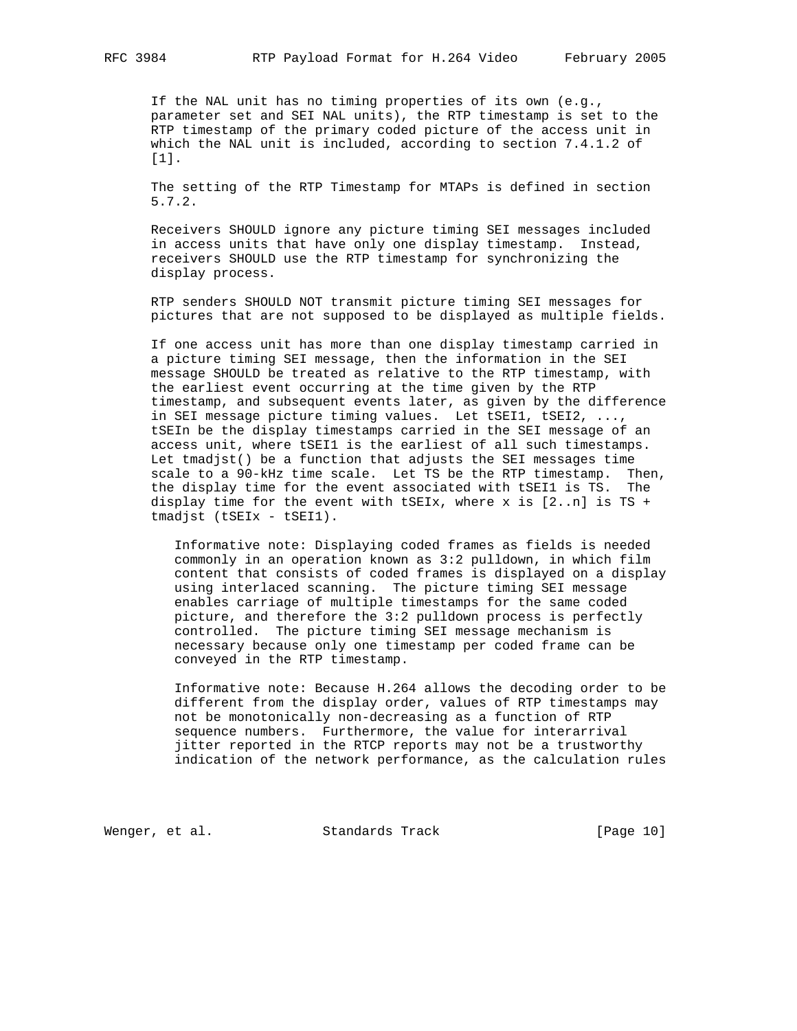If the NAL unit has no timing properties of its own (e.g., parameter set and SEI NAL units), the RTP timestamp is set to the RTP timestamp of the primary coded picture of the access unit in which the NAL unit is included, according to section 7.4.1.2 of [1].

 The setting of the RTP Timestamp for MTAPs is defined in section 5.7.2.

 Receivers SHOULD ignore any picture timing SEI messages included in access units that have only one display timestamp. Instead, receivers SHOULD use the RTP timestamp for synchronizing the display process.

 RTP senders SHOULD NOT transmit picture timing SEI messages for pictures that are not supposed to be displayed as multiple fields.

 If one access unit has more than one display timestamp carried in a picture timing SEI message, then the information in the SEI message SHOULD be treated as relative to the RTP timestamp, with the earliest event occurring at the time given by the RTP timestamp, and subsequent events later, as given by the difference in SEI message picture timing values. Let tSEI1, tSEI2, ..., tSEIn be the display timestamps carried in the SEI message of an access unit, where tSEI1 is the earliest of all such timestamps. Let tmadjst() be a function that adjusts the SEI messages time scale to a 90-kHz time scale. Let TS be the RTP timestamp. Then, the display time for the event associated with tSEI1 is TS. The display time for the event with tSEIx, where  $x$  is  $[2..n]$  is TS + tmadjst (tSEIx - tSEI1).

 Informative note: Displaying coded frames as fields is needed commonly in an operation known as 3:2 pulldown, in which film content that consists of coded frames is displayed on a display using interlaced scanning. The picture timing SEI message enables carriage of multiple timestamps for the same coded picture, and therefore the 3:2 pulldown process is perfectly controlled. The picture timing SEI message mechanism is necessary because only one timestamp per coded frame can be conveyed in the RTP timestamp.

 Informative note: Because H.264 allows the decoding order to be different from the display order, values of RTP timestamps may not be monotonically non-decreasing as a function of RTP sequence numbers. Furthermore, the value for interarrival jitter reported in the RTCP reports may not be a trustworthy indication of the network performance, as the calculation rules

Wenger, et al. Standards Track [Page 10]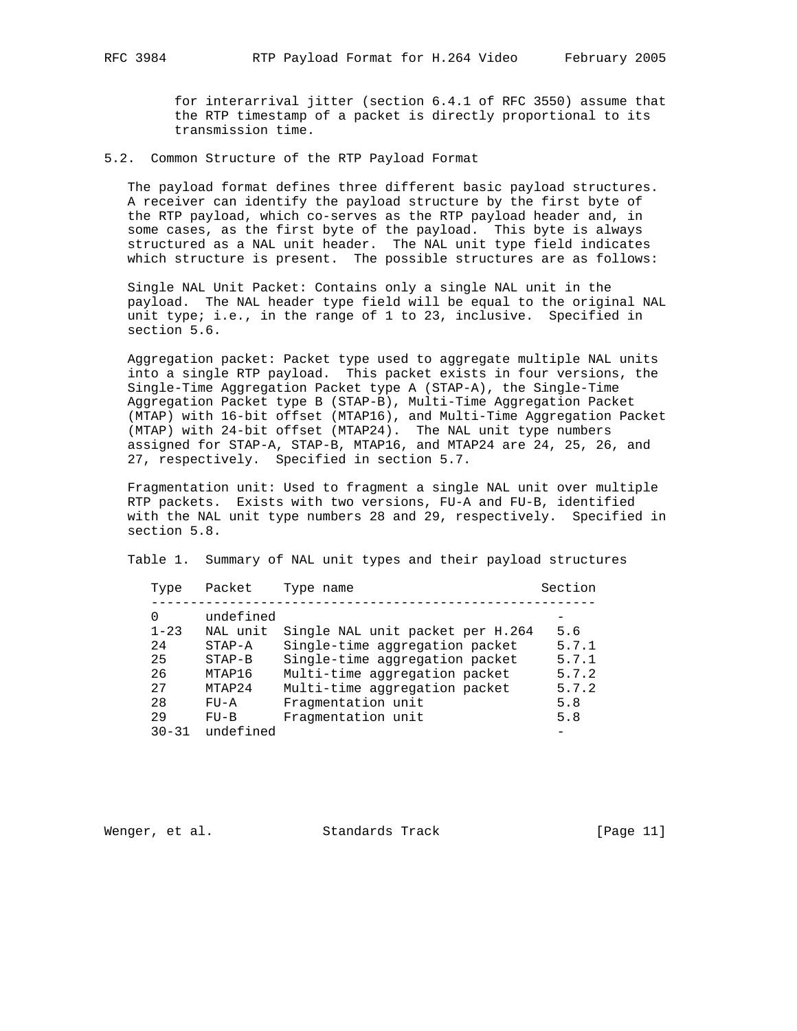for interarrival jitter (section 6.4.1 of RFC 3550) assume that the RTP timestamp of a packet is directly proportional to its transmission time.

5.2. Common Structure of the RTP Payload Format

 The payload format defines three different basic payload structures. A receiver can identify the payload structure by the first byte of the RTP payload, which co-serves as the RTP payload header and, in some cases, as the first byte of the payload. This byte is always structured as a NAL unit header. The NAL unit type field indicates which structure is present. The possible structures are as follows:

 Single NAL Unit Packet: Contains only a single NAL unit in the payload. The NAL header type field will be equal to the original NAL unit type; i.e., in the range of 1 to 23, inclusive. Specified in section 5.6.

 Aggregation packet: Packet type used to aggregate multiple NAL units into a single RTP payload. This packet exists in four versions, the Single-Time Aggregation Packet type A (STAP-A), the Single-Time Aggregation Packet type B (STAP-B), Multi-Time Aggregation Packet (MTAP) with 16-bit offset (MTAP16), and Multi-Time Aggregation Packet (MTAP) with 24-bit offset (MTAP24). The NAL unit type numbers assigned for STAP-A, STAP-B, MTAP16, and MTAP24 are 24, 25, 26, and 27, respectively. Specified in section 5.7.

 Fragmentation unit: Used to fragment a single NAL unit over multiple RTP packets. Exists with two versions, FU-A and FU-B, identified with the NAL unit type numbers 28 and 29, respectively. Specified in section 5.8.

Table 1. Summary of NAL unit types and their payload structures

|     | Type      | Packet    | Type name                        | Section |
|-----|-----------|-----------|----------------------------------|---------|
| 0   |           | undefined |                                  |         |
|     | $1 - 23$  | NAL unit  | Single NAL unit packet per H.264 | 5.6     |
| 2.4 |           | $STAP-A$  | Single-time aggregation packet   | 5.7.1   |
| 25  |           | $STAP-B$  | Single-time aggregation packet   | 5.7.1   |
| 26  |           | MTAP16    | Multi-time aggregation packet    | 5.7.2   |
| 2.7 |           | MTAP24    | Multi-time aggregation packet    | 5.7.2   |
| 28  |           | $FU - A$  | Fragmentation unit               | 5.8     |
| 29  |           | $FU-B$    | Fragmentation unit               | 5.8     |
|     | $30 - 31$ | undefined |                                  |         |

Wenger, et al. Standards Track [Page 11]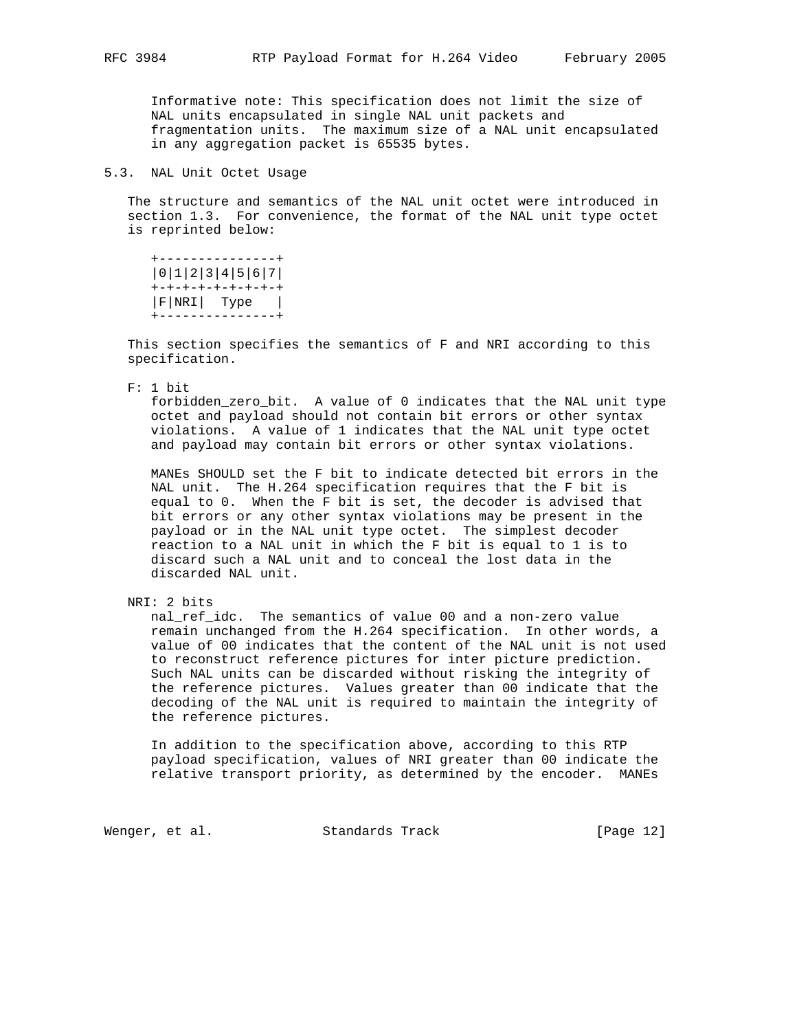Informative note: This specification does not limit the size of NAL units encapsulated in single NAL unit packets and fragmentation units. The maximum size of a NAL unit encapsulated in any aggregation packet is 65535 bytes.

## 5.3. NAL Unit Octet Usage

 The structure and semantics of the NAL unit octet were introduced in section 1.3. For convenience, the format of the NAL unit type octet is reprinted below:

 +---------------+ |0|1|2|3|4|5|6|7| +-+-+-+-+-+-+-+-+ |F|NRI| Type | +---------------+

 This section specifies the semantics of F and NRI according to this specification.

F: 1 bit

 forbidden\_zero\_bit. A value of 0 indicates that the NAL unit type octet and payload should not contain bit errors or other syntax violations. A value of 1 indicates that the NAL unit type octet and payload may contain bit errors or other syntax violations.

 MANEs SHOULD set the F bit to indicate detected bit errors in the NAL unit. The H.264 specification requires that the F bit is equal to 0. When the F bit is set, the decoder is advised that bit errors or any other syntax violations may be present in the payload or in the NAL unit type octet. The simplest decoder reaction to a NAL unit in which the F bit is equal to 1 is to discard such a NAL unit and to conceal the lost data in the discarded NAL unit.

nal ref idc. The semantics of value 00 and a non-zero value remain unchanged from the H.264 specification. In other words, a value of 00 indicates that the content of the NAL unit is not used to reconstruct reference pictures for inter picture prediction. Such NAL units can be discarded without risking the integrity of the reference pictures. Values greater than 00 indicate that the decoding of the NAL unit is required to maintain the integrity of the reference pictures.

 In addition to the specification above, according to this RTP payload specification, values of NRI greater than 00 indicate the relative transport priority, as determined by the encoder. MANEs

Wenger, et al. Standards Track [Page 12]

NRI: 2 bits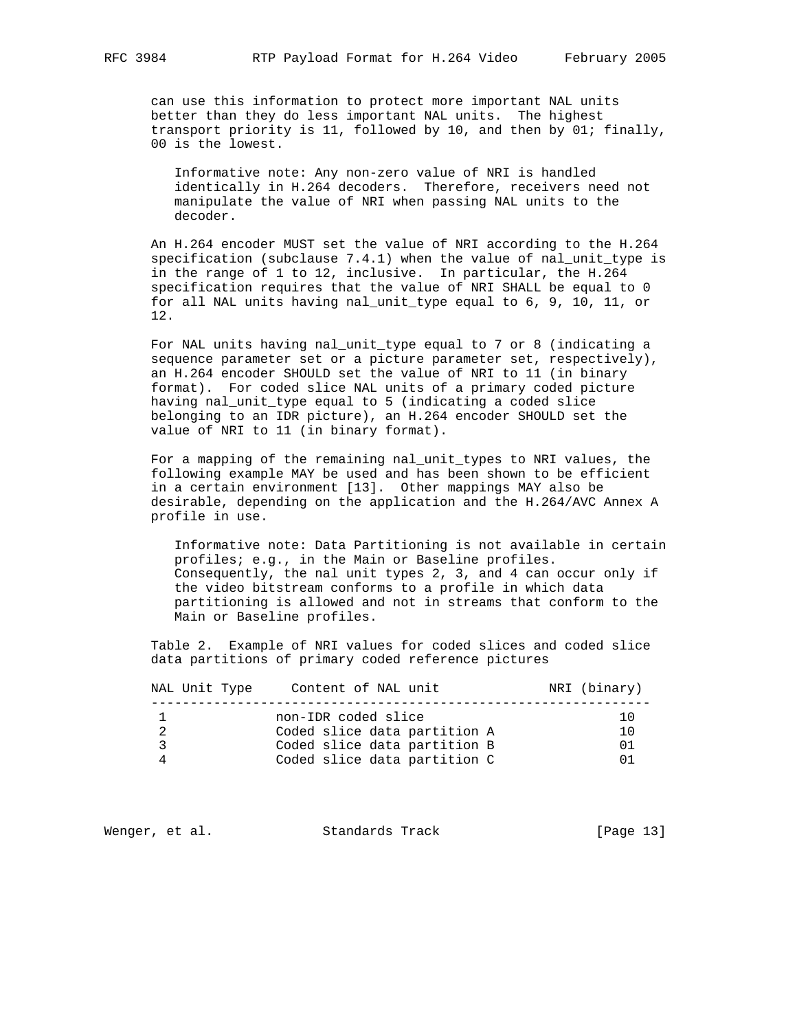can use this information to protect more important NAL units better than they do less important NAL units. The highest transport priority is 11, followed by 10, and then by 01; finally, 00 is the lowest.

 Informative note: Any non-zero value of NRI is handled identically in H.264 decoders. Therefore, receivers need not manipulate the value of NRI when passing NAL units to the decoder.

 An H.264 encoder MUST set the value of NRI according to the H.264 specification (subclause 7.4.1) when the value of nal\_unit\_type is in the range of 1 to 12, inclusive. In particular, the H.264 specification requires that the value of NRI SHALL be equal to 0 for all NAL units having nal\_unit\_type equal to 6, 9, 10, 11, or 12.

 For NAL units having nal\_unit\_type equal to 7 or 8 (indicating a sequence parameter set or a picture parameter set, respectively), an H.264 encoder SHOULD set the value of NRI to 11 (in binary format). For coded slice NAL units of a primary coded picture having nal\_unit\_type equal to 5 (indicating a coded slice belonging to an IDR picture), an H.264 encoder SHOULD set the value of NRI to 11 (in binary format).

 For a mapping of the remaining nal\_unit\_types to NRI values, the following example MAY be used and has been shown to be efficient in a certain environment [13]. Other mappings MAY also be desirable, depending on the application and the H.264/AVC Annex A profile in use.

 Informative note: Data Partitioning is not available in certain profiles; e.g., in the Main or Baseline profiles. Consequently, the nal unit types 2, 3, and 4 can occur only if the video bitstream conforms to a profile in which data partitioning is allowed and not in streams that conform to the Main or Baseline profiles.

 Table 2. Example of NRI values for coded slices and coded slice data partitions of primary coded reference pictures

| NAL Unit Type | Content of NAL unit          | NRI (binary) |
|---------------|------------------------------|--------------|
|               | non-IDR coded slice          | 1 O          |
|               | Coded slice data partition A | 1 ∩          |
|               | Coded slice data partition B | 01           |
|               | Coded slice data partition C |              |

Wenger, et al. Standards Track [Page 13]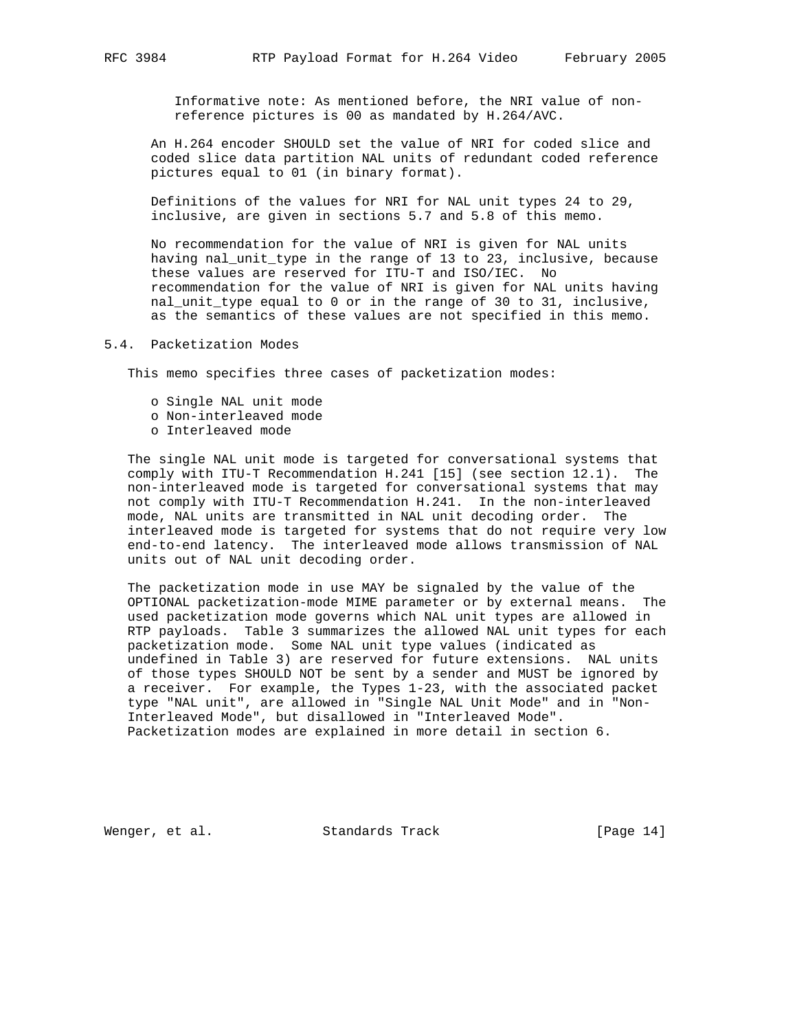Informative note: As mentioned before, the NRI value of non reference pictures is 00 as mandated by H.264/AVC.

 An H.264 encoder SHOULD set the value of NRI for coded slice and coded slice data partition NAL units of redundant coded reference pictures equal to 01 (in binary format).

 Definitions of the values for NRI for NAL unit types 24 to 29, inclusive, are given in sections 5.7 and 5.8 of this memo.

 No recommendation for the value of NRI is given for NAL units having nal\_unit\_type in the range of 13 to 23, inclusive, because these values are reserved for ITU-T and ISO/IEC. No recommendation for the value of NRI is given for NAL units having nal\_unit\_type equal to 0 or in the range of 30 to 31, inclusive, as the semantics of these values are not specified in this memo.

### 5.4. Packetization Modes

This memo specifies three cases of packetization modes:

- o Single NAL unit mode
- o Non-interleaved mode
- o Interleaved mode

 The single NAL unit mode is targeted for conversational systems that comply with ITU-T Recommendation H.241 [15] (see section 12.1). The non-interleaved mode is targeted for conversational systems that may not comply with ITU-T Recommendation H.241. In the non-interleaved mode, NAL units are transmitted in NAL unit decoding order. The interleaved mode is targeted for systems that do not require very low end-to-end latency. The interleaved mode allows transmission of NAL units out of NAL unit decoding order.

 The packetization mode in use MAY be signaled by the value of the OPTIONAL packetization-mode MIME parameter or by external means. The used packetization mode governs which NAL unit types are allowed in RTP payloads. Table 3 summarizes the allowed NAL unit types for each packetization mode. Some NAL unit type values (indicated as undefined in Table 3) are reserved for future extensions. NAL units of those types SHOULD NOT be sent by a sender and MUST be ignored by a receiver. For example, the Types 1-23, with the associated packet type "NAL unit", are allowed in "Single NAL Unit Mode" and in "Non- Interleaved Mode", but disallowed in "Interleaved Mode". Packetization modes are explained in more detail in section 6.

Wenger, et al. Standards Track [Page 14]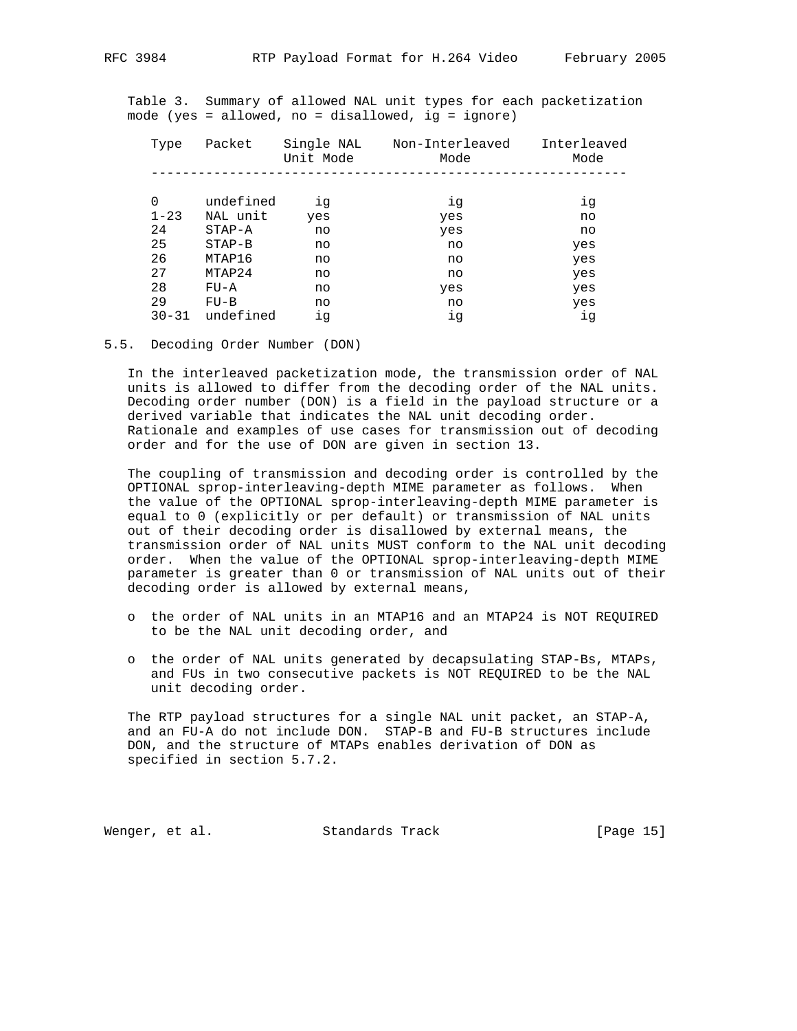Table 3. Summary of allowed NAL unit types for each packetization mode (yes = allowed, no = disallowed, ig = ignore)

| Type      | Packet     | Single NAL<br>Unit Mode | Non-Interleaved<br>Mode | Interleaved<br>Mode |
|-----------|------------|-------------------------|-------------------------|---------------------|
|           |            |                         |                         |                     |
| $\Omega$  | undefined  | ig                      | ig                      | ig                  |
| $1 - 23$  | NAL unit   | yes                     | yes                     | no                  |
| 24        | $STAP - A$ | no                      | yes                     | no                  |
| 25        | $STAP-B$   | no                      | no                      | yes                 |
| 26        | MTAP16     | no                      | no                      | yes                 |
| 27        | MTAP24     | no                      | no                      | yes                 |
| 28        | $FU - A$   | no                      | yes                     | yes                 |
| 29        | $FU-B$     | no                      | no                      | yes                 |
| $30 - 31$ | undefined  | ig                      | ig                      | iq                  |

5.5. Decoding Order Number (DON)

 In the interleaved packetization mode, the transmission order of NAL units is allowed to differ from the decoding order of the NAL units. Decoding order number (DON) is a field in the payload structure or a derived variable that indicates the NAL unit decoding order. Rationale and examples of use cases for transmission out of decoding order and for the use of DON are given in section 13.

 The coupling of transmission and decoding order is controlled by the OPTIONAL sprop-interleaving-depth MIME parameter as follows. When the value of the OPTIONAL sprop-interleaving-depth MIME parameter is equal to 0 (explicitly or per default) or transmission of NAL units out of their decoding order is disallowed by external means, the transmission order of NAL units MUST conform to the NAL unit decoding order. When the value of the OPTIONAL sprop-interleaving-depth MIME parameter is greater than 0 or transmission of NAL units out of their decoding order is allowed by external means,

- o the order of NAL units in an MTAP16 and an MTAP24 is NOT REQUIRED to be the NAL unit decoding order, and
- o the order of NAL units generated by decapsulating STAP-Bs, MTAPs, and FUs in two consecutive packets is NOT REQUIRED to be the NAL unit decoding order.

 The RTP payload structures for a single NAL unit packet, an STAP-A, and an FU-A do not include DON. STAP-B and FU-B structures include DON, and the structure of MTAPs enables derivation of DON as specified in section 5.7.2.

Wenger, et al. Standards Track [Page 15]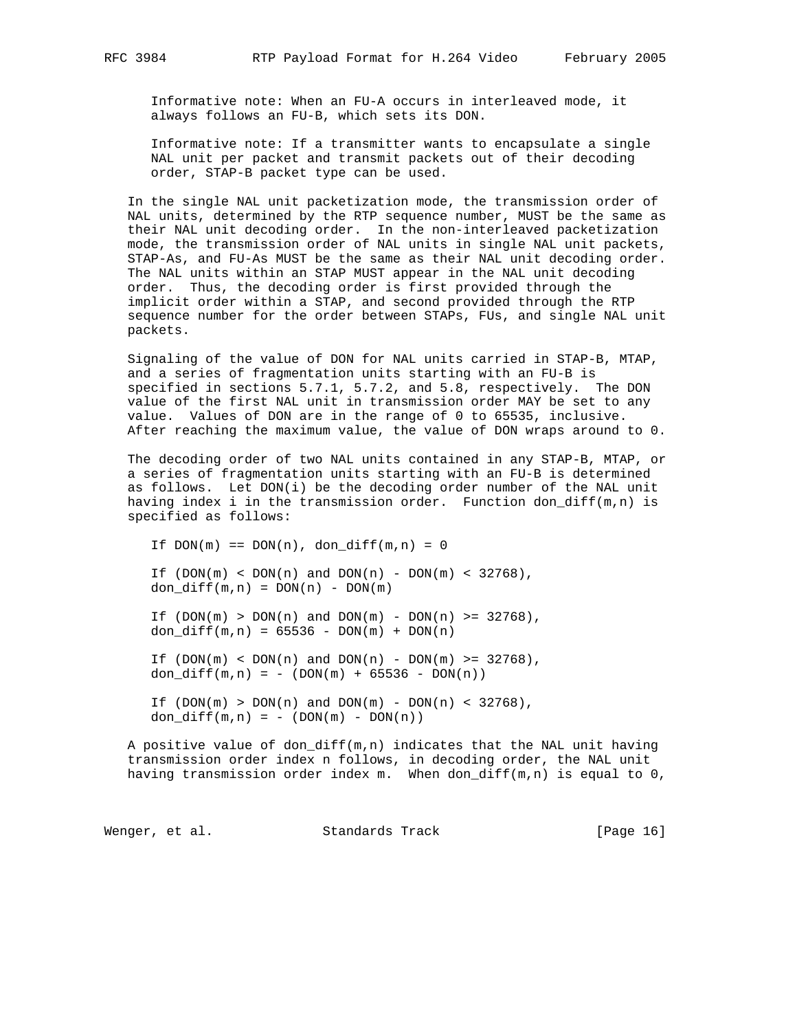Informative note: When an FU-A occurs in interleaved mode, it always follows an FU-B, which sets its DON.

 Informative note: If a transmitter wants to encapsulate a single NAL unit per packet and transmit packets out of their decoding order, STAP-B packet type can be used.

 In the single NAL unit packetization mode, the transmission order of NAL units, determined by the RTP sequence number, MUST be the same as their NAL unit decoding order. In the non-interleaved packetization mode, the transmission order of NAL units in single NAL unit packets, STAP-As, and FU-As MUST be the same as their NAL unit decoding order. The NAL units within an STAP MUST appear in the NAL unit decoding order. Thus, the decoding order is first provided through the implicit order within a STAP, and second provided through the RTP sequence number for the order between STAPs, FUs, and single NAL unit packets.

 Signaling of the value of DON for NAL units carried in STAP-B, MTAP, and a series of fragmentation units starting with an FU-B is specified in sections 5.7.1, 5.7.2, and 5.8, respectively. The DON value of the first NAL unit in transmission order MAY be set to any value. Values of DON are in the range of 0 to 65535, inclusive. After reaching the maximum value, the value of DON wraps around to 0.

 The decoding order of two NAL units contained in any STAP-B, MTAP, or a series of fragmentation units starting with an FU-B is determined as follows. Let DON(i) be the decoding order number of the NAL unit having index i in the transmission order. Function don\_diff( $m,n$ ) is specified as follows:

If  $DOM(m) == DON(n)$ ,  $don_diff(m,n) = 0$ If  $(DON(m) < DOM(n)$  and  $DOM(n)$  -  $DOM(m) < 32768)$ , don\_diff $(m,n) = DOM(n) - DON(m)$ If  $(DON(m) > DON(n)$  and  $DOM(m) - DON(n) > 32768)$ , don\_diff $(m,n) = 65536 - DON(m) + DON(n)$ If  $(DON(m) < DOM(n)$  and  $DOM(n)$  -  $DOM(m)$  >= 32768), don\_diff $(m,n) = - (DOM(m) + 65536 - DON(n))$ If  $(DON(m) > DON(n)$  and  $DOM(m) - DON(n) < 32768)$ , don\_diff $(m,n) = - (DOM(m) - DON(n))$ 

 A positive value of don\_diff(m,n) indicates that the NAL unit having transmission order index n follows, in decoding order, the NAL unit having transmission order index m. When don\_diff(m,n) is equal to  $0$ ,

Wenger, et al. Standards Track [Page 16]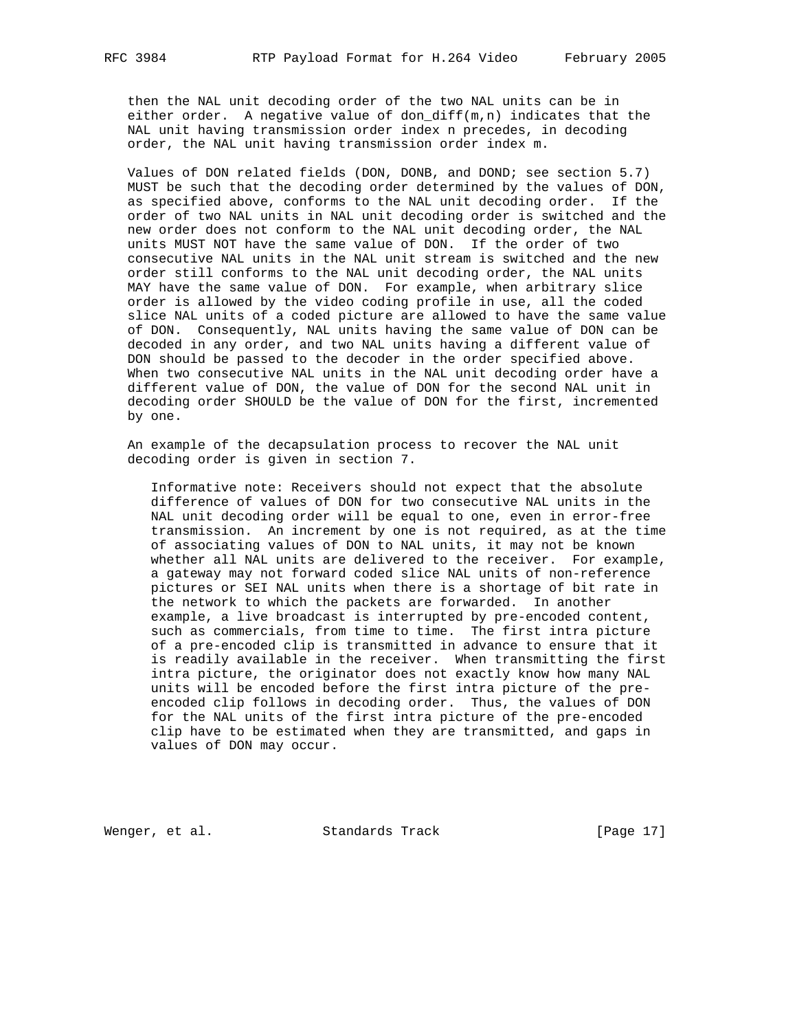then the NAL unit decoding order of the two NAL units can be in either order. A negative value of don\_diff $(m,n)$  indicates that the NAL unit having transmission order index n precedes, in decoding order, the NAL unit having transmission order index m.

 Values of DON related fields (DON, DONB, and DOND; see section 5.7) MUST be such that the decoding order determined by the values of DON, as specified above, conforms to the NAL unit decoding order. If the order of two NAL units in NAL unit decoding order is switched and the new order does not conform to the NAL unit decoding order, the NAL units MUST NOT have the same value of DON. If the order of two consecutive NAL units in the NAL unit stream is switched and the new order still conforms to the NAL unit decoding order, the NAL units MAY have the same value of DON. For example, when arbitrary slice order is allowed by the video coding profile in use, all the coded slice NAL units of a coded picture are allowed to have the same value of DON. Consequently, NAL units having the same value of DON can be decoded in any order, and two NAL units having a different value of DON should be passed to the decoder in the order specified above. When two consecutive NAL units in the NAL unit decoding order have a different value of DON, the value of DON for the second NAL unit in decoding order SHOULD be the value of DON for the first, incremented by one.

 An example of the decapsulation process to recover the NAL unit decoding order is given in section 7.

 Informative note: Receivers should not expect that the absolute difference of values of DON for two consecutive NAL units in the NAL unit decoding order will be equal to one, even in error-free transmission. An increment by one is not required, as at the time of associating values of DON to NAL units, it may not be known whether all NAL units are delivered to the receiver. For example, a gateway may not forward coded slice NAL units of non-reference pictures or SEI NAL units when there is a shortage of bit rate in the network to which the packets are forwarded. In another example, a live broadcast is interrupted by pre-encoded content, such as commercials, from time to time. The first intra picture of a pre-encoded clip is transmitted in advance to ensure that it is readily available in the receiver. When transmitting the first intra picture, the originator does not exactly know how many NAL units will be encoded before the first intra picture of the pre encoded clip follows in decoding order. Thus, the values of DON for the NAL units of the first intra picture of the pre-encoded clip have to be estimated when they are transmitted, and gaps in values of DON may occur.

Wenger, et al. Standards Track [Page 17]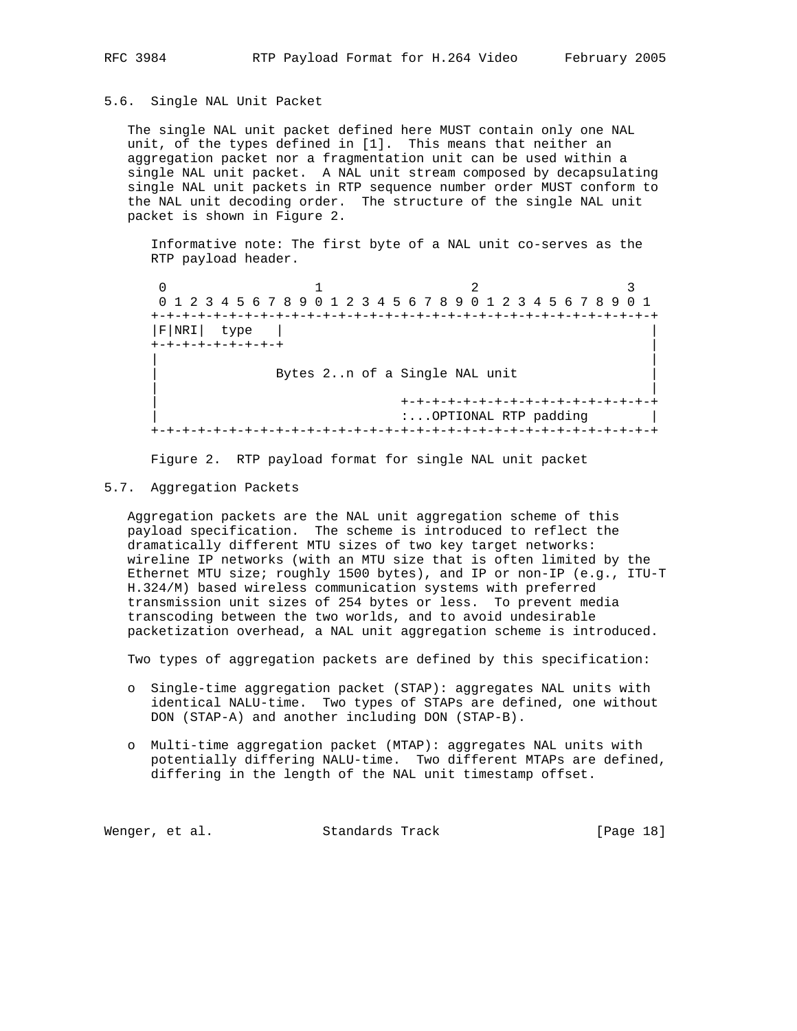### 5.6. Single NAL Unit Packet

 The single NAL unit packet defined here MUST contain only one NAL unit, of the types defined in [1]. This means that neither an aggregation packet nor a fragmentation unit can be used within a single NAL unit packet. A NAL unit stream composed by decapsulating single NAL unit packets in RTP sequence number order MUST conform to the NAL unit decoding order. The structure of the single NAL unit packet is shown in Figure 2.

 Informative note: The first byte of a NAL unit co-serves as the RTP payload header.

 $0$  1 2 3 0 1 2 3 4 5 6 7 8 9 0 1 2 3 4 5 6 7 8 9 0 1 2 3 4 5 6 7 8 9 0 1 +-+-+-+-+-+-+-+-+-+-+-+-+-+-+-+-+-+-+-+-+-+-+-+-+-+-+-+-+-+-+-+-+ |F|NRI| type | | +-+-+-+-+-+-+-+-+ | | | Bytes 2..n of a Single NAL unit | | | +-+-+-+-+-+-+-+-+-+-+-+-+-+-+-+-+ | :...OPTIONAL RTP padding | +-+-+-+-+-+-+-+-+-+-+-+-+-+-+-+-+-+-+-+-+-+-+-+-+-+-+-+-+-+-+-+-+

Figure 2. RTP payload format for single NAL unit packet

### 5.7. Aggregation Packets

 Aggregation packets are the NAL unit aggregation scheme of this payload specification. The scheme is introduced to reflect the dramatically different MTU sizes of two key target networks: wireline IP networks (with an MTU size that is often limited by the Ethernet MTU size; roughly 1500 bytes), and IP or non-IP (e.g., ITU-T H.324/M) based wireless communication systems with preferred transmission unit sizes of 254 bytes or less. To prevent media transcoding between the two worlds, and to avoid undesirable packetization overhead, a NAL unit aggregation scheme is introduced.

Two types of aggregation packets are defined by this specification:

- o Single-time aggregation packet (STAP): aggregates NAL units with identical NALU-time. Two types of STAPs are defined, one without DON (STAP-A) and another including DON (STAP-B).
- o Multi-time aggregation packet (MTAP): aggregates NAL units with potentially differing NALU-time. Two different MTAPs are defined, differing in the length of the NAL unit timestamp offset.

Wenger, et al. Standards Track [Page 18]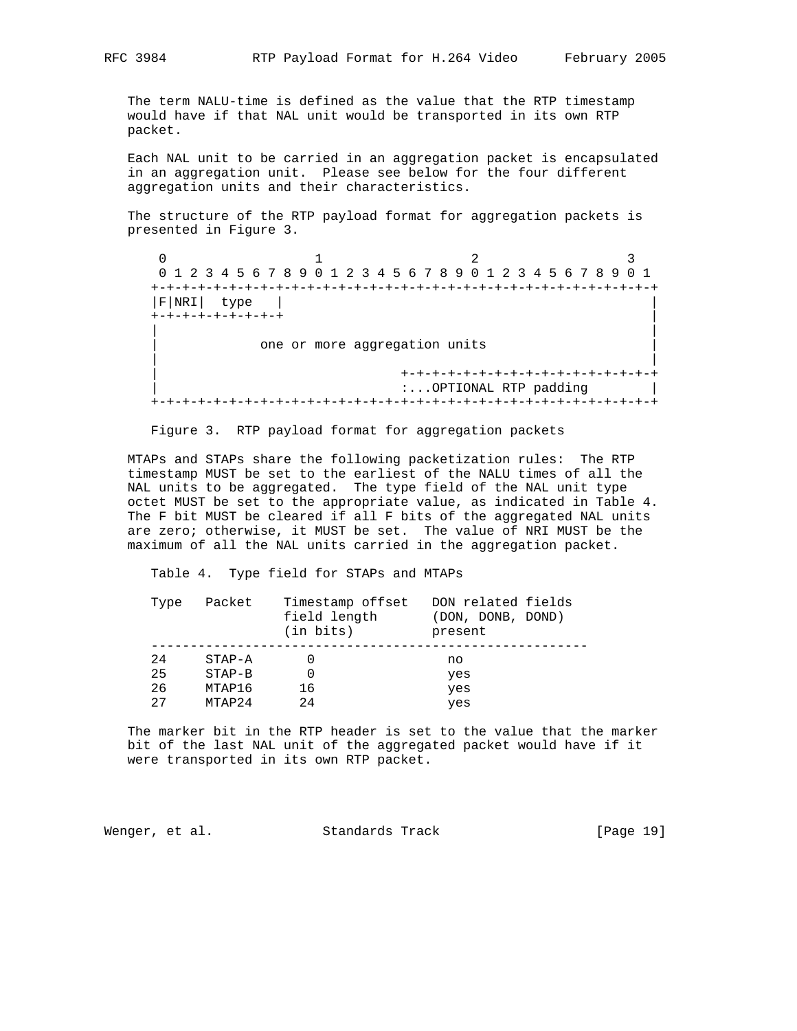The term NALU-time is defined as the value that the RTP timestamp would have if that NAL unit would be transported in its own RTP packet.

 Each NAL unit to be carried in an aggregation packet is encapsulated in an aggregation unit. Please see below for the four different aggregation units and their characteristics.

 The structure of the RTP payload format for aggregation packets is presented in Figure 3.

0  $1$  2 3 0 1 2 3 4 5 6 7 8 9 0 1 2 3 4 5 6 7 8 9 0 1 2 3 4 5 6 7 8 9 0 1 +-+-+-+-+-+-+-+-+-+-+-+-+-+-+-+-+-+-+-+-+-+-+-+-+-+-+-+-+-+-+-+-+ |F|NRI| type | | +-+-+-+-+-+-+-+-+ | | | one or more aggregation units | | | +-+-+-+-+-+-+-+-+-+-+-+-+-+-+-+-+ :...OPTIONAL RTP padding | +-+-+-+-+-+-+-+-+-+-+-+-+-+-+-+-+-+-+-+-+-+-+-+-+-+-+-+-+-+-+-+-+

Figure 3. RTP payload format for aggregation packets

 MTAPs and STAPs share the following packetization rules: The RTP timestamp MUST be set to the earliest of the NALU times of all the NAL units to be aggregated. The type field of the NAL unit type octet MUST be set to the appropriate value, as indicated in Table 4. The F bit MUST be cleared if all F bits of the aggregated NAL units are zero; otherwise, it MUST be set. The value of NRI MUST be the maximum of all the NAL units carried in the aggregation packet.

Table 4. Type field for STAPs and MTAPs

| Type | Packet     | Timestamp offset<br>field length<br>$(in \; bits)$ | DON related fields<br>(DON, DONB, DOND)<br>present |
|------|------------|----------------------------------------------------|----------------------------------------------------|
| 2.4  | $STAP - A$ |                                                    | no                                                 |
| 25   | $STAP-B$   |                                                    | yes                                                |
| 26   | MTAP16     | 16                                                 | yes                                                |
| 27   | MTAP24     | 2.4                                                | yes                                                |

 The marker bit in the RTP header is set to the value that the marker bit of the last NAL unit of the aggregated packet would have if it were transported in its own RTP packet.

Wenger, et al. Standards Track [Page 19]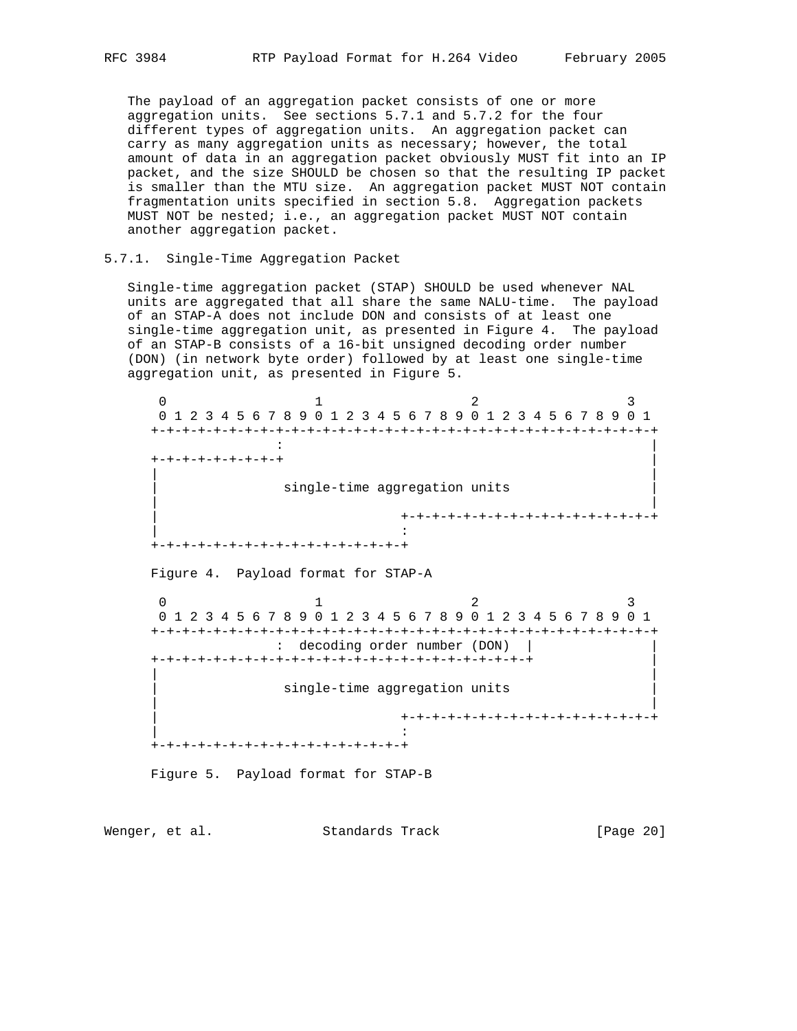The payload of an aggregation packet consists of one or more aggregation units. See sections 5.7.1 and 5.7.2 for the four different types of aggregation units. An aggregation packet can carry as many aggregation units as necessary; however, the total amount of data in an aggregation packet obviously MUST fit into an IP packet, and the size SHOULD be chosen so that the resulting IP packet is smaller than the MTU size. An aggregation packet MUST NOT contain fragmentation units specified in section 5.8. Aggregation packets MUST NOT be nested; i.e., an aggregation packet MUST NOT contain another aggregation packet.

### 5.7.1. Single-Time Aggregation Packet

 Single-time aggregation packet (STAP) SHOULD be used whenever NAL units are aggregated that all share the same NALU-time. The payload of an STAP-A does not include DON and consists of at least one single-time aggregation unit, as presented in Figure 4. The payload of an STAP-B consists of a 16-bit unsigned decoding order number (DON) (in network byte order) followed by at least one single-time aggregation unit, as presented in Figure 5.

 $0$  1 2 3 0 1 2 3 4 5 6 7 8 9 0 1 2 3 4 5 6 7 8 9 0 1 2 3 4 5 6 7 8 9 0 1 +-+-+-+-+-+-+-+-+-+-+-+-+-+-+-+-+-+-+-+-+-+-+-+-+-+-+-+-+-+-+-+-+ : |  $-+ - + - + - + - + - + - + +$  | | single-time aggregation units | | | +-+-+-+-+-+-+-+-+-+-+-+-+-+-+-+-+ | : +-+-+-+-+-+-+-+-+-+-+-+-+-+-+-+-+ Figure 4. Payload format for STAP-A 0  $1$  2 3 0 1 2 3 4 5 6 7 8 9 0 1 2 3 4 5 6 7 8 9 0 1 2 3 4 5 6 7 8 9 0 1 +-+-+-+-+-+-+-+-+-+-+-+-+-+-+-+-+-+-+-+-+-+-+-+-+-+-+-+-+-+-+-+-+ : decoding order number (DON) | | +-+-+-+-+-+-+-+-+-+-+-+-+-+-+-+-+-+-+-+-+-+-+-+-+ | | | single-time aggregation units | | | +-+-+-+-+-+-+-+-+-+-+-+-+-+-+-+-+ | : +-+-+-+-+-+-+-+-+-+-+-+-+-+-+-+-+

Figure 5. Payload format for STAP-B

Wenger, et al. Standards Track [Page 20]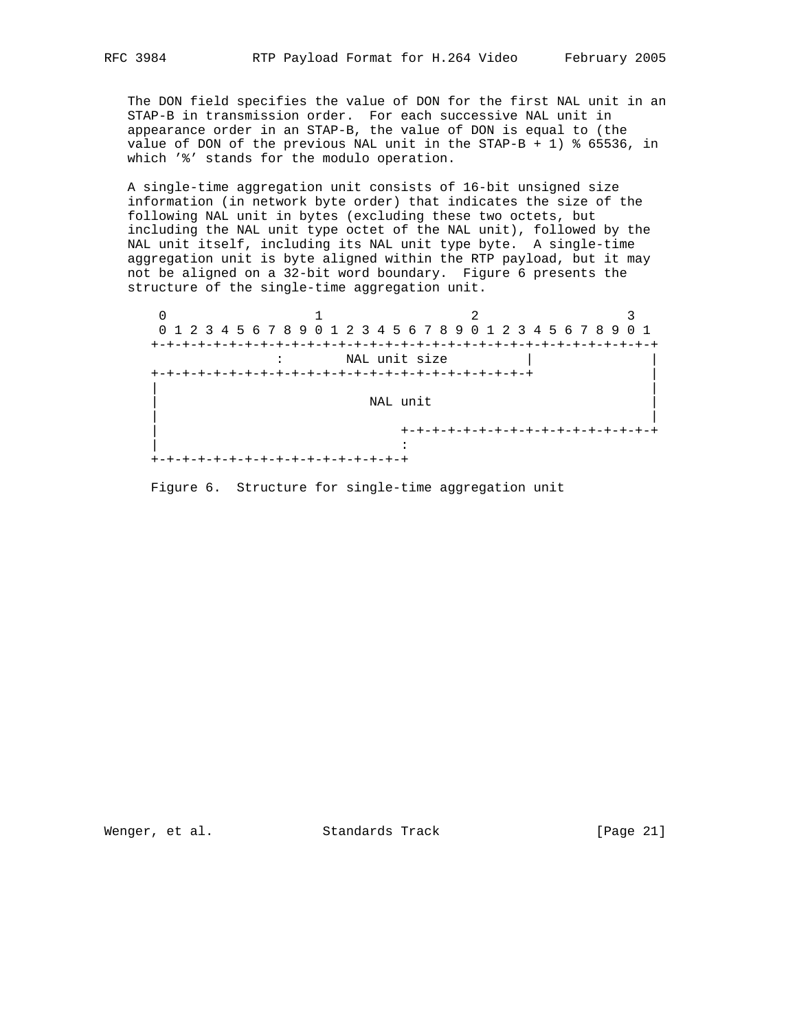The DON field specifies the value of DON for the first NAL unit in an STAP-B in transmission order. For each successive NAL unit in appearance order in an STAP-B, the value of DON is equal to (the value of DON of the previous NAL unit in the STAP-B + 1) % 65536, in which '%' stands for the modulo operation.

 A single-time aggregation unit consists of 16-bit unsigned size information (in network byte order) that indicates the size of the following NAL unit in bytes (excluding these two octets, but including the NAL unit type octet of the NAL unit), followed by the NAL unit itself, including its NAL unit type byte. A single-time aggregation unit is byte aligned within the RTP payload, but it may not be aligned on a 32-bit word boundary. Figure 6 presents the structure of the single-time aggregation unit.

 $0$  1 2 3 0 1 2 3 4 5 6 7 8 9 0 1 2 3 4 5 6 7 8 9 0 1 2 3 4 5 6 7 8 9 0 1 +-+-+-+-+-+-+-+-+-+-+-+-+-+-+-+-+-+-+-+-+-+-+-+-+-+-+-+-+-+-+-+-+ : NAL unit size +-+-+-+-+-+-+-+-+-+-+-+-+-+-+-+-+-+-+-+-+-+-+-+-+ | | | NAL unit | | | +-+-+-+-+-+-+-+-+-+-+-+-+-+-+-+-+ | : +-+-+-+-+-+-+-+-+-+-+-+-+-+-+-+-+

Figure 6. Structure for single-time aggregation unit

Wenger, et al. Standards Track [Page 21]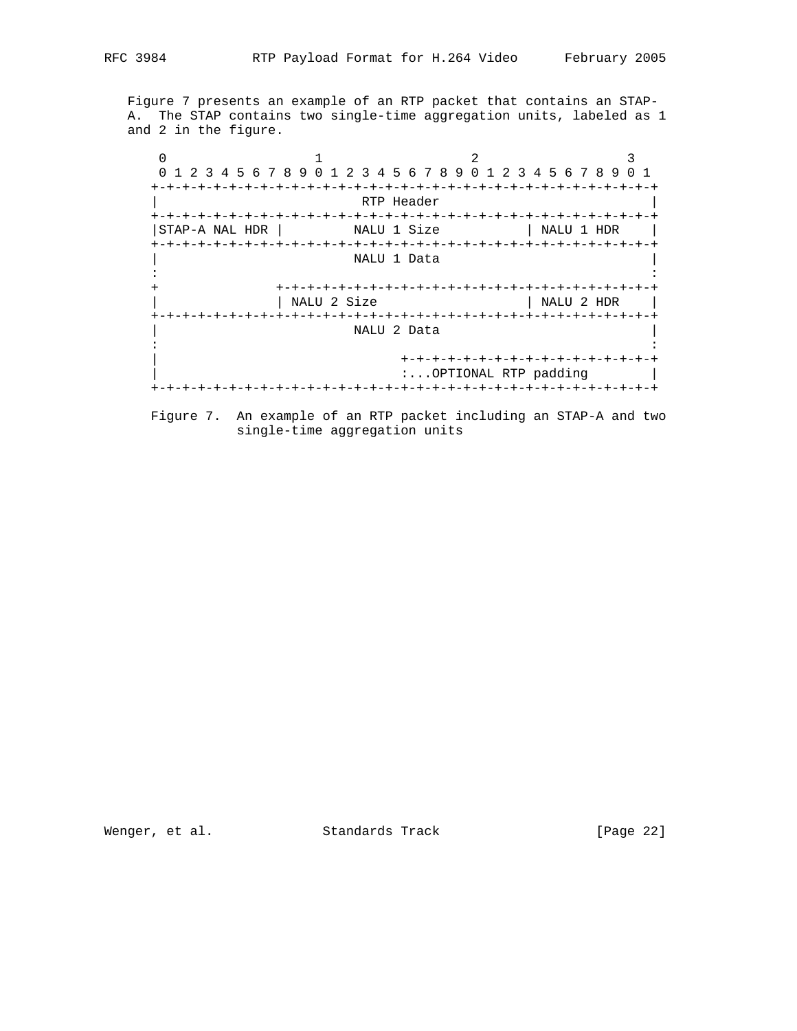Figure 7 presents an example of an RTP packet that contains an STAP- A. The STAP contains two single-time aggregation units, labeled as 1 and 2 in the figure.

 $0$  1 2 3 0 1 2 3 4 5 6 7 8 9 0 1 2 3 4 5 6 7 8 9 0 1 2 3 4 5 6 7 8 9 0 1 +-+-+-+-+-+-+-+-+-+-+-+-+-+-+-+-+-+-+-+-+-+-+-+-+-+-+-+-+-+-+-+-+ RTP Header +-+-+-+-+-+-+-+-+-+-+-+-+-+-+-+-+-+-+-+-+-+-+-+-+-+-+-+-+-+-+-+-+ |STAP-A NAL HDR | NALU 1 Size | NALU 1 HDR | +-+-+-+-+-+-+-+-+-+-+-+-+-+-+-+-+-+-+-+-+-+-+-+-+-+-+-+-+-+-+-+-+ NALU 1 Data : : + +-+-+-+-+-+-+-+-+-+-+-+-+-+-+-+-+-+-+-+-+-+-+-+-+ | NALU 2 Size +-+-+-+-+-+-+-+-+-+-+-+-+-+-+-+-+-+-+-+-+-+-+-+-+-+-+-+-+-+-+-+-+ | NALU 2 Data | : : | +-+-+-+-+-+-+-+-+-+-+-+-+-+-+-+-+ | :...OPTIONAL RTP padding | +-+-+-+-+-+-+-+-+-+-+-+-+-+-+-+-+-+-+-+-+-+-+-+-+-+-+-+-+-+-+-+-+



Wenger, et al. Standards Track [Page 22]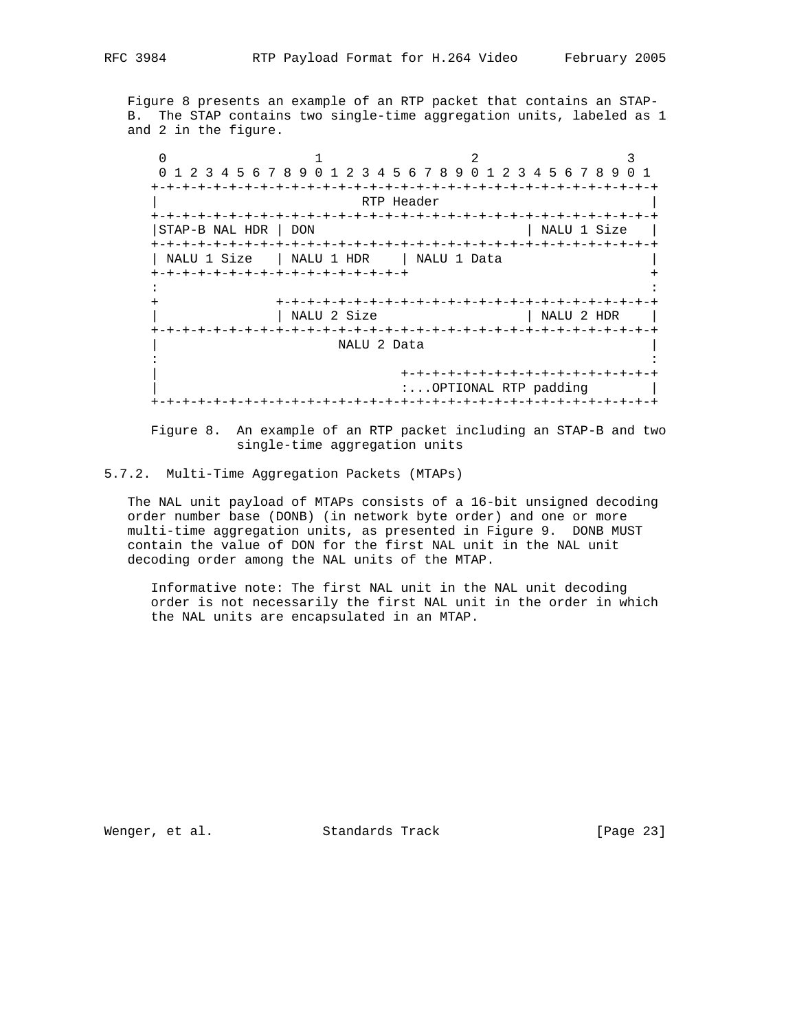Figure 8 presents an example of an RTP packet that contains an STAP- B. The STAP contains two single-time aggregation units, labeled as 1 and 2 in the figure.

 $0$  1 2 3 0 1 2 3 4 5 6 7 8 9 0 1 2 3 4 5 6 7 8 9 0 1 2 3 4 5 6 7 8 9 0 1 +-+-+-+-+-+-+-+-+-+-+-+-+-+-+-+-+-+-+-+-+-+-+-+-+-+-+-+-+-+-+-+-+ RTP Header +-+-+-+-+-+-+-+-+-+-+-+-+-+-+-+-+-+-+-+-+-+-+-+-+-+-+-+-+-+-+-+-+ |STAP-B NAL HDR | DON | NALU 1 Size | +-+-+-+-+-+-+-+-+-+-+-+-+-+-+-+-+-+-+-+-+-+-+-+-+-+-+-+-+-+-+-+-+ | NALU 1 Size | NALU 1 HDR | NALU 1 Data +-+-+-+-+-+-+-+-+-+-+-+-+-+-+-+-+ + : : + +-+-+-+-+-+-+-+-+-+-+-+-+-+-+-+-+-+-+-+-+-+-+-+-+ | | NALU 2 Size | NALU 2 HDR | +-+-+-+-+-+-+-+-+-+-+-+-+-+-+-+-+-+-+-+-+-+-+-+-+-+-+-+-+-+-+-+-+ NALU 2 Data : : | +-+-+-+-+-+-+-+-+-+-+-+-+-+-+-+-+ :...OPTIONAL RTP padding | +-+-+-+-+-+-+-+-+-+-+-+-+-+-+-+-+-+-+-+-+-+-+-+-+-+-+-+-+-+-+-+-+

 Figure 8. An example of an RTP packet including an STAP-B and two single-time aggregation units

5.7.2. Multi-Time Aggregation Packets (MTAPs)

 The NAL unit payload of MTAPs consists of a 16-bit unsigned decoding order number base (DONB) (in network byte order) and one or more multi-time aggregation units, as presented in Figure 9. DONB MUST contain the value of DON for the first NAL unit in the NAL unit decoding order among the NAL units of the MTAP.

 Informative note: The first NAL unit in the NAL unit decoding order is not necessarily the first NAL unit in the order in which the NAL units are encapsulated in an MTAP.

Wenger, et al. Standards Track [Page 23]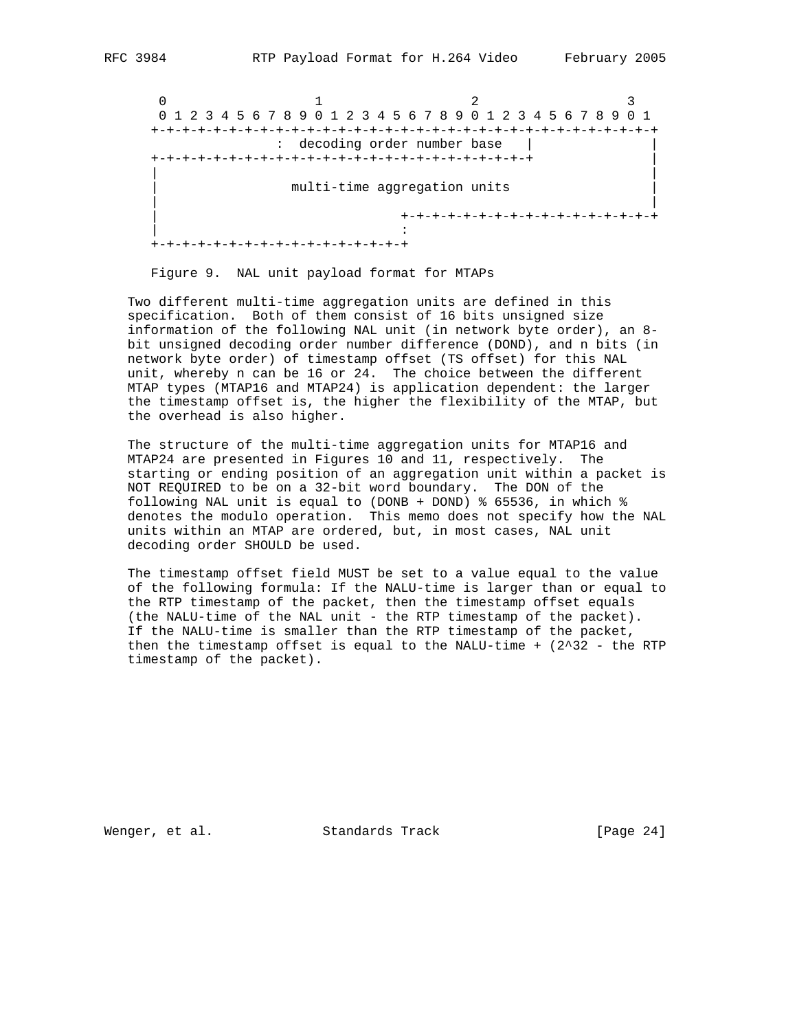$0$  1 2 3 0 1 2 3 4 5 6 7 8 9 0 1 2 3 4 5 6 7 8 9 0 1 2 3 4 5 6 7 8 9 0 1 +-+-+-+-+-+-+-+-+-+-+-+-+-+-+-+-+-+-+-+-+-+-+-+-+-+-+-+-+-+-+-+-+ : decoding order number base | | +-+-+-+-+-+-+-+-+-+-+-+-+-+-+-+-+-+-+-+-+-+-+-+-+ | | | multi-time aggregation units | | | +-+-+-+-+-+-+-+-+-+-+-+-+-+-+-+-+ | : +-+-+-+-+-+-+-+-+-+-+-+-+-+-+-+-+

Figure 9. NAL unit payload format for MTAPs

 Two different multi-time aggregation units are defined in this specification. Both of them consist of 16 bits unsigned size information of the following NAL unit (in network byte order), an 8 bit unsigned decoding order number difference (DOND), and n bits (in network byte order) of timestamp offset (TS offset) for this NAL unit, whereby n can be 16 or 24. The choice between the different MTAP types (MTAP16 and MTAP24) is application dependent: the larger the timestamp offset is, the higher the flexibility of the MTAP, but the overhead is also higher.

 The structure of the multi-time aggregation units for MTAP16 and MTAP24 are presented in Figures 10 and 11, respectively. The starting or ending position of an aggregation unit within a packet is NOT REQUIRED to be on a 32-bit word boundary. The DON of the following NAL unit is equal to (DONB + DOND) % 65536, in which % denotes the modulo operation. This memo does not specify how the NAL units within an MTAP are ordered, but, in most cases, NAL unit decoding order SHOULD be used.

 The timestamp offset field MUST be set to a value equal to the value of the following formula: If the NALU-time is larger than or equal to the RTP timestamp of the packet, then the timestamp offset equals (the NALU-time of the NAL unit - the RTP timestamp of the packet). If the NALU-time is smaller than the RTP timestamp of the packet, then the timestamp offset is equal to the NALU-time  $+$  (2^32 - the RTP timestamp of the packet).

Wenger, et al. Standards Track [Page 24]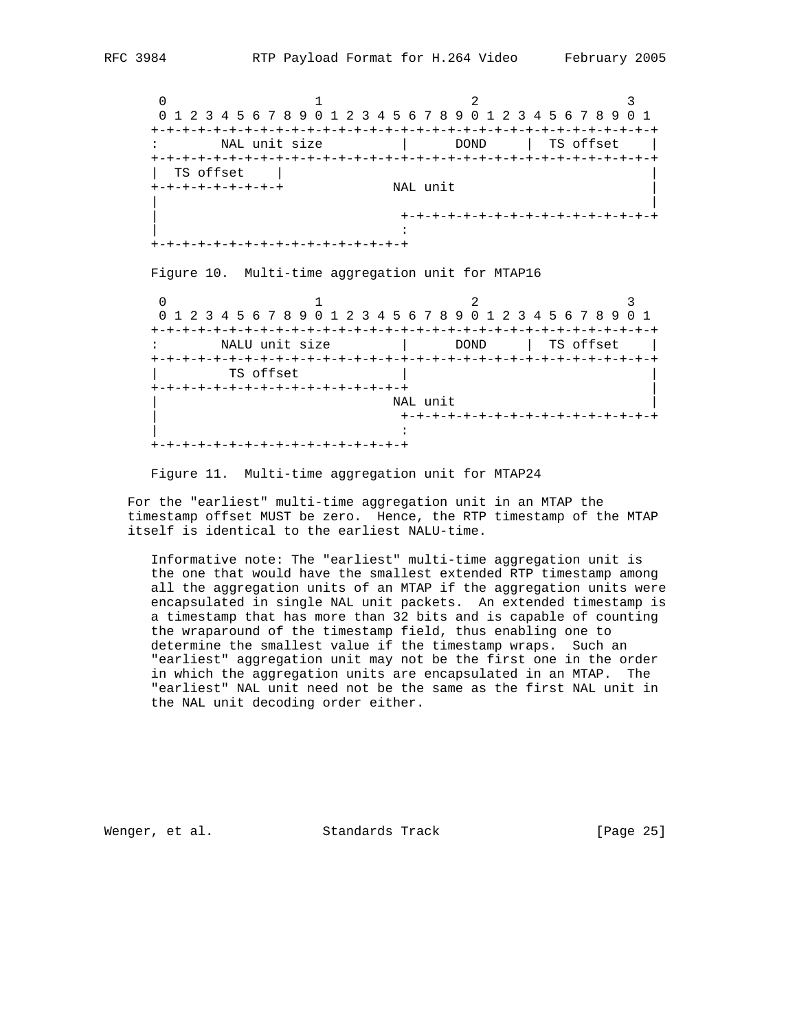$0$  1 2 3 0 1 2 3 4 5 6 7 8 9 0 1 2 3 4 5 6 7 8 9 0 1 2 3 4 5 6 7 8 9 0 1 +-+-+-+-+-+-+-+-+-+-+-+-+-+-+-+-+-+-+-+-+-+-+-+-+-+-+-+-+-+-+-+-+ : NAL unit size | DOND | TS offset | +-+-+-+-+-+-+-+-+-+-+-+-+-+-+-+-+-+-+-+-+-+-+-+-+-+-+-+-+-+-+-+-+ | TS offset | | +-+-+-+-+-+-+-+-+ NAL unit | | | | +-+-+-+-+-+-+-+-+-+-+-+-+-+-+-+-+ | : +-+-+-+-+-+-+-+-+-+-+-+-+-+-+-+-+

Figure 10. Multi-time aggregation unit for MTAP16

0  $1$  2 3 0 1 2 3 4 5 6 7 8 9 0 1 2 3 4 5 6 7 8 9 0 1 2 3 4 5 6 7 8 9 0 1 +-+-+-+-+-+-+-+-+-+-+-+-+-+-+-+-+-+-+-+-+-+-+-+-+-+-+-+-+-+-+-+-+ NALU unit size  $|$  DOND | TS offset | +-+-+-+-+-+-+-+-+-+-+-+-+-+-+-+-+-+-+-+-+-+-+-+-+-+-+-+-+-+-+-+-+ TS offset +-+-+-+-+-+-+-+-+-+-+-+-+-+-+-+-+ |  $\blacksquare$   $\blacksquare$   $\blacksquare$   $\blacksquare$   $\blacksquare$   $\blacksquare$   $\blacksquare$   $\blacksquare$   $\blacksquare$   $\blacksquare$   $\blacksquare$   $\blacksquare$   $\blacksquare$   $\blacksquare$   $\blacksquare$   $\blacksquare$   $\blacksquare$   $\blacksquare$   $\blacksquare$   $\blacksquare$   $\blacksquare$   $\blacksquare$   $\blacksquare$   $\blacksquare$   $\blacksquare$   $\blacksquare$   $\blacksquare$   $\blacksquare$   $\blacksquare$   $\blacksquare$   $\blacksquare$   $\blacks$  | +-+-+-+-+-+-+-+-+-+-+-+-+-+-+-+-+ | : +-+-+-+-+-+-+-+-+-+-+-+-+-+-+-+-+

Figure 11. Multi-time aggregation unit for MTAP24

 For the "earliest" multi-time aggregation unit in an MTAP the timestamp offset MUST be zero. Hence, the RTP timestamp of the MTAP itself is identical to the earliest NALU-time.

 Informative note: The "earliest" multi-time aggregation unit is the one that would have the smallest extended RTP timestamp among all the aggregation units of an MTAP if the aggregation units were encapsulated in single NAL unit packets. An extended timestamp is a timestamp that has more than 32 bits and is capable of counting the wraparound of the timestamp field, thus enabling one to determine the smallest value if the timestamp wraps. Such an "earliest" aggregation unit may not be the first one in the order in which the aggregation units are encapsulated in an MTAP. The "earliest" NAL unit need not be the same as the first NAL unit in the NAL unit decoding order either.

Wenger, et al. Standards Track [Page 25]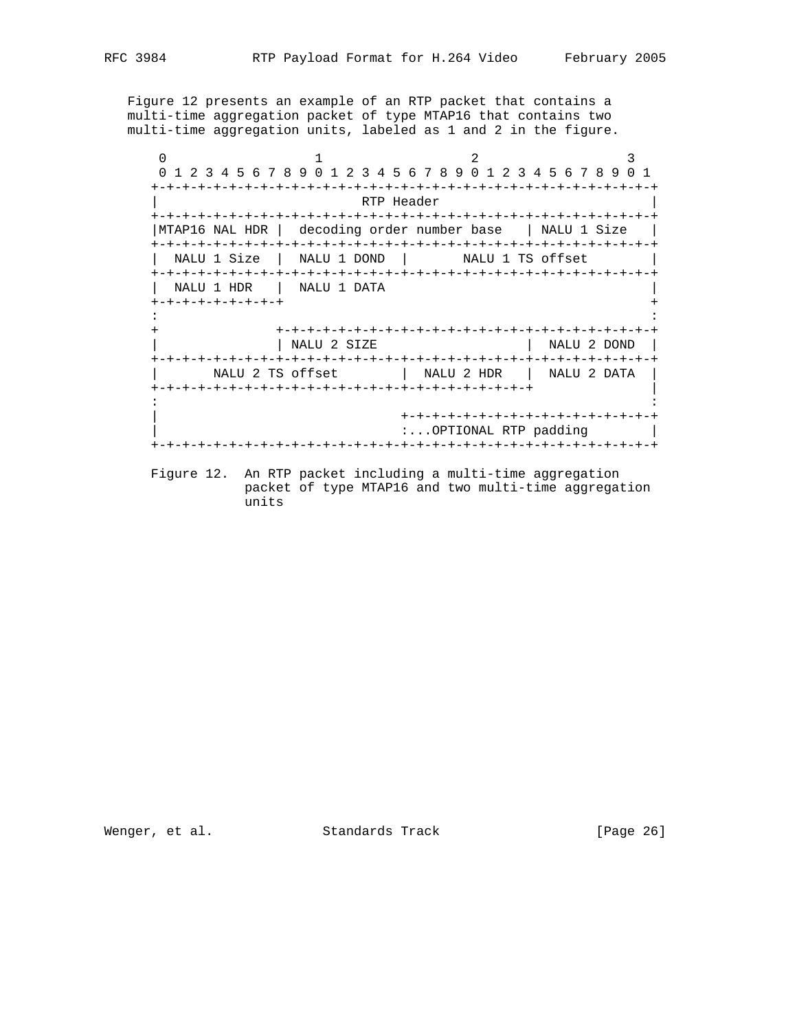Figure 12 presents an example of an RTP packet that contains a multi-time aggregation packet of type MTAP16 that contains two multi-time aggregation units, labeled as 1 and 2 in the figure.

 $0$  1 2 3 0 1 2 3 4 5 6 7 8 9 0 1 2 3 4 5 6 7 8 9 0 1 2 3 4 5 6 7 8 9 0 1 +-+-+-+-+-+-+-+-+-+-+-+-+-+-+-+-+-+-+-+-+-+-+-+-+-+-+-+-+-+-+-+-+ RTP Header +-+-+-+-+-+-+-+-+-+-+-+-+-+-+-+-+-+-+-+-+-+-+-+-+-+-+-+-+-+-+-+-+ |MTAP16 NAL HDR | decoding order number base | NALU 1 Size | +-+-+-+-+-+-+-+-+-+-+-+-+-+-+-+-+-+-+-+-+-+-+-+-+-+-+-+-+-+-+-+-+ NALU 1 Size | NALU 1 DOND | NALU 1 TS offset +-+-+-+-+-+-+-+-+-+-+-+-+-+-+-+-+-+-+-+-+-+-+-+-+-+-+-+-+-+-+-+-+ | NALU 1 HDR | NALU 1 DATA | +-+-+-+-+-+-+-+-+ + : : + +-+-+-+-+-+-+-+-+-+-+-+-+-+-+-+-+-+-+-+-+-+-+-+-+ | | NALU 2 SIZE | NALU 2 DOND | +-+-+-+-+-+-+-+-+-+-+-+-+-+-+-+-+-+-+-+-+-+-+-+-+-+-+-+-+-+-+-+-+ | NALU 2 TS offset | NALU 2 HDR | NALU 2 DATA | +-+-+-+-+-+-+-+-+-+-+-+-+-+-+-+-+-+-+-+-+-+-+-+-+ | : : | +-+-+-+-+-+-+-+-+-+-+-+-+-+-+-+-+ :...OPTIONAL RTP padding | +-+-+-+-+-+-+-+-+-+-+-+-+-+-+-+-+-+-+-+-+-+-+-+-+-+-+-+-+-+-+-+-+

 Figure 12. An RTP packet including a multi-time aggregation packet of type MTAP16 and two multi-time aggregation units

Wenger, et al. Standards Track [Page 26]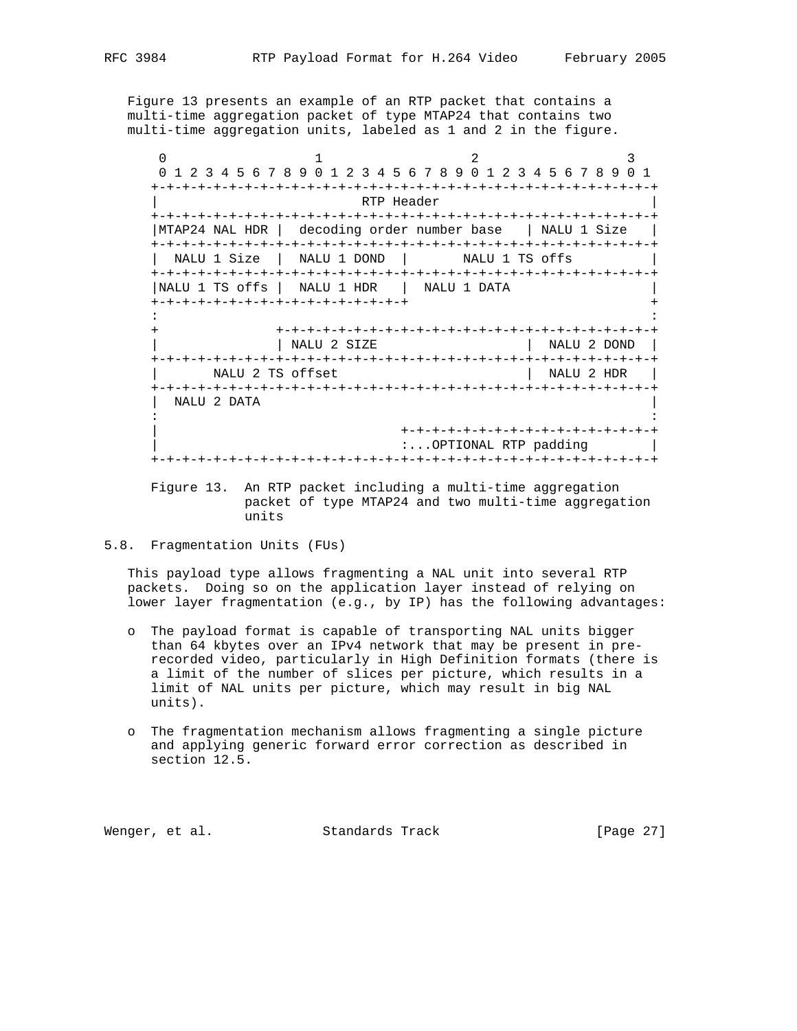Figure 13 presents an example of an RTP packet that contains a multi-time aggregation packet of type MTAP24 that contains two multi-time aggregation units, labeled as 1 and 2 in the figure.

 $0$  1 2 3 0 1 2 3 4 5 6 7 8 9 0 1 2 3 4 5 6 7 8 9 0 1 2 3 4 5 6 7 8 9 0 1 +-+-+-+-+-+-+-+-+-+-+-+-+-+-+-+-+-+-+-+-+-+-+-+-+-+-+-+-+-+-+-+-+ RTP Header +-+-+-+-+-+-+-+-+-+-+-+-+-+-+-+-+-+-+-+-+-+-+-+-+-+-+-+-+-+-+-+-+ |MTAP24 NAL HDR | decoding order number base | NALU 1 Size | +-+-+-+-+-+-+-+-+-+-+-+-+-+-+-+-+-+-+-+-+-+-+-+-+-+-+-+-+-+-+-+-+ NALU 1 Size | NALU 1 DOND | NALU 1 TS offs +-+-+-+-+-+-+-+-+-+-+-+-+-+-+-+-+-+-+-+-+-+-+-+-+-+-+-+-+-+-+-+-+ |NALU 1 TS offs | NALU 1 HDR | NALU 1 DATA | +-+-+-+-+-+-+-+-+-+-+-+-+-+-+-+-+ + : : + +-+-+-+-+-+-+-+-+-+-+-+-+-+-+-+-+-+-+-+-+-+-+-+-+ | | NALU 2 SIZE | NALU 2 DOND | +-+-+-+-+-+-+-+-+-+-+-+-+-+-+-+-+-+-+-+-+-+-+-+-+-+-+-+-+-+-+-+-+ | NALU 2 TS offset | NALU 2 HDR | +-+-+-+-+-+-+-+-+-+-+-+-+-+-+-+-+-+-+-+-+-+-+-+-+-+-+-+-+-+-+-+-+ | NALU 2 DATA | : : | +-+-+-+-+-+-+-+-+-+-+-+-+-+-+-+-+ :...OPTIONAL RTP padding | +-+-+-+-+-+-+-+-+-+-+-+-+-+-+-+-+-+-+-+-+-+-+-+-+-+-+-+-+-+-+-+-+

 Figure 13. An RTP packet including a multi-time aggregation packet of type MTAP24 and two multi-time aggregation units

5.8. Fragmentation Units (FUs)

 This payload type allows fragmenting a NAL unit into several RTP packets. Doing so on the application layer instead of relying on lower layer fragmentation (e.g., by IP) has the following advantages:

- o The payload format is capable of transporting NAL units bigger than 64 kbytes over an IPv4 network that may be present in pre recorded video, particularly in High Definition formats (there is a limit of the number of slices per picture, which results in a limit of NAL units per picture, which may result in big NAL units).
- o The fragmentation mechanism allows fragmenting a single picture and applying generic forward error correction as described in section 12.5.

Wenger, et al. Standards Track [Page 27]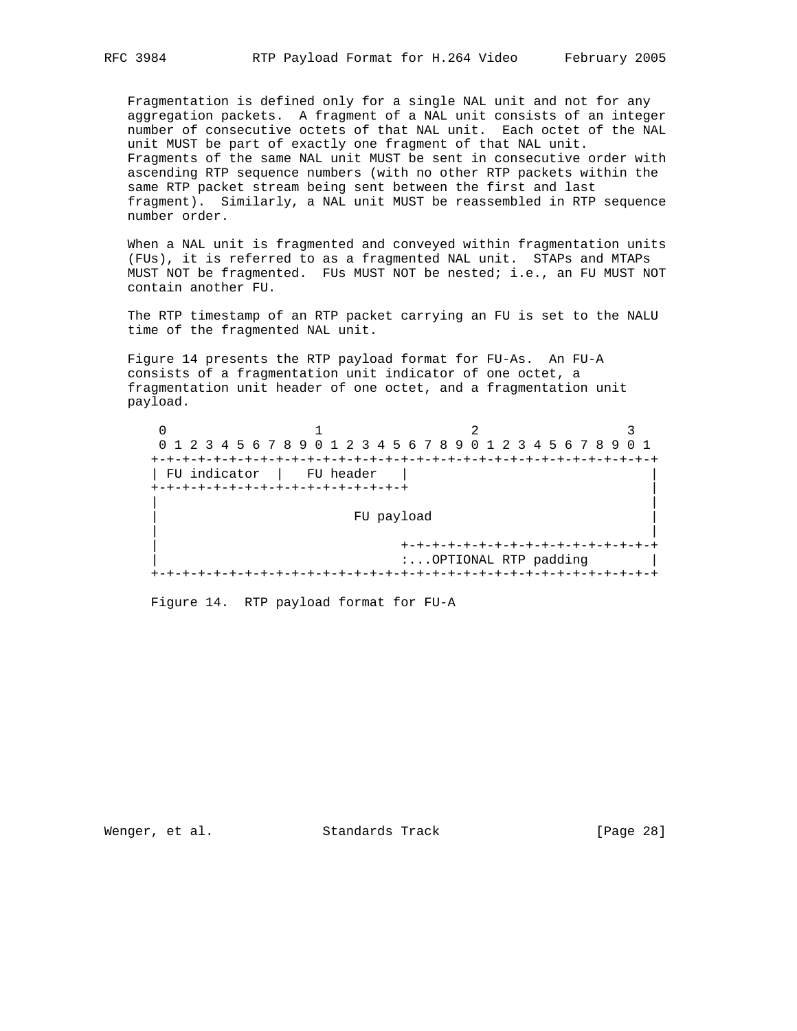Fragmentation is defined only for a single NAL unit and not for any aggregation packets. A fragment of a NAL unit consists of an integer number of consecutive octets of that NAL unit. Each octet of the NAL unit MUST be part of exactly one fragment of that NAL unit. Fragments of the same NAL unit MUST be sent in consecutive order with ascending RTP sequence numbers (with no other RTP packets within the same RTP packet stream being sent between the first and last fragment). Similarly, a NAL unit MUST be reassembled in RTP sequence number order.

 When a NAL unit is fragmented and conveyed within fragmentation units (FUs), it is referred to as a fragmented NAL unit. STAPs and MTAPs MUST NOT be fragmented. FUs MUST NOT be nested; i.e., an FU MUST NOT contain another FU.

 The RTP timestamp of an RTP packet carrying an FU is set to the NALU time of the fragmented NAL unit.

 Figure 14 presents the RTP payload format for FU-As. An FU-A consists of a fragmentation unit indicator of one octet, a fragmentation unit header of one octet, and a fragmentation unit payload.

0  $1$  2 3 0 1 2 3 4 5 6 7 8 9 0 1 2 3 4 5 6 7 8 9 0 1 2 3 4 5 6 7 8 9 0 1 +-+-+-+-+-+-+-+-+-+-+-+-+-+-+-+-+-+-+-+-+-+-+-+-+-+-+-+-+-+-+-+-+ | FU indicator | FU header | | +-+-+-+-+-+-+-+-+-+-+-+-+-+-+-+-+ | | | FU payload | | | +-+-+-+-+-+-+-+-+-+-+-+-+-+-+-+-+ | :...OPTIONAL RTP padding | +-+-+-+-+-+-+-+-+-+-+-+-+-+-+-+-+-+-+-+-+-+-+-+-+-+-+-+-+-+-+-+-+

Figure 14. RTP payload format for FU-A

Wenger, et al. Standards Track [Page 28]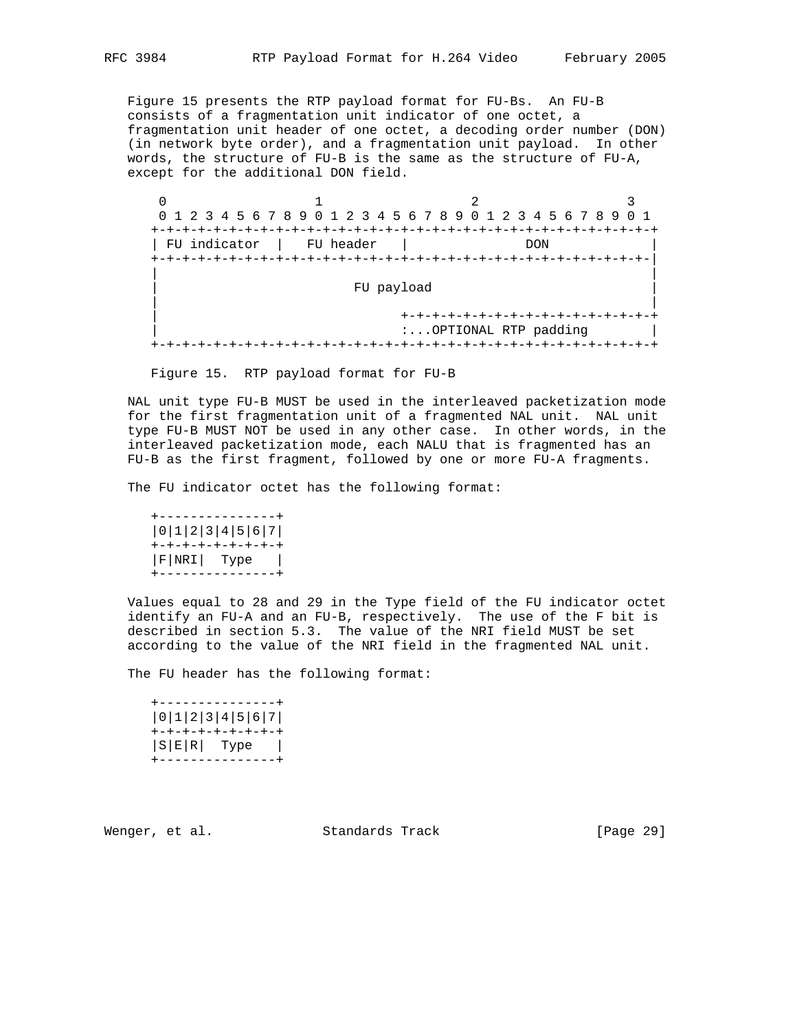Figure 15 presents the RTP payload format for FU-Bs. An FU-B consists of a fragmentation unit indicator of one octet, a fragmentation unit header of one octet, a decoding order number (DON) (in network byte order), and a fragmentation unit payload. In other words, the structure of FU-B is the same as the structure of FU-A, except for the additional DON field.

 $0$  1 2 3 0 1 2 3 4 5 6 7 8 9 0 1 2 3 4 5 6 7 8 9 0 1 2 3 4 5 6 7 8 9 0 1 +-+-+-+-+-+-+-+-+-+-+-+-+-+-+-+-+-+-+-+-+-+-+-+-+-+-+-+-+-+-+-+-+ | FU indicator | FU header | DON +-+-+-+-+-+-+-+-+-+-+-+-+-+-+-+-+-+-+-+-+-+-+-+-+-+-+-+-+-+-+-+-| | | | FU payload | | | | +-+-+-+-+-+-+-+-+-+-+-+-+-+-+-+-+ | :...OPTIONAL RTP padding | +-+-+-+-+-+-+-+-+-+-+-+-+-+-+-+-+-+-+-+-+-+-+-+-+-+-+-+-+-+-+-+-+

Figure 15. RTP payload format for FU-B

 NAL unit type FU-B MUST be used in the interleaved packetization mode for the first fragmentation unit of a fragmented NAL unit. NAL unit type FU-B MUST NOT be used in any other case. In other words, in the interleaved packetization mode, each NALU that is fragmented has an FU-B as the first fragment, followed by one or more FU-A fragments.

The FU indicator octet has the following format:

 +---------------+ |0|1|2|3|4|5|6|7| +-+-+-+-+-+-+-+-+ |F|NRI| Type | +---------------+

 Values equal to 28 and 29 in the Type field of the FU indicator octet identify an FU-A and an FU-B, respectively. The use of the F bit is described in section 5.3. The value of the NRI field MUST be set according to the value of the NRI field in the fragmented NAL unit.

The FU header has the following format:

|  | ----------            |
|--|-----------------------|
|  | 0 1 2 3 4 5 6 7       |
|  | +-+-+-+-+-+-+-+-+     |
|  | $ S E R $ Type $ $    |
|  | . _ _ _ _ _ _ _ _ _ _ |

Wenger, et al. Standards Track [Page 29]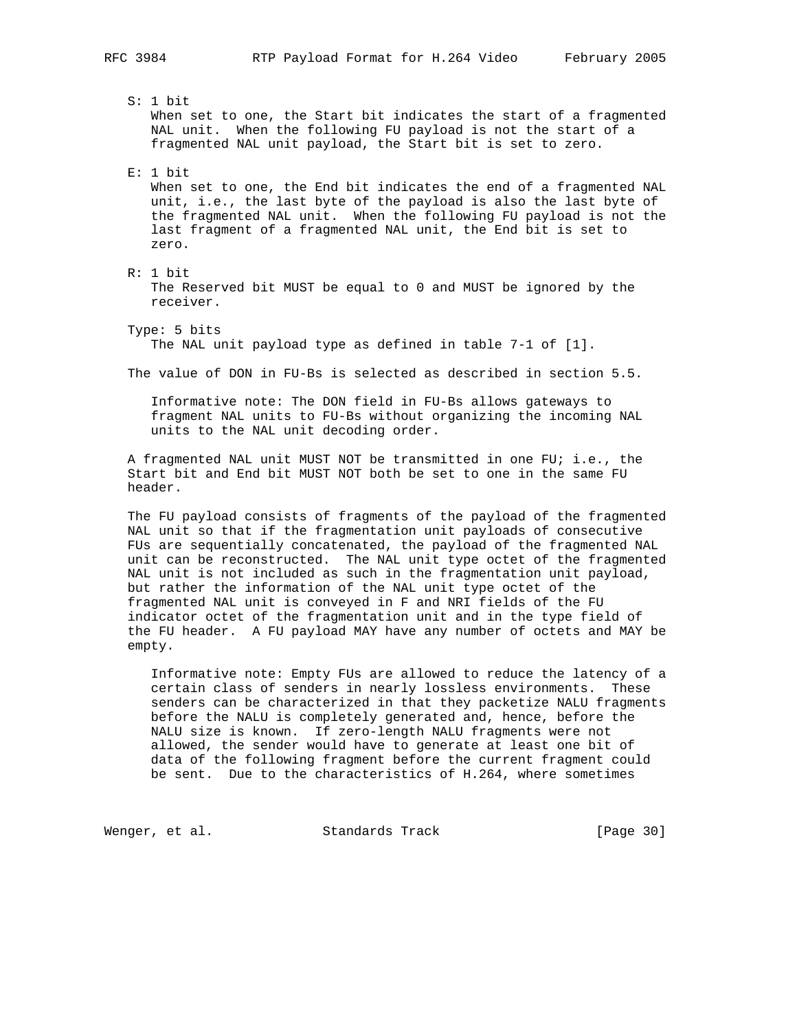S: 1 bit When set to one, the Start bit indicates the start of a fragmented NAL unit. When the following FU payload is not the start of a fragmented NAL unit payload, the Start bit is set to zero.

E: 1 bit

 When set to one, the End bit indicates the end of a fragmented NAL unit, i.e., the last byte of the payload is also the last byte of the fragmented NAL unit. When the following FU payload is not the last fragment of a fragmented NAL unit, the End bit is set to zero.

R: 1 bit

 The Reserved bit MUST be equal to 0 and MUST be ignored by the receiver.

Type: 5 bits

The NAL unit payload type as defined in table 7-1 of [1].

The value of DON in FU-Bs is selected as described in section 5.5.

 Informative note: The DON field in FU-Bs allows gateways to fragment NAL units to FU-Bs without organizing the incoming NAL units to the NAL unit decoding order.

 A fragmented NAL unit MUST NOT be transmitted in one FU; i.e., the Start bit and End bit MUST NOT both be set to one in the same FU header.

 The FU payload consists of fragments of the payload of the fragmented NAL unit so that if the fragmentation unit payloads of consecutive FUs are sequentially concatenated, the payload of the fragmented NAL unit can be reconstructed. The NAL unit type octet of the fragmented NAL unit is not included as such in the fragmentation unit payload, but rather the information of the NAL unit type octet of the fragmented NAL unit is conveyed in F and NRI fields of the FU indicator octet of the fragmentation unit and in the type field of the FU header. A FU payload MAY have any number of octets and MAY be empty.

 Informative note: Empty FUs are allowed to reduce the latency of a certain class of senders in nearly lossless environments. These senders can be characterized in that they packetize NALU fragments before the NALU is completely generated and, hence, before the NALU size is known. If zero-length NALU fragments were not allowed, the sender would have to generate at least one bit of data of the following fragment before the current fragment could be sent. Due to the characteristics of H.264, where sometimes

Wenger, et al. Standards Track [Page 30]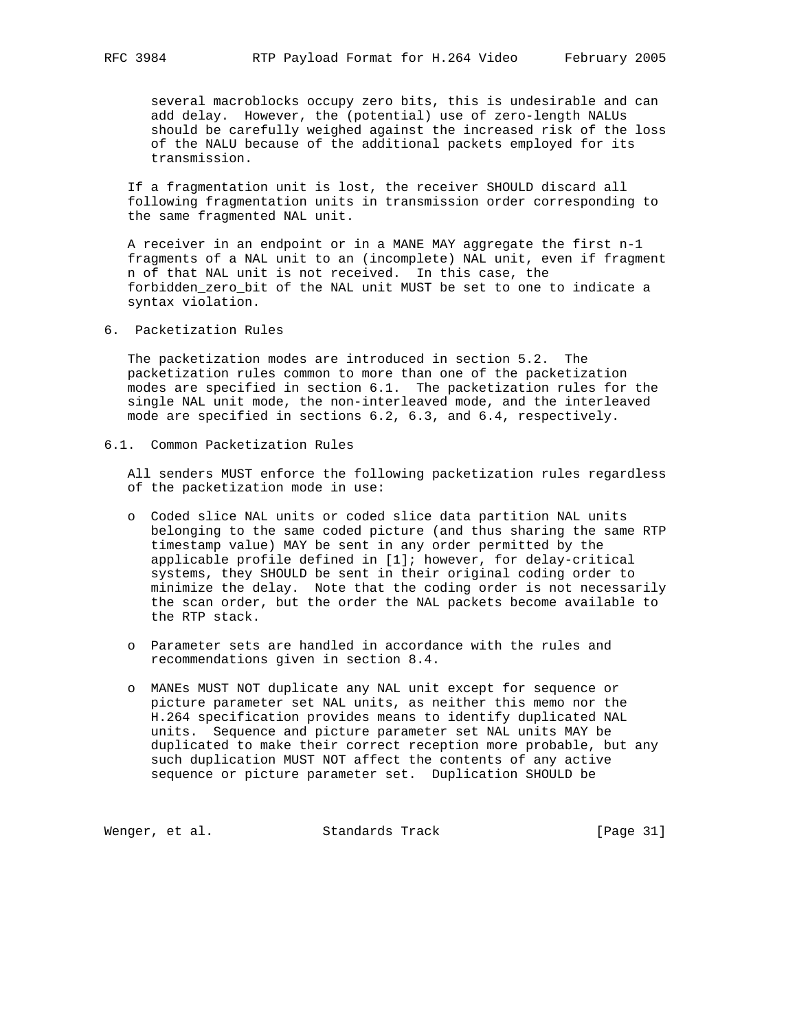several macroblocks occupy zero bits, this is undesirable and can add delay. However, the (potential) use of zero-length NALUs should be carefully weighed against the increased risk of the loss of the NALU because of the additional packets employed for its transmission.

 If a fragmentation unit is lost, the receiver SHOULD discard all following fragmentation units in transmission order corresponding to the same fragmented NAL unit.

 A receiver in an endpoint or in a MANE MAY aggregate the first n-1 fragments of a NAL unit to an (incomplete) NAL unit, even if fragment n of that NAL unit is not received. In this case, the forbidden\_zero\_bit of the NAL unit MUST be set to one to indicate a syntax violation.

6. Packetization Rules

 The packetization modes are introduced in section 5.2. The packetization rules common to more than one of the packetization modes are specified in section 6.1. The packetization rules for the single NAL unit mode, the non-interleaved mode, and the interleaved mode are specified in sections 6.2, 6.3, and 6.4, respectively.

6.1. Common Packetization Rules

 All senders MUST enforce the following packetization rules regardless of the packetization mode in use:

- o Coded slice NAL units or coded slice data partition NAL units belonging to the same coded picture (and thus sharing the same RTP timestamp value) MAY be sent in any order permitted by the applicable profile defined in [1]; however, for delay-critical systems, they SHOULD be sent in their original coding order to minimize the delay. Note that the coding order is not necessarily the scan order, but the order the NAL packets become available to the RTP stack.
- o Parameter sets are handled in accordance with the rules and recommendations given in section 8.4.
- o MANEs MUST NOT duplicate any NAL unit except for sequence or picture parameter set NAL units, as neither this memo nor the H.264 specification provides means to identify duplicated NAL units. Sequence and picture parameter set NAL units MAY be duplicated to make their correct reception more probable, but any such duplication MUST NOT affect the contents of any active sequence or picture parameter set. Duplication SHOULD be

Wenger, et al. Standards Track [Page 31]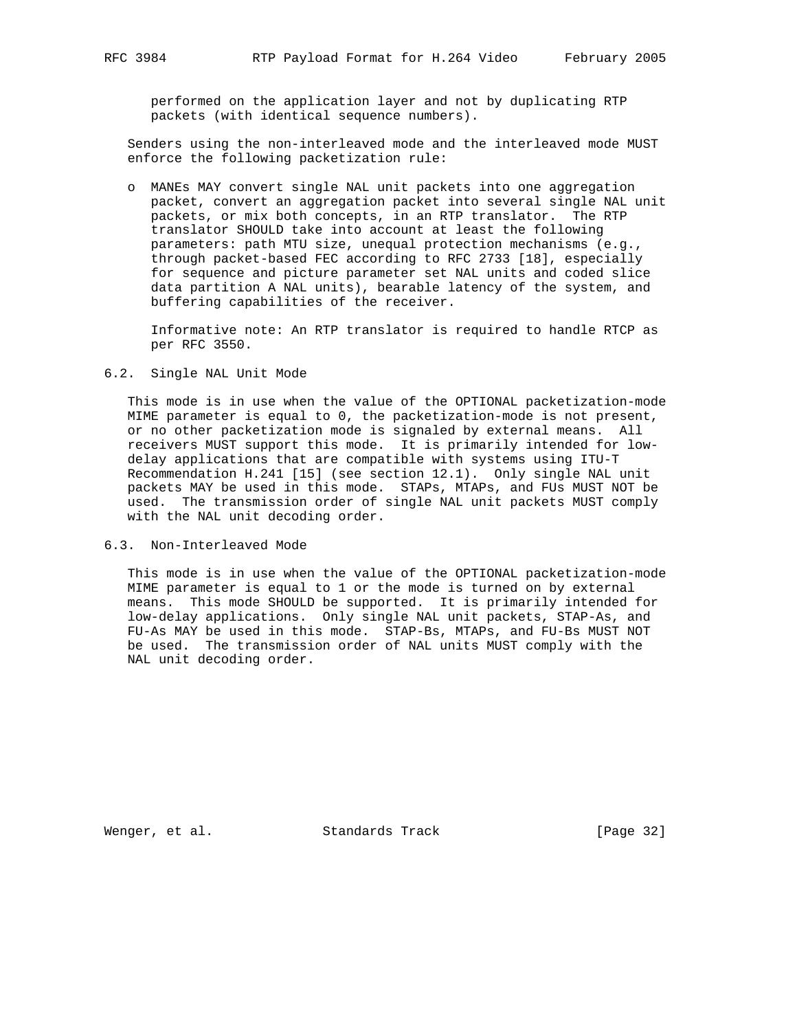performed on the application layer and not by duplicating RTP packets (with identical sequence numbers).

 Senders using the non-interleaved mode and the interleaved mode MUST enforce the following packetization rule:

 o MANEs MAY convert single NAL unit packets into one aggregation packet, convert an aggregation packet into several single NAL unit packets, or mix both concepts, in an RTP translator. The RTP translator SHOULD take into account at least the following parameters: path MTU size, unequal protection mechanisms (e.g., through packet-based FEC according to RFC 2733 [18], especially for sequence and picture parameter set NAL units and coded slice data partition A NAL units), bearable latency of the system, and buffering capabilities of the receiver.

 Informative note: An RTP translator is required to handle RTCP as per RFC 3550.

### 6.2. Single NAL Unit Mode

 This mode is in use when the value of the OPTIONAL packetization-mode MIME parameter is equal to 0, the packetization-mode is not present, or no other packetization mode is signaled by external means. All receivers MUST support this mode. It is primarily intended for low delay applications that are compatible with systems using ITU-T Recommendation H.241 [15] (see section 12.1). Only single NAL unit packets MAY be used in this mode. STAPs, MTAPs, and FUs MUST NOT be used. The transmission order of single NAL unit packets MUST comply with the NAL unit decoding order.

6.3. Non-Interleaved Mode

 This mode is in use when the value of the OPTIONAL packetization-mode MIME parameter is equal to 1 or the mode is turned on by external means. This mode SHOULD be supported. It is primarily intended for low-delay applications. Only single NAL unit packets, STAP-As, and FU-As MAY be used in this mode. STAP-Bs, MTAPs, and FU-Bs MUST NOT be used. The transmission order of NAL units MUST comply with the NAL unit decoding order.

Wenger, et al. Standards Track [Page 32]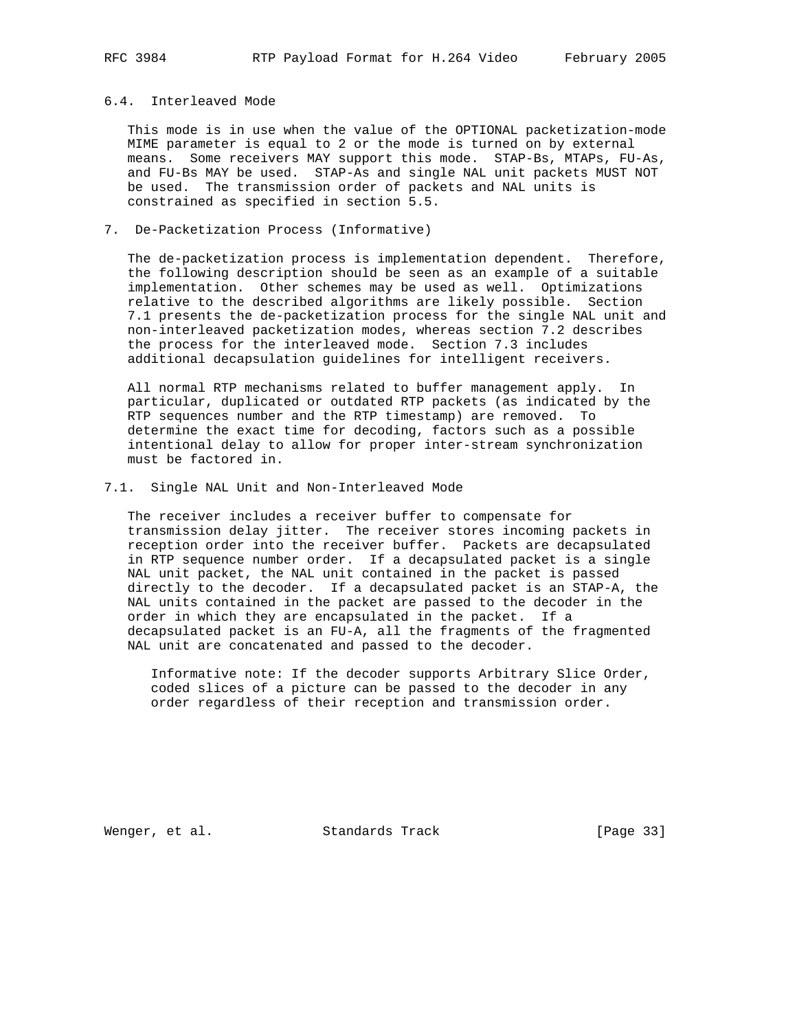### 6.4. Interleaved Mode

 This mode is in use when the value of the OPTIONAL packetization-mode MIME parameter is equal to 2 or the mode is turned on by external means. Some receivers MAY support this mode. STAP-Bs, MTAPs, FU-As, and FU-Bs MAY be used. STAP-As and single NAL unit packets MUST NOT be used. The transmission order of packets and NAL units is constrained as specified in section 5.5.

7. De-Packetization Process (Informative)

 The de-packetization process is implementation dependent. Therefore, the following description should be seen as an example of a suitable implementation. Other schemes may be used as well. Optimizations relative to the described algorithms are likely possible. Section 7.1 presents the de-packetization process for the single NAL unit and non-interleaved packetization modes, whereas section 7.2 describes the process for the interleaved mode. Section 7.3 includes additional decapsulation guidelines for intelligent receivers.

 All normal RTP mechanisms related to buffer management apply. In particular, duplicated or outdated RTP packets (as indicated by the RTP sequences number and the RTP timestamp) are removed. To determine the exact time for decoding, factors such as a possible intentional delay to allow for proper inter-stream synchronization must be factored in.

7.1. Single NAL Unit and Non-Interleaved Mode

 The receiver includes a receiver buffer to compensate for transmission delay jitter. The receiver stores incoming packets in reception order into the receiver buffer. Packets are decapsulated in RTP sequence number order. If a decapsulated packet is a single NAL unit packet, the NAL unit contained in the packet is passed directly to the decoder. If a decapsulated packet is an STAP-A, the NAL units contained in the packet are passed to the decoder in the order in which they are encapsulated in the packet. If a decapsulated packet is an FU-A, all the fragments of the fragmented NAL unit are concatenated and passed to the decoder.

 Informative note: If the decoder supports Arbitrary Slice Order, coded slices of a picture can be passed to the decoder in any order regardless of their reception and transmission order.

Wenger, et al. Standards Track [Page 33]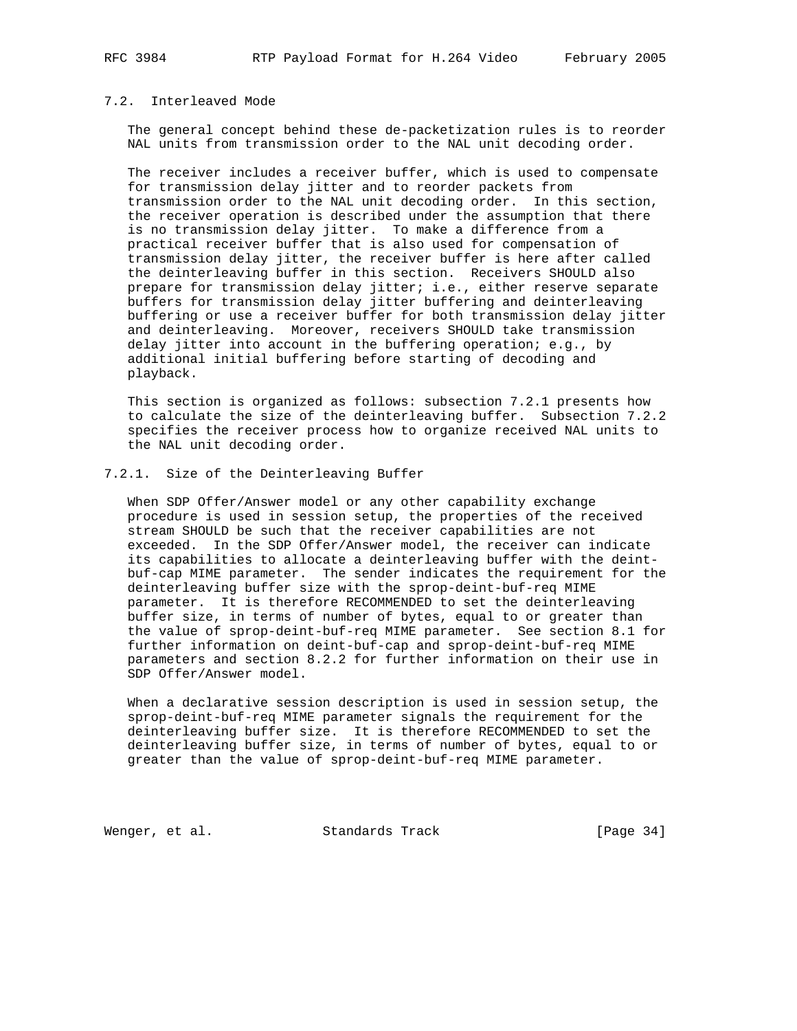### 7.2. Interleaved Mode

 The general concept behind these de-packetization rules is to reorder NAL units from transmission order to the NAL unit decoding order.

 The receiver includes a receiver buffer, which is used to compensate for transmission delay jitter and to reorder packets from transmission order to the NAL unit decoding order. In this section, the receiver operation is described under the assumption that there is no transmission delay jitter. To make a difference from a practical receiver buffer that is also used for compensation of transmission delay jitter, the receiver buffer is here after called the deinterleaving buffer in this section. Receivers SHOULD also prepare for transmission delay jitter; i.e., either reserve separate buffers for transmission delay jitter buffering and deinterleaving buffering or use a receiver buffer for both transmission delay jitter and deinterleaving. Moreover, receivers SHOULD take transmission delay jitter into account in the buffering operation; e.g., by additional initial buffering before starting of decoding and playback.

 This section is organized as follows: subsection 7.2.1 presents how to calculate the size of the deinterleaving buffer. Subsection 7.2.2 specifies the receiver process how to organize received NAL units to the NAL unit decoding order.

### 7.2.1. Size of the Deinterleaving Buffer

 When SDP Offer/Answer model or any other capability exchange procedure is used in session setup, the properties of the received stream SHOULD be such that the receiver capabilities are not exceeded. In the SDP Offer/Answer model, the receiver can indicate its capabilities to allocate a deinterleaving buffer with the deint buf-cap MIME parameter. The sender indicates the requirement for the deinterleaving buffer size with the sprop-deint-buf-req MIME parameter. It is therefore RECOMMENDED to set the deinterleaving buffer size, in terms of number of bytes, equal to or greater than the value of sprop-deint-buf-req MIME parameter. See section 8.1 for further information on deint-buf-cap and sprop-deint-buf-req MIME parameters and section 8.2.2 for further information on their use in SDP Offer/Answer model.

 When a declarative session description is used in session setup, the sprop-deint-buf-req MIME parameter signals the requirement for the deinterleaving buffer size. It is therefore RECOMMENDED to set the deinterleaving buffer size, in terms of number of bytes, equal to or greater than the value of sprop-deint-buf-req MIME parameter.

Wenger, et al. Standards Track [Page 34]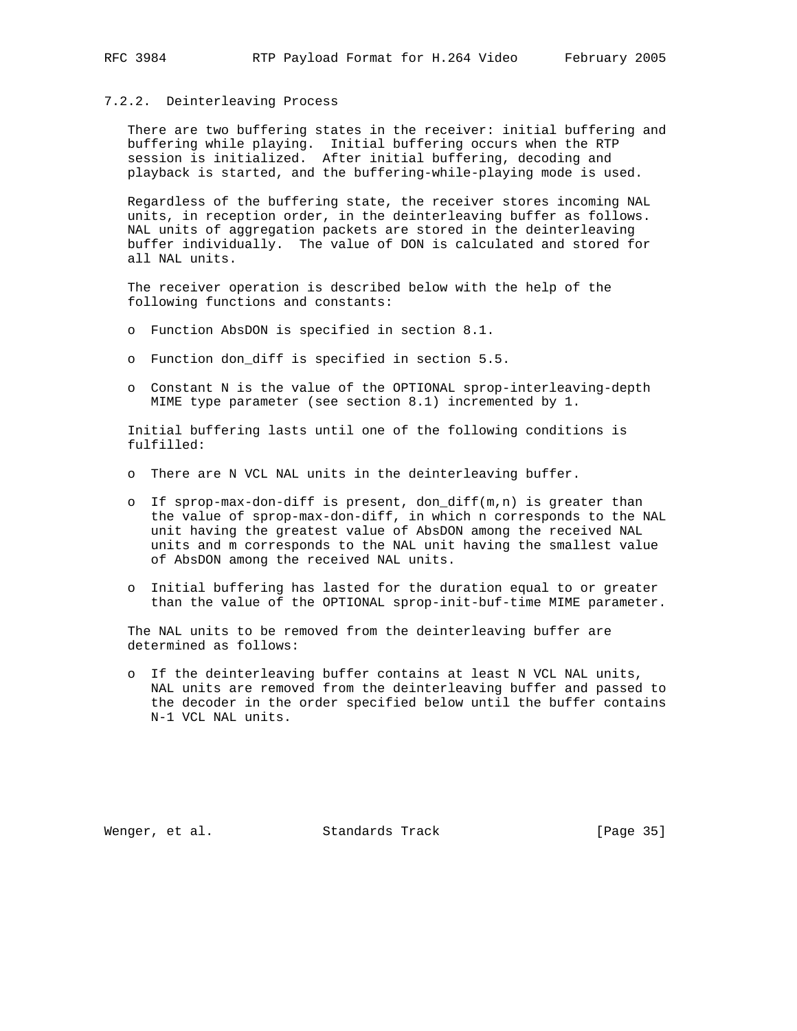#### 7.2.2. Deinterleaving Process

 There are two buffering states in the receiver: initial buffering and buffering while playing. Initial buffering occurs when the RTP session is initialized. After initial buffering, decoding and playback is started, and the buffering-while-playing mode is used.

 Regardless of the buffering state, the receiver stores incoming NAL units, in reception order, in the deinterleaving buffer as follows. NAL units of aggregation packets are stored in the deinterleaving buffer individually. The value of DON is calculated and stored for all NAL units.

 The receiver operation is described below with the help of the following functions and constants:

- o Function AbsDON is specified in section 8.1.
- o Function don\_diff is specified in section 5.5.
- o Constant N is the value of the OPTIONAL sprop-interleaving-depth MIME type parameter (see section 8.1) incremented by 1.

 Initial buffering lasts until one of the following conditions is fulfilled:

- o There are N VCL NAL units in the deinterleaving buffer.
- o If sprop-max-don-diff is present, don\_diff(m,n) is greater than the value of sprop-max-don-diff, in which n corresponds to the NAL unit having the greatest value of AbsDON among the received NAL units and m corresponds to the NAL unit having the smallest value of AbsDON among the received NAL units.
- o Initial buffering has lasted for the duration equal to or greater than the value of the OPTIONAL sprop-init-buf-time MIME parameter.

 The NAL units to be removed from the deinterleaving buffer are determined as follows:

 o If the deinterleaving buffer contains at least N VCL NAL units, NAL units are removed from the deinterleaving buffer and passed to the decoder in the order specified below until the buffer contains N-1 VCL NAL units.

Wenger, et al. Standards Track [Page 35]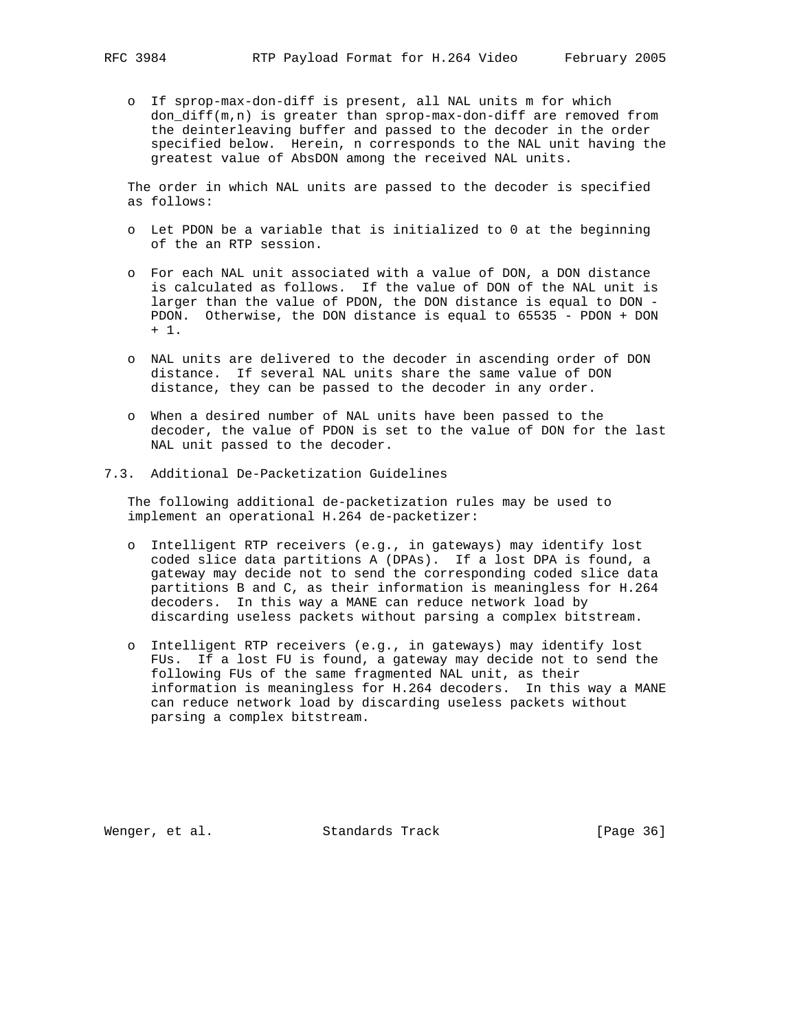o If sprop-max-don-diff is present, all NAL units m for which don\_diff(m,n) is greater than sprop-max-don-diff are removed from the deinterleaving buffer and passed to the decoder in the order specified below. Herein, n corresponds to the NAL unit having the greatest value of AbsDON among the received NAL units.

 The order in which NAL units are passed to the decoder is specified as follows:

- o Let PDON be a variable that is initialized to 0 at the beginning of the an RTP session.
- o For each NAL unit associated with a value of DON, a DON distance is calculated as follows. If the value of DON of the NAL unit is larger than the value of PDON, the DON distance is equal to DON - PDON. Otherwise, the DON distance is equal to 65535 - PDON + DON + 1.
- o NAL units are delivered to the decoder in ascending order of DON distance. If several NAL units share the same value of DON distance, they can be passed to the decoder in any order.
- o When a desired number of NAL units have been passed to the decoder, the value of PDON is set to the value of DON for the last NAL unit passed to the decoder.
- 7.3. Additional De-Packetization Guidelines

 The following additional de-packetization rules may be used to implement an operational H.264 de-packetizer:

- o Intelligent RTP receivers (e.g., in gateways) may identify lost coded slice data partitions A (DPAs). If a lost DPA is found, a gateway may decide not to send the corresponding coded slice data partitions B and C, as their information is meaningless for H.264 decoders. In this way a MANE can reduce network load by discarding useless packets without parsing a complex bitstream.
- o Intelligent RTP receivers (e.g., in gateways) may identify lost FUs. If a lost FU is found, a gateway may decide not to send the following FUs of the same fragmented NAL unit, as their information is meaningless for H.264 decoders. In this way a MANE can reduce network load by discarding useless packets without parsing a complex bitstream.

Wenger, et al. Standards Track [Page 36]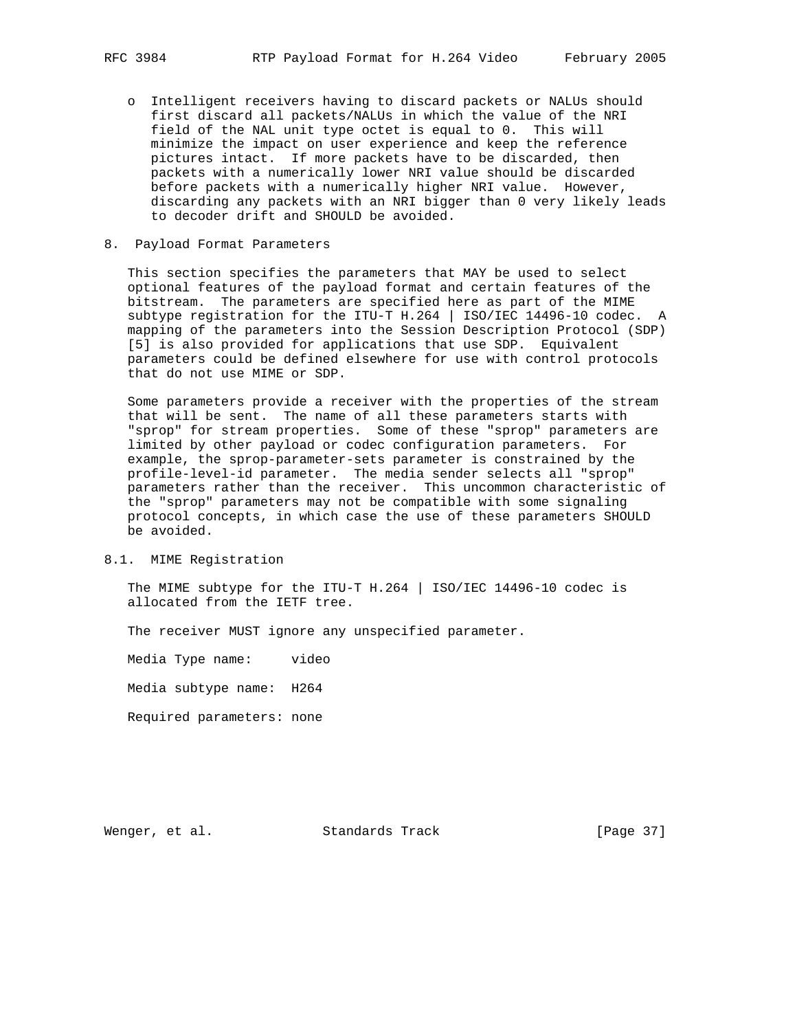- o Intelligent receivers having to discard packets or NALUs should first discard all packets/NALUs in which the value of the NRI field of the NAL unit type octet is equal to 0. This will minimize the impact on user experience and keep the reference pictures intact. If more packets have to be discarded, then packets with a numerically lower NRI value should be discarded before packets with a numerically higher NRI value. However, discarding any packets with an NRI bigger than 0 very likely leads to decoder drift and SHOULD be avoided.
- 8. Payload Format Parameters

 This section specifies the parameters that MAY be used to select optional features of the payload format and certain features of the bitstream. The parameters are specified here as part of the MIME subtype registration for the ITU-T H.264 | ISO/IEC 14496-10 codec. A mapping of the parameters into the Session Description Protocol (SDP) [5] is also provided for applications that use SDP. Equivalent parameters could be defined elsewhere for use with control protocols that do not use MIME or SDP.

 Some parameters provide a receiver with the properties of the stream that will be sent. The name of all these parameters starts with "sprop" for stream properties. Some of these "sprop" parameters are limited by other payload or codec configuration parameters. For example, the sprop-parameter-sets parameter is constrained by the profile-level-id parameter. The media sender selects all "sprop" parameters rather than the receiver. This uncommon characteristic of the "sprop" parameters may not be compatible with some signaling protocol concepts, in which case the use of these parameters SHOULD be avoided.

## 8.1. MIME Registration

 The MIME subtype for the ITU-T H.264 | ISO/IEC 14496-10 codec is allocated from the IETF tree.

The receiver MUST ignore any unspecified parameter.

Media Type name: video

Media subtype name: H264

Required parameters: none

Wenger, et al. Standards Track [Page 37]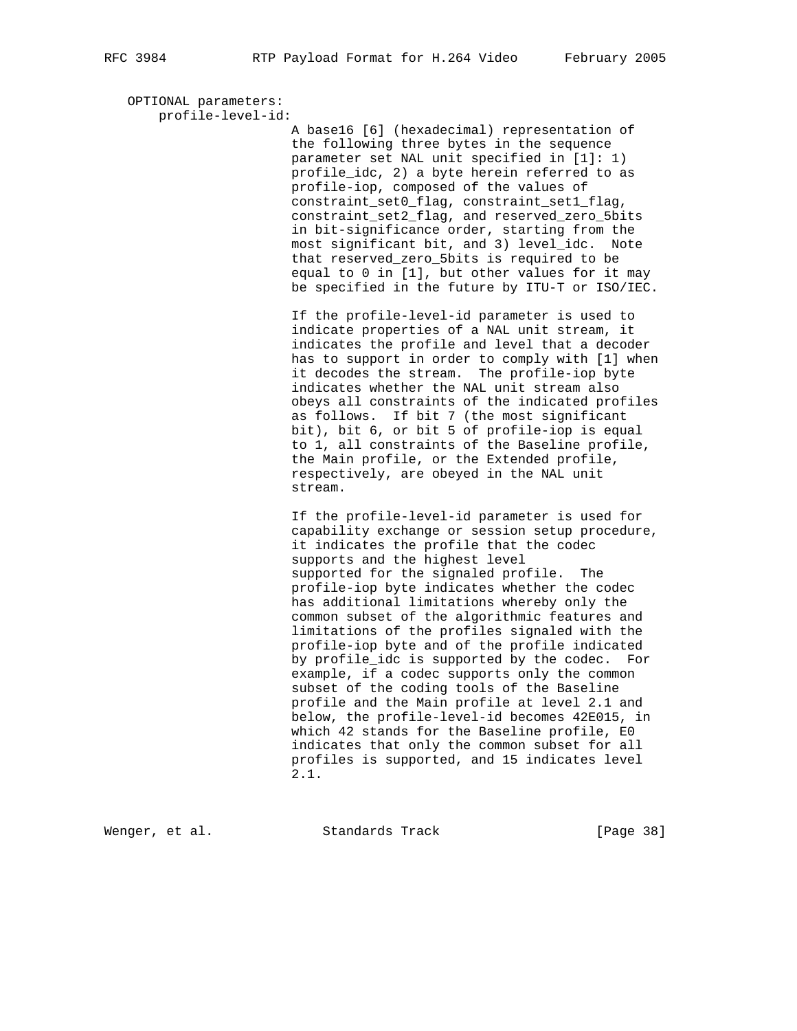OPTIONAL parameters: profile-level-id: A base16 [6] (hexadecimal) representation of the following three bytes in the sequence parameter set NAL unit specified in [1]: 1) profile\_idc, 2) a byte herein referred to as profile-iop, composed of the values of constraint\_set0\_flag, constraint\_set1\_flag, constraint\_set2\_flag, and reserved\_zero\_5bits in bit-significance order, starting from the most significant bit, and 3) level\_idc. Note that reserved\_zero\_5bits is required to be equal to 0 in [1], but other values for it may be specified in the future by ITU-T or ISO/IEC. If the profile-level-id parameter is used to indicate properties of a NAL unit stream, it indicates the profile and level that a decoder has to support in order to comply with [1] when it decodes the stream. The profile-iop byte indicates whether the NAL unit stream also obeys all constraints of the indicated profiles as follows. If bit 7 (the most significant bit), bit 6, or bit 5 of profile-iop is equal to 1, all constraints of the Baseline profile, the Main profile, or the Extended profile, respectively, are obeyed in the NAL unit stream. If the profile-level-id parameter is used for capability exchange or session setup procedure, it indicates the profile that the codec supports and the highest level supported for the signaled profile. The profile-iop byte indicates whether the codec has additional limitations whereby only the common subset of the algorithmic features and limitations of the profiles signaled with the profile-iop byte and of the profile indicated by profile\_idc is supported by the codec. For example, if a codec supports only the common subset of the coding tools of the Baseline profile and the Main profile at level 2.1 and below, the profile-level-id becomes 42E015, in which 42 stands for the Baseline profile, E0 indicates that only the common subset for all profiles is supported, and 15 indicates level 2.1.

Wenger, et al. Standards Track [Page 38]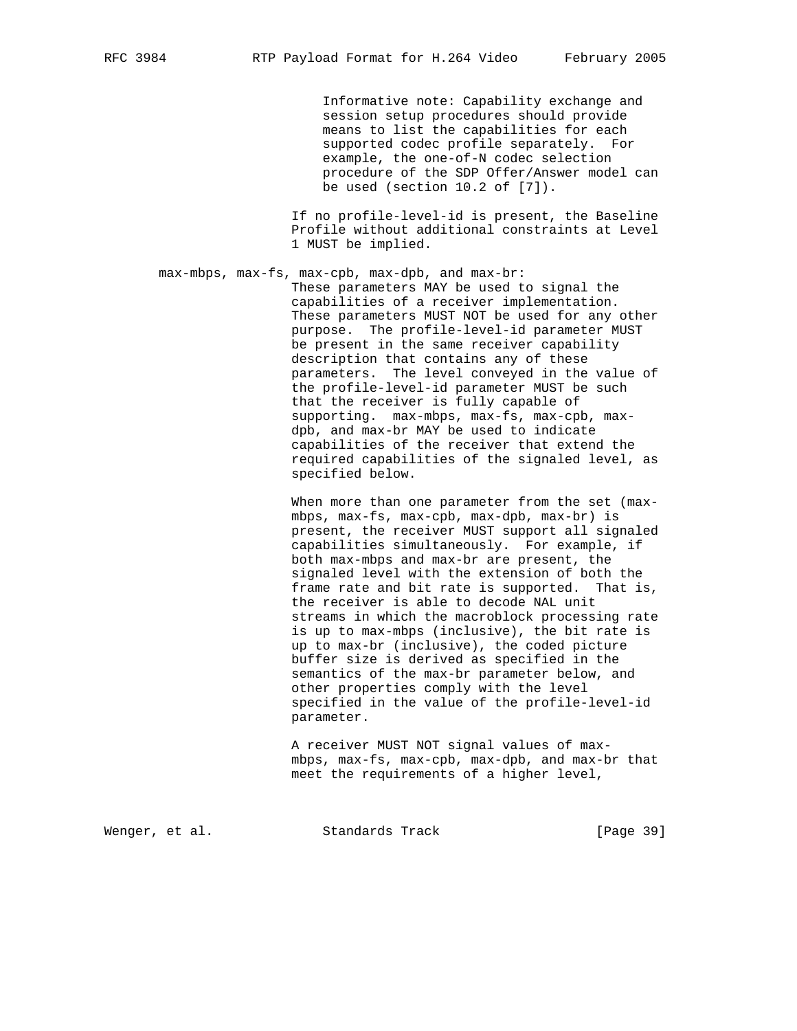Informative note: Capability exchange and session setup procedures should provide means to list the capabilities for each supported codec profile separately. For example, the one-of-N codec selection procedure of the SDP Offer/Answer model can be used (section 10.2 of [7]).

 If no profile-level-id is present, the Baseline Profile without additional constraints at Level 1 MUST be implied.

 max-mbps, max-fs, max-cpb, max-dpb, and max-br: These parameters MAY be used to signal the capabilities of a receiver implementation. These parameters MUST NOT be used for any other purpose. The profile-level-id parameter MUST be present in the same receiver capability description that contains any of these parameters. The level conveyed in the value of the profile-level-id parameter MUST be such that the receiver is fully capable of supporting. max-mbps, max-fs, max-cpb, max dpb, and max-br MAY be used to indicate capabilities of the receiver that extend the required capabilities of the signaled level, as specified below.

> When more than one parameter from the set (max mbps, max-fs, max-cpb, max-dpb, max-br) is present, the receiver MUST support all signaled capabilities simultaneously. For example, if both max-mbps and max-br are present, the signaled level with the extension of both the frame rate and bit rate is supported. That is, the receiver is able to decode NAL unit streams in which the macroblock processing rate is up to max-mbps (inclusive), the bit rate is up to max-br (inclusive), the coded picture buffer size is derived as specified in the semantics of the max-br parameter below, and other properties comply with the level specified in the value of the profile-level-id parameter.

> A receiver MUST NOT signal values of max mbps, max-fs, max-cpb, max-dpb, and max-br that meet the requirements of a higher level,

Wenger, et al. Standards Track [Page 39]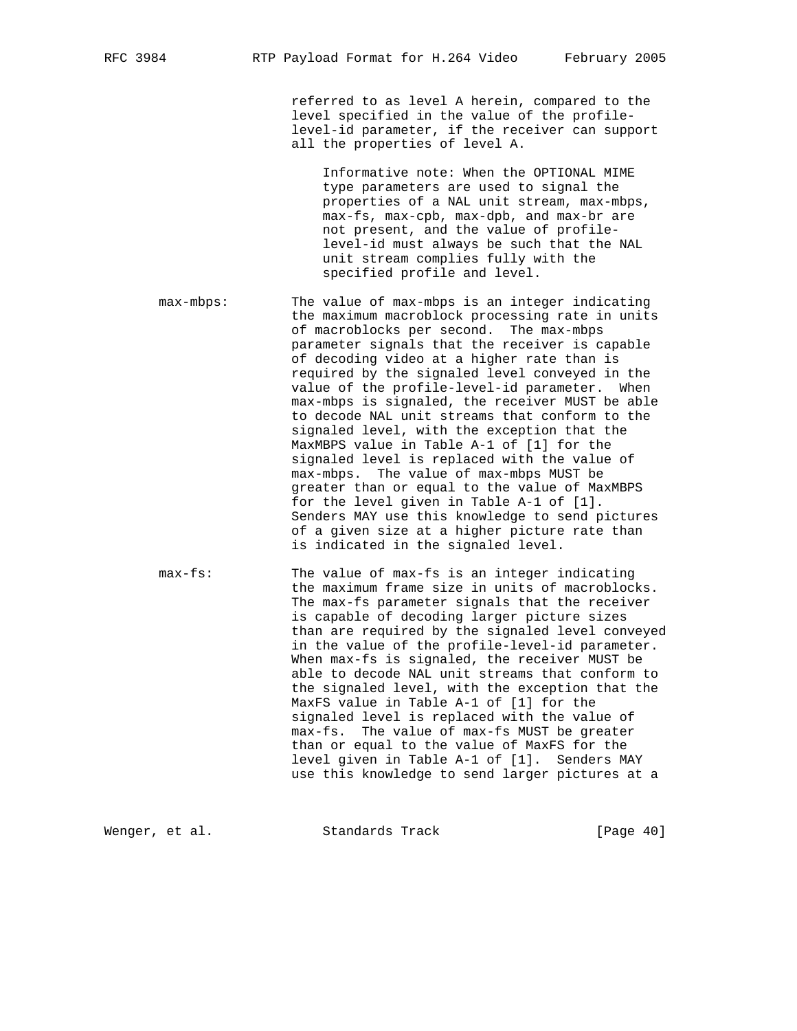referred to as level A herein, compared to the level specified in the value of the profile level-id parameter, if the receiver can support all the properties of level A.

 Informative note: When the OPTIONAL MIME type parameters are used to signal the properties of a NAL unit stream, max-mbps, max-fs, max-cpb, max-dpb, and max-br are not present, and the value of profile level-id must always be such that the NAL unit stream complies fully with the specified profile and level.

- max-mbps: The value of max-mbps is an integer indicating the maximum macroblock processing rate in units of macroblocks per second. The max-mbps parameter signals that the receiver is capable of decoding video at a higher rate than is required by the signaled level conveyed in the value of the profile-level-id parameter. When max-mbps is signaled, the receiver MUST be able to decode NAL unit streams that conform to the signaled level, with the exception that the MaxMBPS value in Table A-1 of [1] for the signaled level is replaced with the value of max-mbps. The value of max-mbps MUST be greater than or equal to the value of MaxMBPS for the level given in Table A-1 of [1]. Senders MAY use this knowledge to send pictures of a given size at a higher picture rate than is indicated in the signaled level.
- max-fs: The value of max-fs is an integer indicating the maximum frame size in units of macroblocks. The max-fs parameter signals that the receiver is capable of decoding larger picture sizes than are required by the signaled level conveyed in the value of the profile-level-id parameter. When max-fs is signaled, the receiver MUST be able to decode NAL unit streams that conform to the signaled level, with the exception that the MaxFS value in Table A-1 of [1] for the signaled level is replaced with the value of max-fs. The value of max-fs MUST be greater than or equal to the value of MaxFS for the level given in Table A-1 of [1]. Senders MAY use this knowledge to send larger pictures at a

Wenger, et al. Standards Track [Page 40]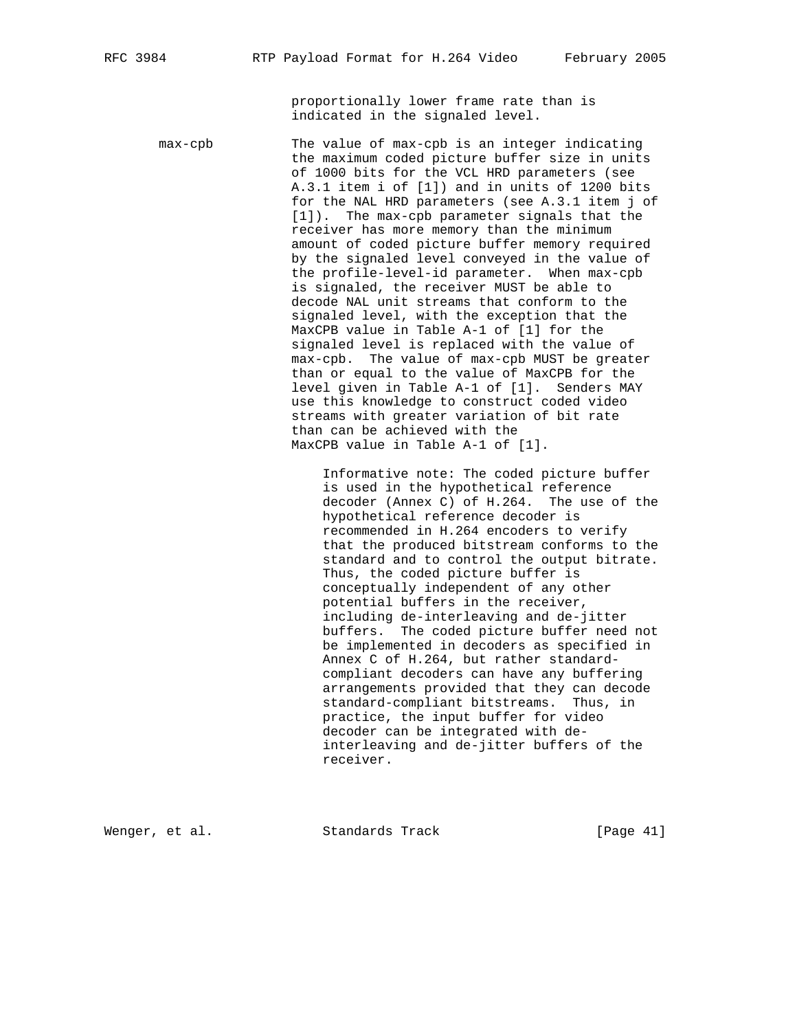proportionally lower frame rate than is indicated in the signaled level.

 max-cpb The value of max-cpb is an integer indicating the maximum coded picture buffer size in units of 1000 bits for the VCL HRD parameters (see A.3.1 item i of [1]) and in units of 1200 bits for the NAL HRD parameters (see A.3.1 item j of [1]). The max-cpb parameter signals that the receiver has more memory than the minimum amount of coded picture buffer memory required by the signaled level conveyed in the value of the profile-level-id parameter. When max-cpb is signaled, the receiver MUST be able to decode NAL unit streams that conform to the signaled level, with the exception that the MaxCPB value in Table A-1 of [1] for the signaled level is replaced with the value of max-cpb. The value of max-cpb MUST be greater than or equal to the value of MaxCPB for the level given in Table A-1 of [1]. Senders MAY use this knowledge to construct coded video streams with greater variation of bit rate than can be achieved with the MaxCPB value in Table A-1 of [1]. Informative note: The coded picture buffer

 is used in the hypothetical reference decoder (Annex C) of H.264. The use of the hypothetical reference decoder is recommended in H.264 encoders to verify that the produced bitstream conforms to the standard and to control the output bitrate. Thus, the coded picture buffer is conceptually independent of any other potential buffers in the receiver, including de-interleaving and de-jitter buffers. The coded picture buffer need not be implemented in decoders as specified in Annex C of H.264, but rather standard compliant decoders can have any buffering arrangements provided that they can decode standard-compliant bitstreams. Thus, in practice, the input buffer for video decoder can be integrated with de interleaving and de-jitter buffers of the receiver.

Wenger, et al. Standards Track [Page 41]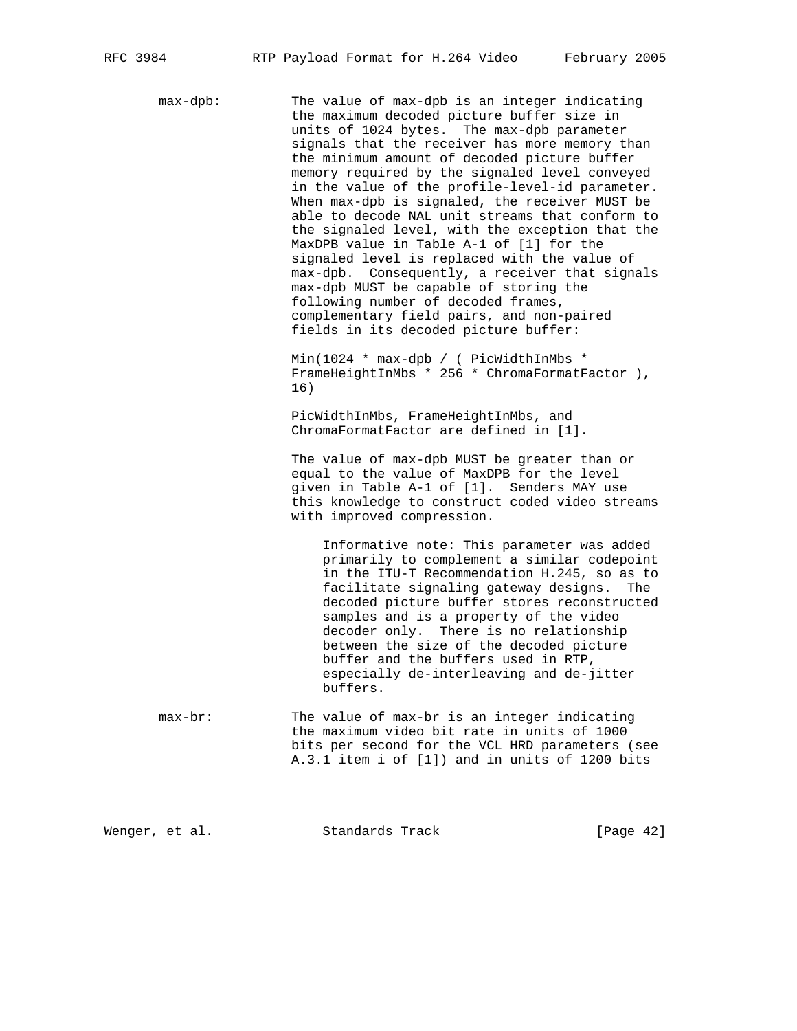max-dpb: The value of max-dpb is an integer indicating the maximum decoded picture buffer size in units of 1024 bytes. The max-dpb parameter signals that the receiver has more memory than the minimum amount of decoded picture buffer memory required by the signaled level conveyed in the value of the profile-level-id parameter. When max-dpb is signaled, the receiver MUST be able to decode NAL unit streams that conform to the signaled level, with the exception that the MaxDPB value in Table A-1 of [1] for the signaled level is replaced with the value of max-dpb. Consequently, a receiver that signals max-dpb MUST be capable of storing the following number of decoded frames, complementary field pairs, and non-paired fields in its decoded picture buffer: Min(1024 \* max-dpb / ( PicWidthInMbs \*

 FrameHeightInMbs \* 256 \* ChromaFormatFactor ), 16)

 PicWidthInMbs, FrameHeightInMbs, and ChromaFormatFactor are defined in [1].

 The value of max-dpb MUST be greater than or equal to the value of MaxDPB for the level given in Table A-1 of [1]. Senders MAY use this knowledge to construct coded video streams with improved compression.

 Informative note: This parameter was added primarily to complement a similar codepoint in the ITU-T Recommendation H.245, so as to facilitate signaling gateway designs. The decoded picture buffer stores reconstructed samples and is a property of the video decoder only. There is no relationship between the size of the decoded picture buffer and the buffers used in RTP, especially de-interleaving and de-jitter buffers.

 max-br: The value of max-br is an integer indicating the maximum video bit rate in units of 1000 bits per second for the VCL HRD parameters (see A.3.1 item i of [1]) and in units of 1200 bits

Wenger, et al. Standards Track [Page 42]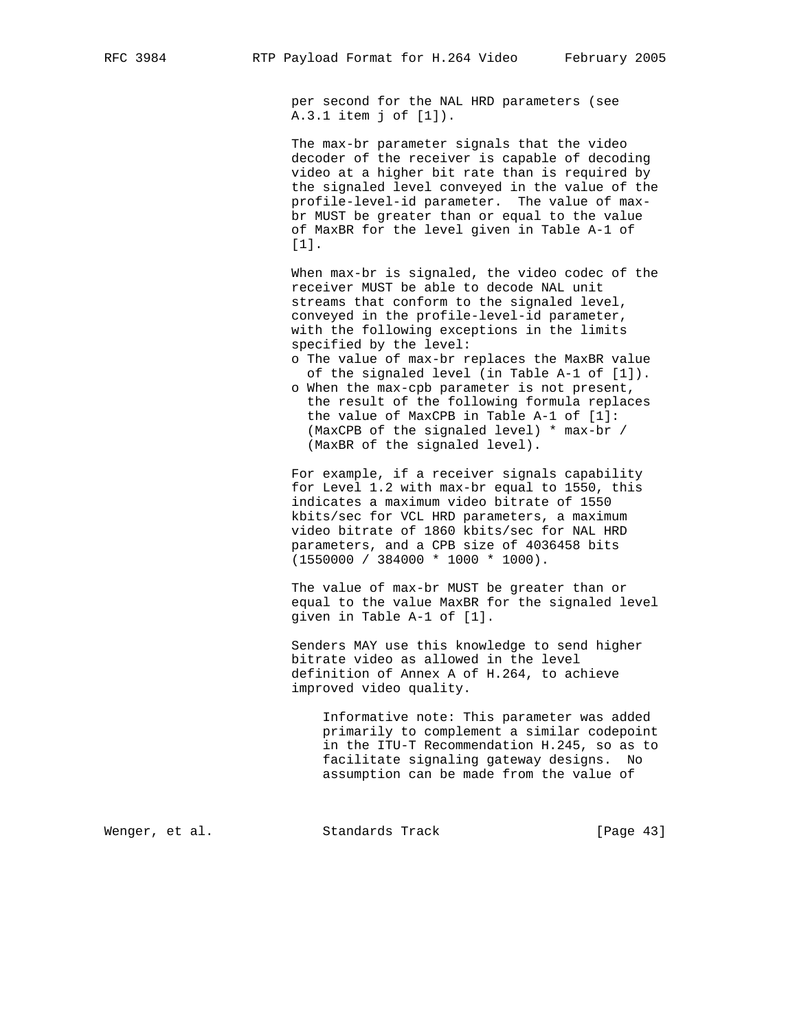per second for the NAL HRD parameters (see A.3.1 item j of [1]).

 The max-br parameter signals that the video decoder of the receiver is capable of decoding video at a higher bit rate than is required by the signaled level conveyed in the value of the profile-level-id parameter. The value of max br MUST be greater than or equal to the value of MaxBR for the level given in Table A-1 of [1].

 When max-br is signaled, the video codec of the receiver MUST be able to decode NAL unit streams that conform to the signaled level, conveyed in the profile-level-id parameter, with the following exceptions in the limits specified by the level:

- o The value of max-br replaces the MaxBR value of the signaled level (in Table A-1 of [1]).
- o When the max-cpb parameter is not present, the result of the following formula replaces the value of MaxCPB in Table A-1 of [1]: (MaxCPB of the signaled level) \* max-br / (MaxBR of the signaled level).

 For example, if a receiver signals capability for Level 1.2 with max-br equal to 1550, this indicates a maximum video bitrate of 1550 kbits/sec for VCL HRD parameters, a maximum video bitrate of 1860 kbits/sec for NAL HRD parameters, and a CPB size of 4036458 bits (1550000 / 384000 \* 1000 \* 1000).

 The value of max-br MUST be greater than or equal to the value MaxBR for the signaled level given in Table A-1 of [1].

 Senders MAY use this knowledge to send higher bitrate video as allowed in the level definition of Annex A of H.264, to achieve improved video quality.

 Informative note: This parameter was added primarily to complement a similar codepoint in the ITU-T Recommendation H.245, so as to facilitate signaling gateway designs. No assumption can be made from the value of

Wenger, et al. Standards Track [Page 43]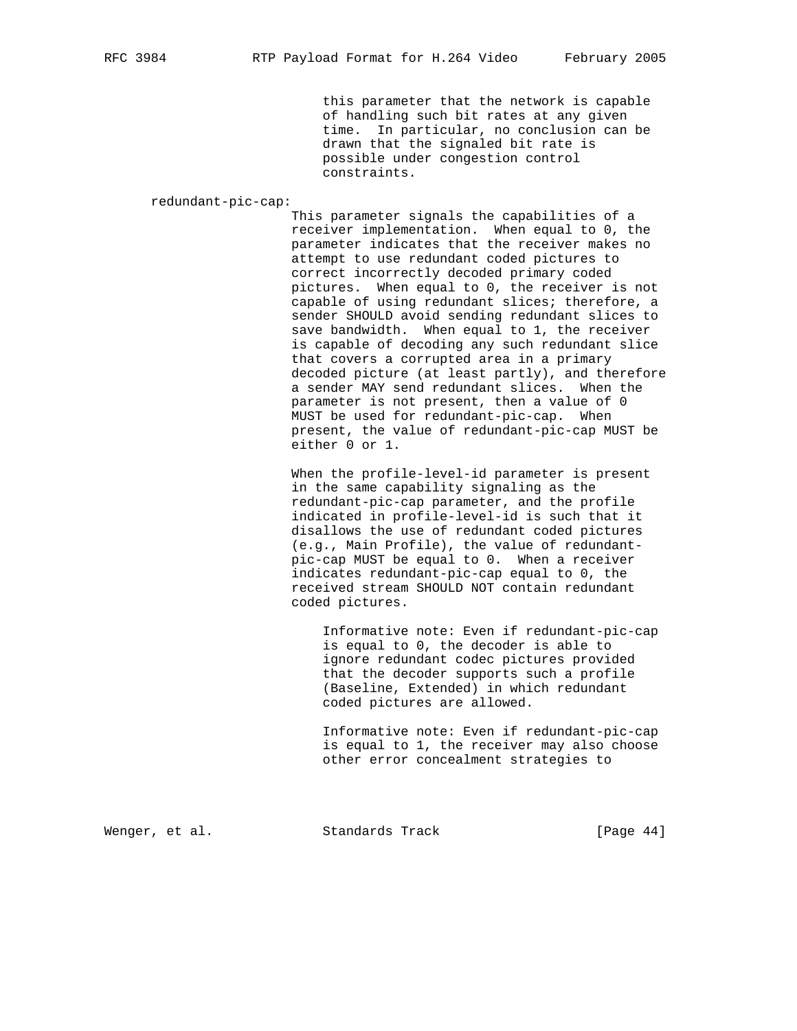this parameter that the network is capable of handling such bit rates at any given time. In particular, no conclusion can be drawn that the signaled bit rate is possible under congestion control constraints.

redundant-pic-cap:

 This parameter signals the capabilities of a receiver implementation. When equal to 0, the parameter indicates that the receiver makes no attempt to use redundant coded pictures to correct incorrectly decoded primary coded pictures. When equal to 0, the receiver is not capable of using redundant slices; therefore, a sender SHOULD avoid sending redundant slices to save bandwidth. When equal to 1, the receiver is capable of decoding any such redundant slice that covers a corrupted area in a primary decoded picture (at least partly), and therefore a sender MAY send redundant slices. When the parameter is not present, then a value of 0 MUST be used for redundant-pic-cap. When present, the value of redundant-pic-cap MUST be either 0 or 1.

 When the profile-level-id parameter is present in the same capability signaling as the redundant-pic-cap parameter, and the profile indicated in profile-level-id is such that it disallows the use of redundant coded pictures (e.g., Main Profile), the value of redundant pic-cap MUST be equal to 0. When a receiver indicates redundant-pic-cap equal to 0, the received stream SHOULD NOT contain redundant coded pictures.

 Informative note: Even if redundant-pic-cap is equal to 0, the decoder is able to ignore redundant codec pictures provided that the decoder supports such a profile (Baseline, Extended) in which redundant coded pictures are allowed.

 Informative note: Even if redundant-pic-cap is equal to 1, the receiver may also choose other error concealment strategies to

Wenger, et al. Standards Track [Page 44]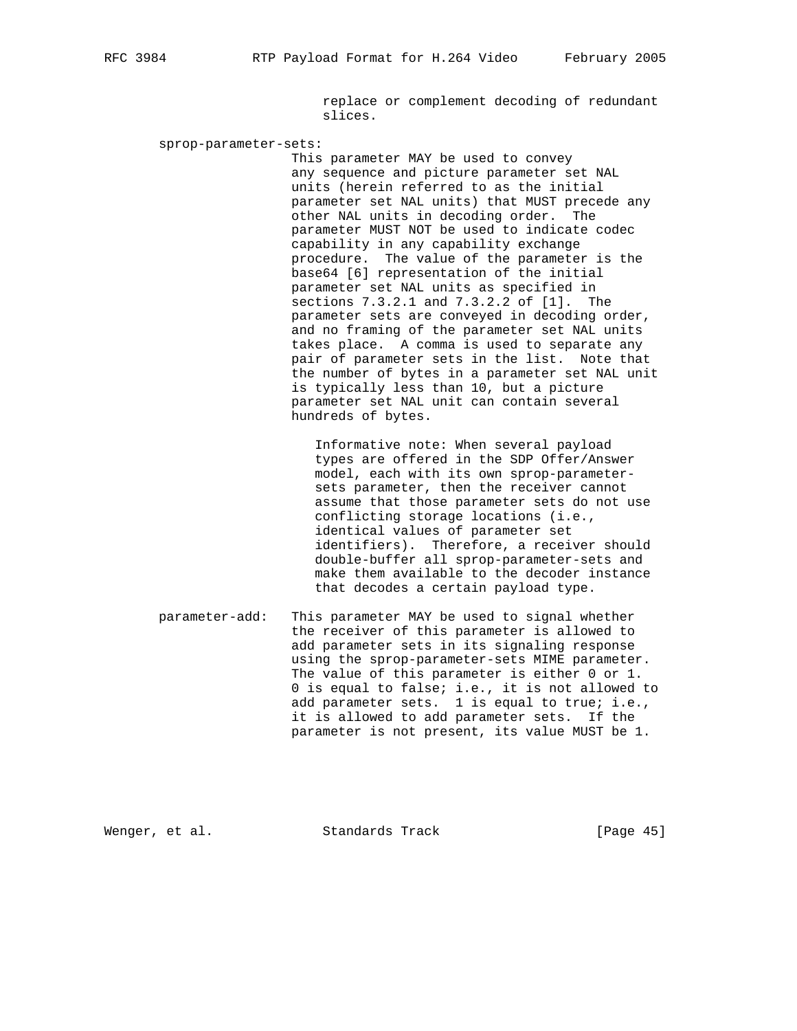replace or complement decoding of redundant slices.

sprop-parameter-sets:

 This parameter MAY be used to convey any sequence and picture parameter set NAL units (herein referred to as the initial parameter set NAL units) that MUST precede any other NAL units in decoding order. The parameter MUST NOT be used to indicate codec capability in any capability exchange procedure. The value of the parameter is the base64 [6] representation of the initial parameter set NAL units as specified in sections 7.3.2.1 and 7.3.2.2 of [1]. The parameter sets are conveyed in decoding order, and no framing of the parameter set NAL units takes place. A comma is used to separate any pair of parameter sets in the list. Note that the number of bytes in a parameter set NAL unit is typically less than 10, but a picture parameter set NAL unit can contain several hundreds of bytes.

 Informative note: When several payload types are offered in the SDP Offer/Answer model, each with its own sprop-parameter sets parameter, then the receiver cannot assume that those parameter sets do not use conflicting storage locations (i.e., identical values of parameter set identifiers). Therefore, a receiver should double-buffer all sprop-parameter-sets and make them available to the decoder instance that decodes a certain payload type.

 parameter-add: This parameter MAY be used to signal whether the receiver of this parameter is allowed to add parameter sets in its signaling response using the sprop-parameter-sets MIME parameter. The value of this parameter is either 0 or 1. 0 is equal to false; i.e., it is not allowed to add parameter sets. 1 is equal to true; i.e., it is allowed to add parameter sets. If the parameter is not present, its value MUST be 1.

Wenger, et al. Standards Track [Page 45]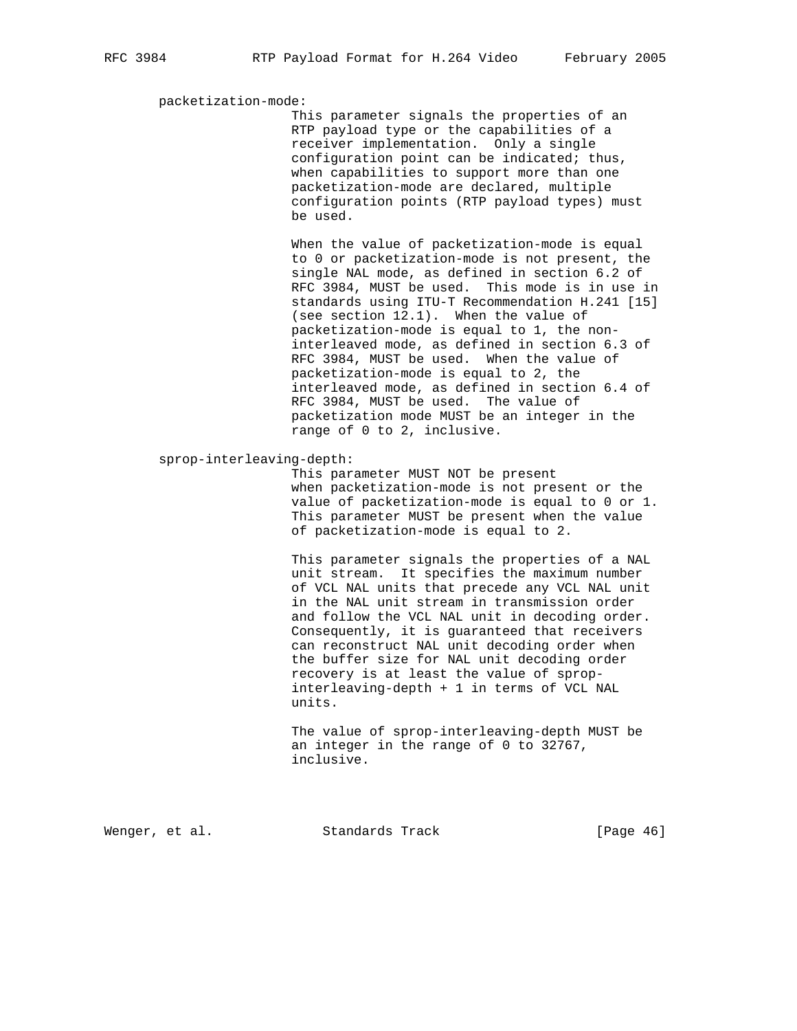packetization-mode:

 This parameter signals the properties of an RTP payload type or the capabilities of a receiver implementation. Only a single configuration point can be indicated; thus, when capabilities to support more than one packetization-mode are declared, multiple configuration points (RTP payload types) must be used.

 When the value of packetization-mode is equal to 0 or packetization-mode is not present, the single NAL mode, as defined in section 6.2 of RFC 3984, MUST be used. This mode is in use in standards using ITU-T Recommendation H.241 [15] (see section 12.1). When the value of packetization-mode is equal to 1, the non interleaved mode, as defined in section 6.3 of RFC 3984, MUST be used. When the value of packetization-mode is equal to 2, the interleaved mode, as defined in section 6.4 of RFC 3984, MUST be used. The value of packetization mode MUST be an integer in the range of 0 to 2, inclusive.

### sprop-interleaving-depth:

 This parameter MUST NOT be present when packetization-mode is not present or the value of packetization-mode is equal to 0 or 1. This parameter MUST be present when the value of packetization-mode is equal to 2.

 This parameter signals the properties of a NAL unit stream. It specifies the maximum number of VCL NAL units that precede any VCL NAL unit in the NAL unit stream in transmission order and follow the VCL NAL unit in decoding order. Consequently, it is guaranteed that receivers can reconstruct NAL unit decoding order when the buffer size for NAL unit decoding order recovery is at least the value of sprop interleaving-depth + 1 in terms of VCL NAL units.

 The value of sprop-interleaving-depth MUST be an integer in the range of 0 to 32767, inclusive.

Wenger, et al. Standards Track [Page 46]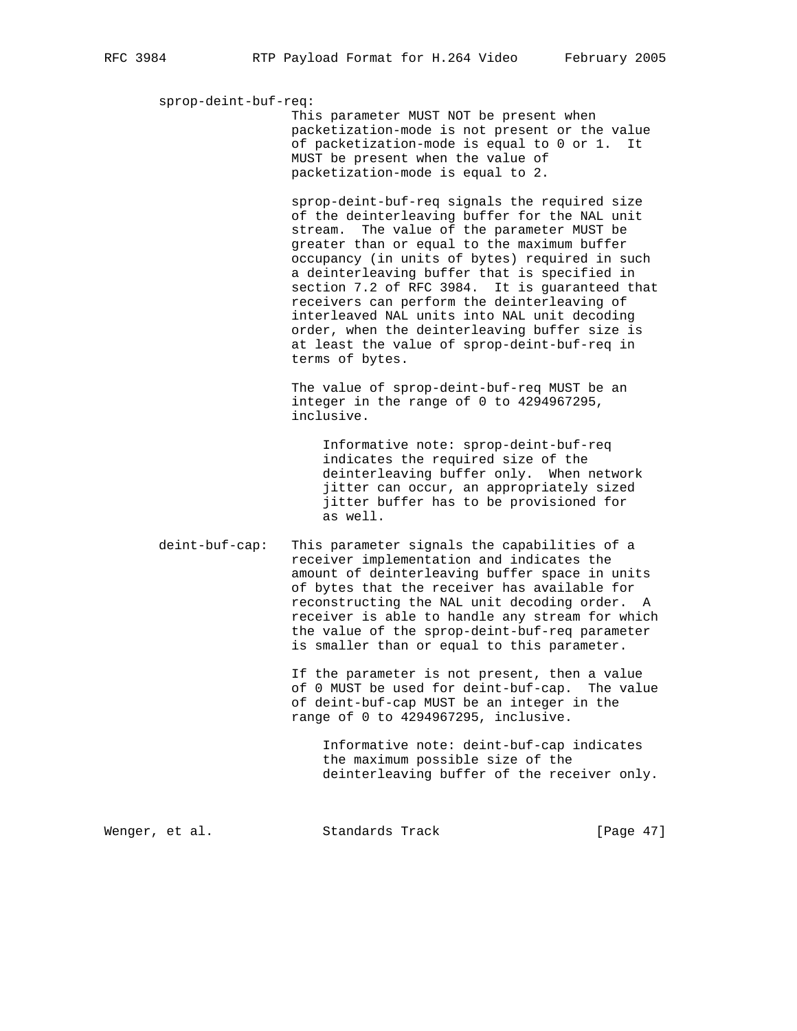## sprop-deint-buf-req:

 This parameter MUST NOT be present when packetization-mode is not present or the value of packetization-mode is equal to 0 or 1. It MUST be present when the value of packetization-mode is equal to 2.

 sprop-deint-buf-req signals the required size of the deinterleaving buffer for the NAL unit stream. The value of the parameter MUST be greater than or equal to the maximum buffer occupancy (in units of bytes) required in such a deinterleaving buffer that is specified in section 7.2 of RFC 3984. It is guaranteed that receivers can perform the deinterleaving of interleaved NAL units into NAL unit decoding order, when the deinterleaving buffer size is at least the value of sprop-deint-buf-req in terms of bytes.

 The value of sprop-deint-buf-req MUST be an integer in the range of 0 to 4294967295, inclusive.

 Informative note: sprop-deint-buf-req indicates the required size of the deinterleaving buffer only. When network jitter can occur, an appropriately sized jitter buffer has to be provisioned for as well.

 deint-buf-cap: This parameter signals the capabilities of a receiver implementation and indicates the amount of deinterleaving buffer space in units of bytes that the receiver has available for reconstructing the NAL unit decoding order. A receiver is able to handle any stream for which the value of the sprop-deint-buf-req parameter is smaller than or equal to this parameter.

> If the parameter is not present, then a value of 0 MUST be used for deint-buf-cap. The value of deint-buf-cap MUST be an integer in the range of 0 to 4294967295, inclusive.

 Informative note: deint-buf-cap indicates the maximum possible size of the deinterleaving buffer of the receiver only.

Wenger, et al. Standards Track [Page 47]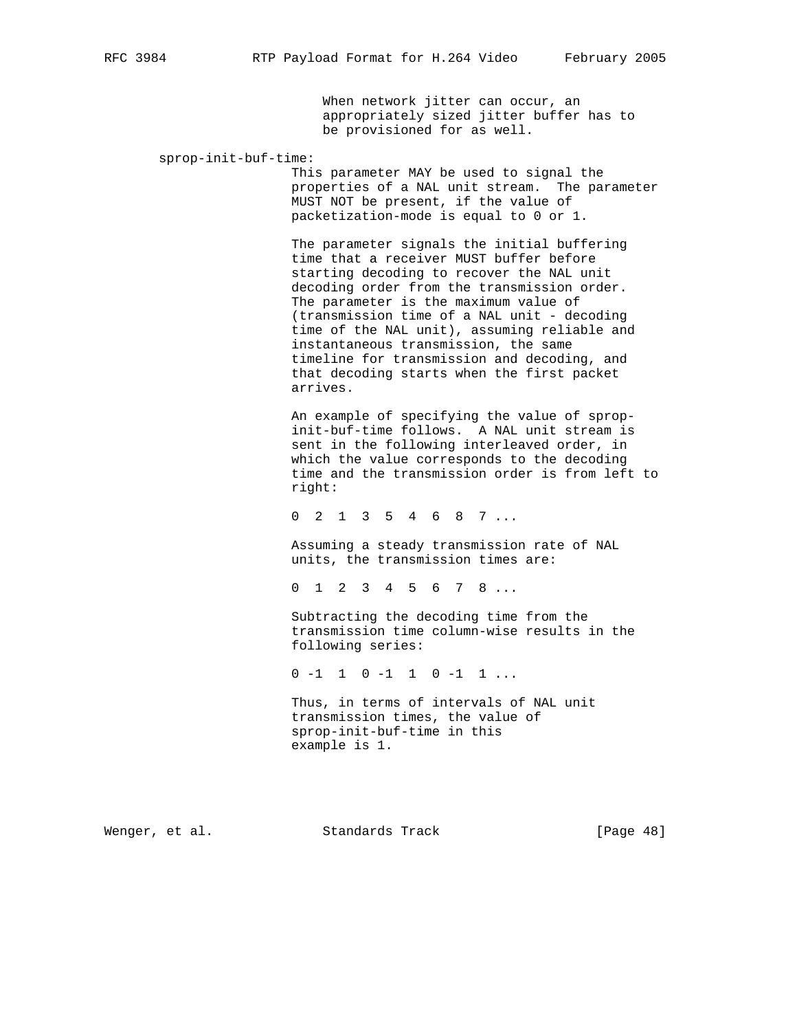When network jitter can occur, an appropriately sized jitter buffer has to be provisioned for as well.

sprop-init-buf-time:

 This parameter MAY be used to signal the properties of a NAL unit stream. The parameter MUST NOT be present, if the value of packetization-mode is equal to 0 or 1.

 The parameter signals the initial buffering time that a receiver MUST buffer before starting decoding to recover the NAL unit decoding order from the transmission order. The parameter is the maximum value of (transmission time of a NAL unit - decoding time of the NAL unit), assuming reliable and instantaneous transmission, the same timeline for transmission and decoding, and that decoding starts when the first packet arrives.

 An example of specifying the value of sprop init-buf-time follows. A NAL unit stream is sent in the following interleaved order, in which the value corresponds to the decoding time and the transmission order is from left to right:

0 2 1 3 5 4 6 8 7 ...

 Assuming a steady transmission rate of NAL units, the transmission times are:

0 1 2 3 4 5 6 7 8 ...

 Subtracting the decoding time from the transmission time column-wise results in the following series:

0 -1 1 0 -1 1 0 -1 1 ...

 Thus, in terms of intervals of NAL unit transmission times, the value of sprop-init-buf-time in this example is 1.

Wenger, et al. Standards Track [Page 48]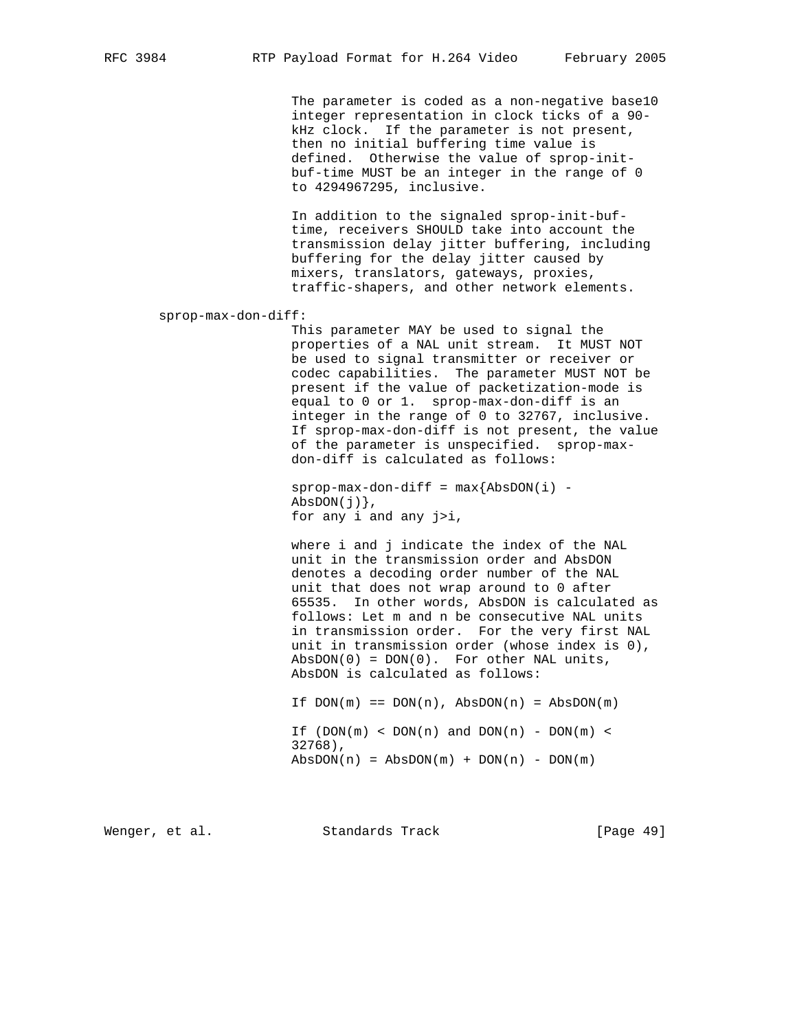The parameter is coded as a non-negative base10 integer representation in clock ticks of a 90 kHz clock. If the parameter is not present, then no initial buffering time value is defined. Otherwise the value of sprop-init buf-time MUST be an integer in the range of 0 to 4294967295, inclusive.

 In addition to the signaled sprop-init-buf time, receivers SHOULD take into account the transmission delay jitter buffering, including buffering for the delay jitter caused by mixers, translators, gateways, proxies, traffic-shapers, and other network elements.

sprop-max-don-diff:

 This parameter MAY be used to signal the properties of a NAL unit stream. It MUST NOT be used to signal transmitter or receiver or codec capabilities. The parameter MUST NOT be present if the value of packetization-mode is equal to 0 or 1. sprop-max-don-diff is an integer in the range of 0 to 32767, inclusive. If sprop-max-don-diff is not present, the value of the parameter is unspecified. sprop-max don-diff is calculated as follows:

 $sprop-max-don-diff = max{AbsDOM(i)} AbsDOM(j)$ , for any i and any j>i,

 where i and j indicate the index of the NAL unit in the transmission order and AbsDON denotes a decoding order number of the NAL unit that does not wrap around to 0 after 65535. In other words, AbsDON is calculated as follows: Let m and n be consecutive NAL units in transmission order. For the very first NAL unit in transmission order (whose index is 0),  $AbsDOM(0) = DON(0)$ . For other NAL units, AbsDON is calculated as follows:

If  $DOM(m) == DON(n)$ ,  $AbsDOM(n) = AbsDOM(m)$ If  $(DON(m) < DON(n)$  and  $DOM(n) - DON(m) <$  32768),  $AbsDOM(n) = AbsDOM(m) + DON(n) - DON(m)$ 

Wenger, et al. Standards Track [Page 49]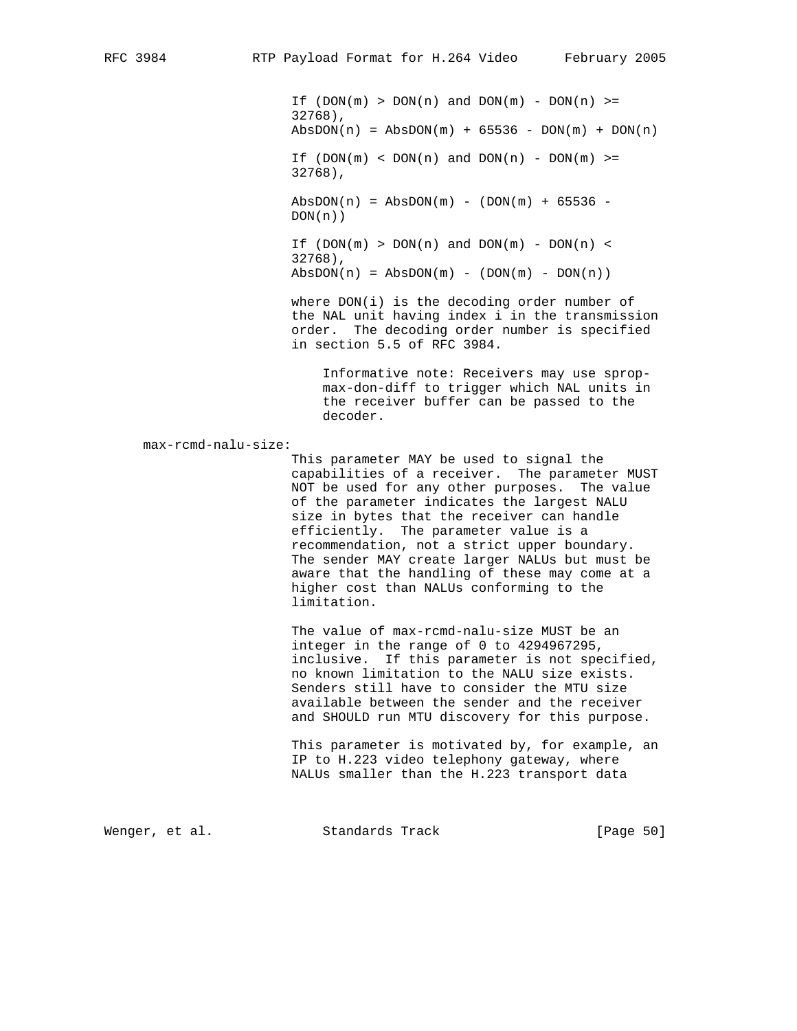If  $(DON(m) > DON(n)$  and  $DOM(m) - DON(n) >=$  32768),  $AbsDOM(n) = AbsDOM(m) + 65536 - DON(m) + DON(n)$ If  $(DON(m) < DOM(n)$  and  $DOM(n)$  -  $DOM(m)$  >= 32768),  $AbsDOM(n) = AbsDOM(m) - (DOM(m) + 65536 DOM(n)$ ) If  $(DON(m) > DON(n)$  and  $DOM(m) - DON(n) <$ 32768),

 $AbsDOM(n) = AbsDOM(m) - (DOM(m) - DON(n))$ 

where  $DOM(i)$  is the decoding order number of the NAL unit having index i in the transmission order. The decoding order number is specified in section 5.5 of RFC 3984.

 Informative note: Receivers may use sprop max-don-diff to trigger which NAL units in the receiver buffer can be passed to the decoder.

max-rcmd-nalu-size:

 This parameter MAY be used to signal the capabilities of a receiver. The parameter MUST NOT be used for any other purposes. The value of the parameter indicates the largest NALU size in bytes that the receiver can handle efficiently. The parameter value is a recommendation, not a strict upper boundary. The sender MAY create larger NALUs but must be aware that the handling of these may come at a higher cost than NALUs conforming to the limitation.

 The value of max-rcmd-nalu-size MUST be an integer in the range of 0 to 4294967295, inclusive. If this parameter is not specified, no known limitation to the NALU size exists. Senders still have to consider the MTU size available between the sender and the receiver and SHOULD run MTU discovery for this purpose.

 This parameter is motivated by, for example, an IP to H.223 video telephony gateway, where NALUs smaller than the H.223 transport data

Wenger, et al. Standards Track [Page 50]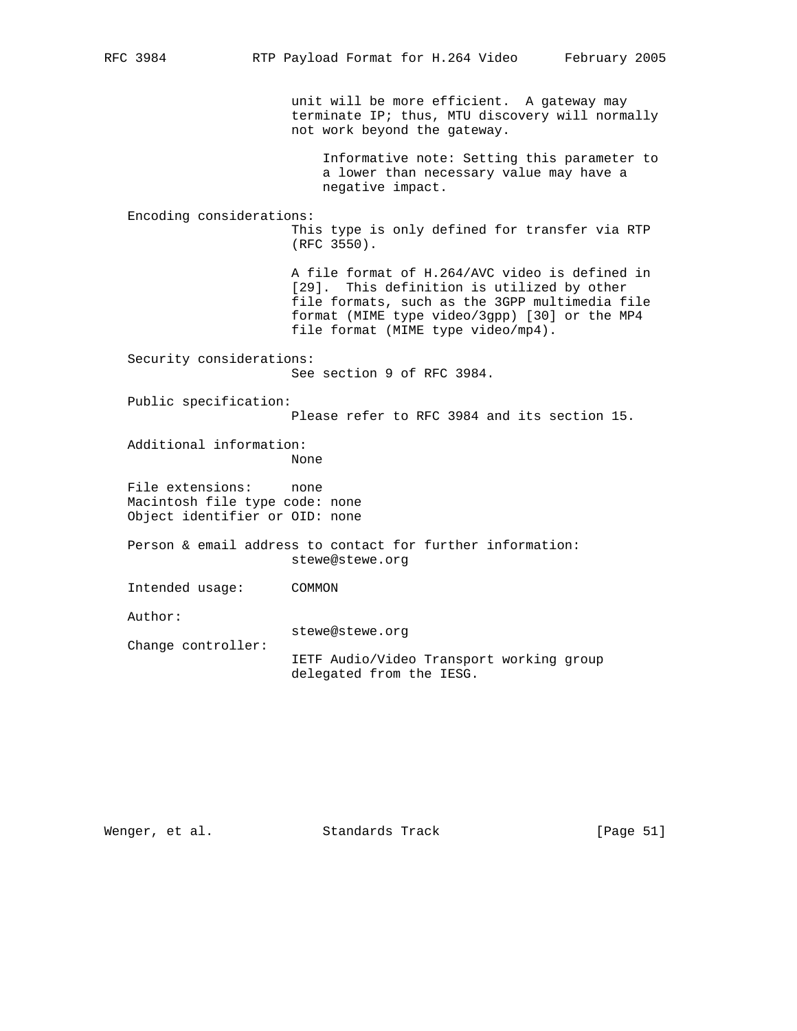unit will be more efficient. A gateway may terminate IP; thus, MTU discovery will normally not work beyond the gateway. Informative note: Setting this parameter to a lower than necessary value may have a negative impact. Encoding considerations: This type is only defined for transfer via RTP (RFC 3550). A file format of H.264/AVC video is defined in [29]. This definition is utilized by other file formats, such as the 3GPP multimedia file format (MIME type video/3gpp) [30] or the MP4 file format (MIME type video/mp4). Security considerations: See section 9 of RFC 3984. Public specification: Please refer to RFC 3984 and its section 15. Additional information: None File extensions: none Macintosh file type code: none Object identifier or OID: none Person & email address to contact for further information: stewe@stewe.org Intended usage: COMMON Author: stewe@stewe.org Change controller: IETF Audio/Video Transport working group delegated from the IESG.

Wenger, et al. Standards Track [Page 51]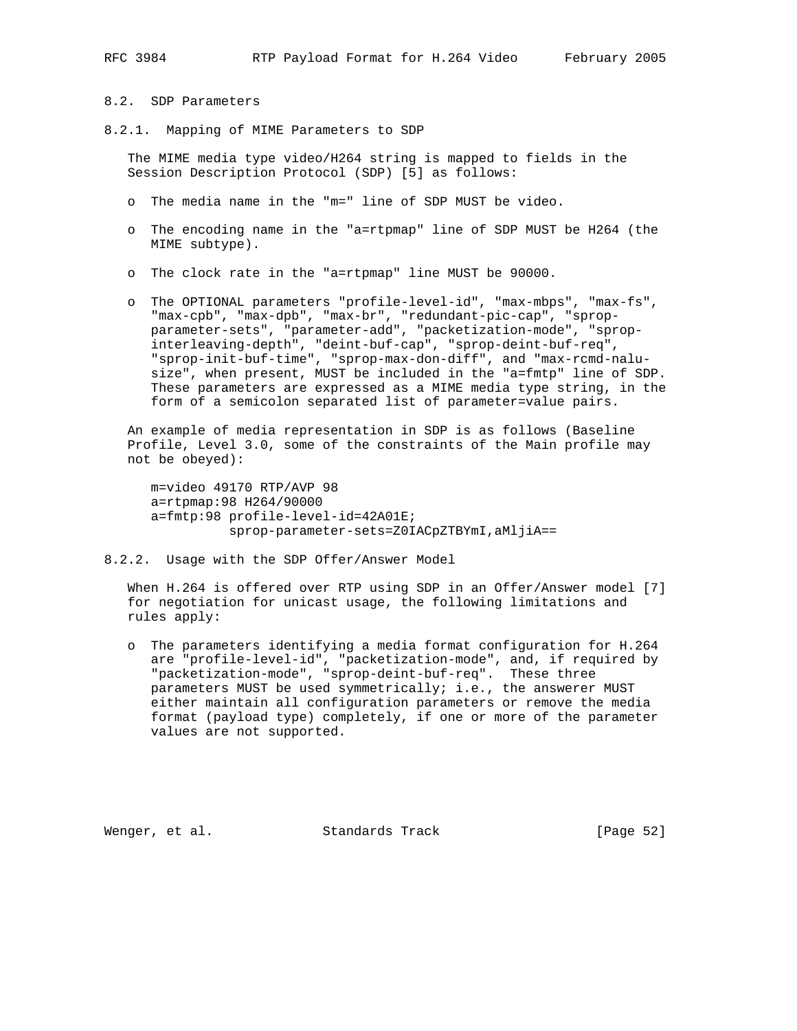# 8.2. SDP Parameters

8.2.1. Mapping of MIME Parameters to SDP

 The MIME media type video/H264 string is mapped to fields in the Session Description Protocol (SDP) [5] as follows:

- o The media name in the "m=" line of SDP MUST be video.
- o The encoding name in the "a=rtpmap" line of SDP MUST be H264 (the MIME subtype).
- o The clock rate in the "a=rtpmap" line MUST be 90000.
- o The OPTIONAL parameters "profile-level-id", "max-mbps", "max-fs", "max-cpb", "max-dpb", "max-br", "redundant-pic-cap", "sprop parameter-sets", "parameter-add", "packetization-mode", "sprop interleaving-depth", "deint-buf-cap", "sprop-deint-buf-req", "sprop-init-buf-time", "sprop-max-don-diff", and "max-rcmd-nalu size", when present, MUST be included in the "a=fmtp" line of SDP. These parameters are expressed as a MIME media type string, in the form of a semicolon separated list of parameter=value pairs.

 An example of media representation in SDP is as follows (Baseline Profile, Level 3.0, some of the constraints of the Main profile may not be obeyed):

 m=video 49170 RTP/AVP 98 a=rtpmap:98 H264/90000 a=fmtp:98 profile-level-id=42A01E; sprop-parameter-sets=Z0IACpZTBYmI,aMljiA==

8.2.2. Usage with the SDP Offer/Answer Model

 When H.264 is offered over RTP using SDP in an Offer/Answer model [7] for negotiation for unicast usage, the following limitations and rules apply:

 o The parameters identifying a media format configuration for H.264 are "profile-level-id", "packetization-mode", and, if required by "packetization-mode", "sprop-deint-buf-req". These three parameters MUST be used symmetrically; i.e., the answerer MUST either maintain all configuration parameters or remove the media format (payload type) completely, if one or more of the parameter values are not supported.

Wenger, et al. Standards Track [Page 52]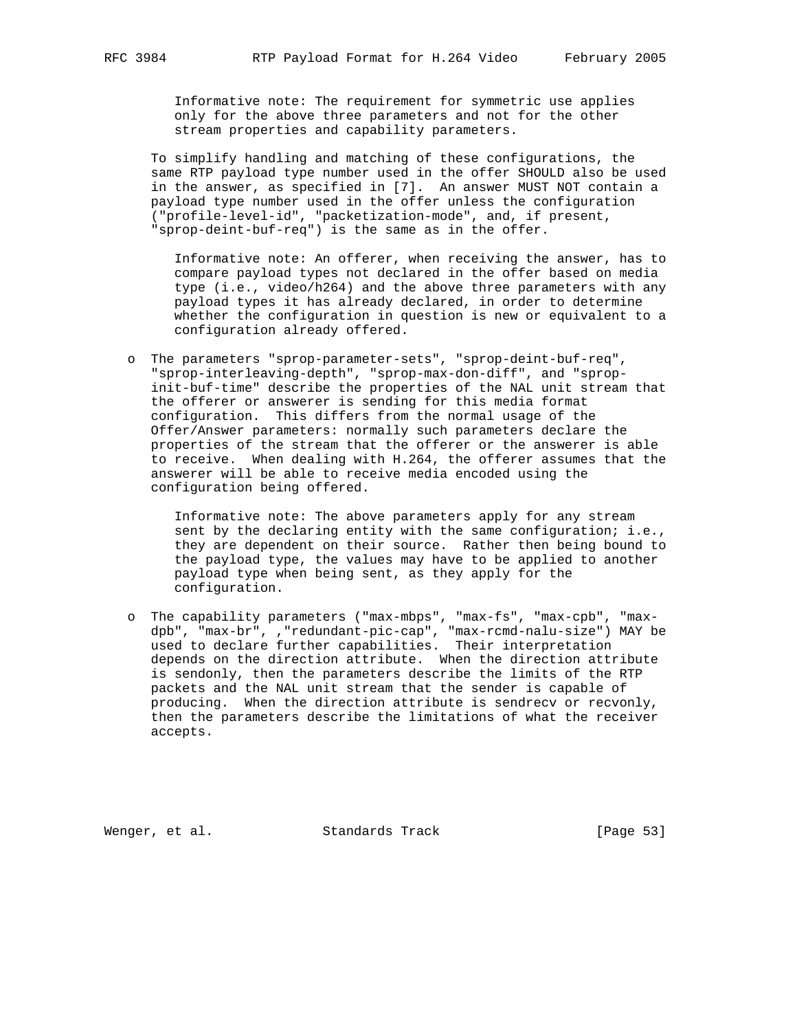Informative note: The requirement for symmetric use applies only for the above three parameters and not for the other stream properties and capability parameters.

 To simplify handling and matching of these configurations, the same RTP payload type number used in the offer SHOULD also be used in the answer, as specified in [7]. An answer MUST NOT contain a payload type number used in the offer unless the configuration ("profile-level-id", "packetization-mode", and, if present, "sprop-deint-buf-req") is the same as in the offer.

 Informative note: An offerer, when receiving the answer, has to compare payload types not declared in the offer based on media type (i.e., video/h264) and the above three parameters with any payload types it has already declared, in order to determine whether the configuration in question is new or equivalent to a configuration already offered.

 o The parameters "sprop-parameter-sets", "sprop-deint-buf-req", "sprop-interleaving-depth", "sprop-max-don-diff", and "sprop init-buf-time" describe the properties of the NAL unit stream that the offerer or answerer is sending for this media format configuration. This differs from the normal usage of the Offer/Answer parameters: normally such parameters declare the properties of the stream that the offerer or the answerer is able to receive. When dealing with H.264, the offerer assumes that the answerer will be able to receive media encoded using the configuration being offered.

 Informative note: The above parameters apply for any stream sent by the declaring entity with the same configuration; i.e., they are dependent on their source. Rather then being bound to the payload type, the values may have to be applied to another payload type when being sent, as they apply for the configuration.

 o The capability parameters ("max-mbps", "max-fs", "max-cpb", "max dpb", "max-br", ,"redundant-pic-cap", "max-rcmd-nalu-size") MAY be used to declare further capabilities. Their interpretation depends on the direction attribute. When the direction attribute is sendonly, then the parameters describe the limits of the RTP packets and the NAL unit stream that the sender is capable of producing. When the direction attribute is sendrecv or recvonly, then the parameters describe the limitations of what the receiver accepts.

Wenger, et al. Standards Track [Page 53]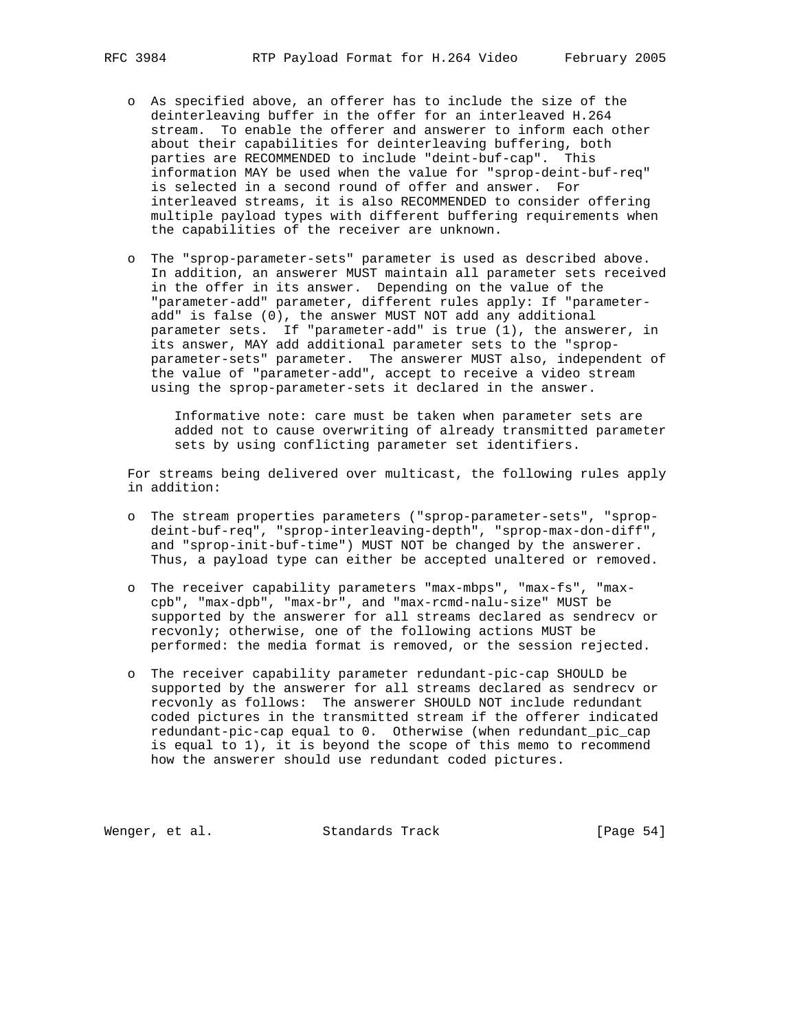- o As specified above, an offerer has to include the size of the deinterleaving buffer in the offer for an interleaved H.264 stream. To enable the offerer and answerer to inform each other about their capabilities for deinterleaving buffering, both parties are RECOMMENDED to include "deint-buf-cap". This information MAY be used when the value for "sprop-deint-buf-req" is selected in a second round of offer and answer. For interleaved streams, it is also RECOMMENDED to consider offering multiple payload types with different buffering requirements when the capabilities of the receiver are unknown.
- o The "sprop-parameter-sets" parameter is used as described above. In addition, an answerer MUST maintain all parameter sets received in the offer in its answer. Depending on the value of the "parameter-add" parameter, different rules apply: If "parameter add" is false (0), the answer MUST NOT add any additional parameter sets. If "parameter-add" is true (1), the answerer, in its answer, MAY add additional parameter sets to the "sprop parameter-sets" parameter. The answerer MUST also, independent of the value of "parameter-add", accept to receive a video stream using the sprop-parameter-sets it declared in the answer.

 Informative note: care must be taken when parameter sets are added not to cause overwriting of already transmitted parameter sets by using conflicting parameter set identifiers.

 For streams being delivered over multicast, the following rules apply in addition:

- o The stream properties parameters ("sprop-parameter-sets", "sprop deint-buf-req", "sprop-interleaving-depth", "sprop-max-don-diff", and "sprop-init-buf-time") MUST NOT be changed by the answerer. Thus, a payload type can either be accepted unaltered or removed.
- o The receiver capability parameters "max-mbps", "max-fs", "max cpb", "max-dpb", "max-br", and "max-rcmd-nalu-size" MUST be supported by the answerer for all streams declared as sendrecv or recvonly; otherwise, one of the following actions MUST be performed: the media format is removed, or the session rejected.
- o The receiver capability parameter redundant-pic-cap SHOULD be supported by the answerer for all streams declared as sendrecv or recvonly as follows: The answerer SHOULD NOT include redundant coded pictures in the transmitted stream if the offerer indicated redundant-pic-cap equal to 0. Otherwise (when redundant\_pic\_cap is equal to 1), it is beyond the scope of this memo to recommend how the answerer should use redundant coded pictures.

Wenger, et al. Standards Track [Page 54]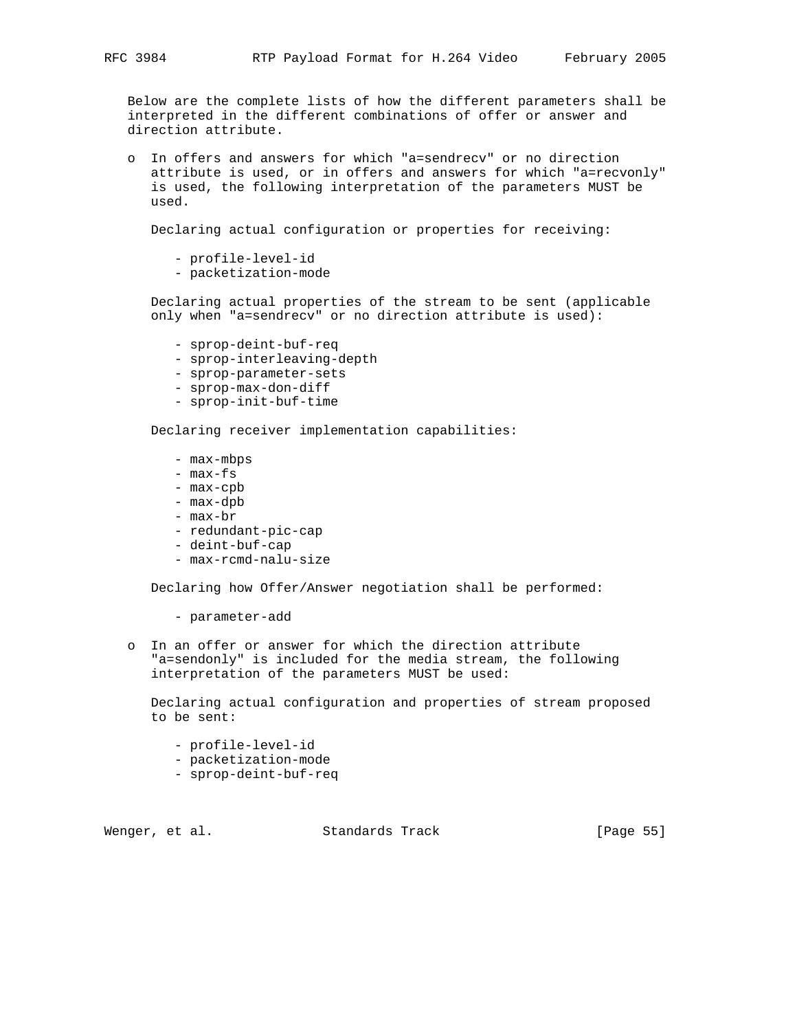Below are the complete lists of how the different parameters shall be interpreted in the different combinations of offer or answer and direction attribute.

 o In offers and answers for which "a=sendrecv" or no direction attribute is used, or in offers and answers for which "a=recvonly" is used, the following interpretation of the parameters MUST be used.

Declaring actual configuration or properties for receiving:

- profile-level-id

- packetization-mode

 Declaring actual properties of the stream to be sent (applicable only when "a=sendrecv" or no direction attribute is used):

- sprop-deint-buf-req
- sprop-interleaving-depth
- sprop-parameter-sets
- sprop-max-don-diff
- sprop-init-buf-time

Declaring receiver implementation capabilities:

- max-mbps
- max-fs
- max-cpb
- max-dpb
- max-br
- redundant-pic-cap
- deint-buf-cap
- max-rcmd-nalu-size

Declaring how Offer/Answer negotiation shall be performed:

- parameter-add
- o In an offer or answer for which the direction attribute "a=sendonly" is included for the media stream, the following interpretation of the parameters MUST be used:

 Declaring actual configuration and properties of stream proposed to be sent:

- profile-level-id
- packetization-mode
- sprop-deint-buf-req

Wenger, et al. Standards Track [Page 55]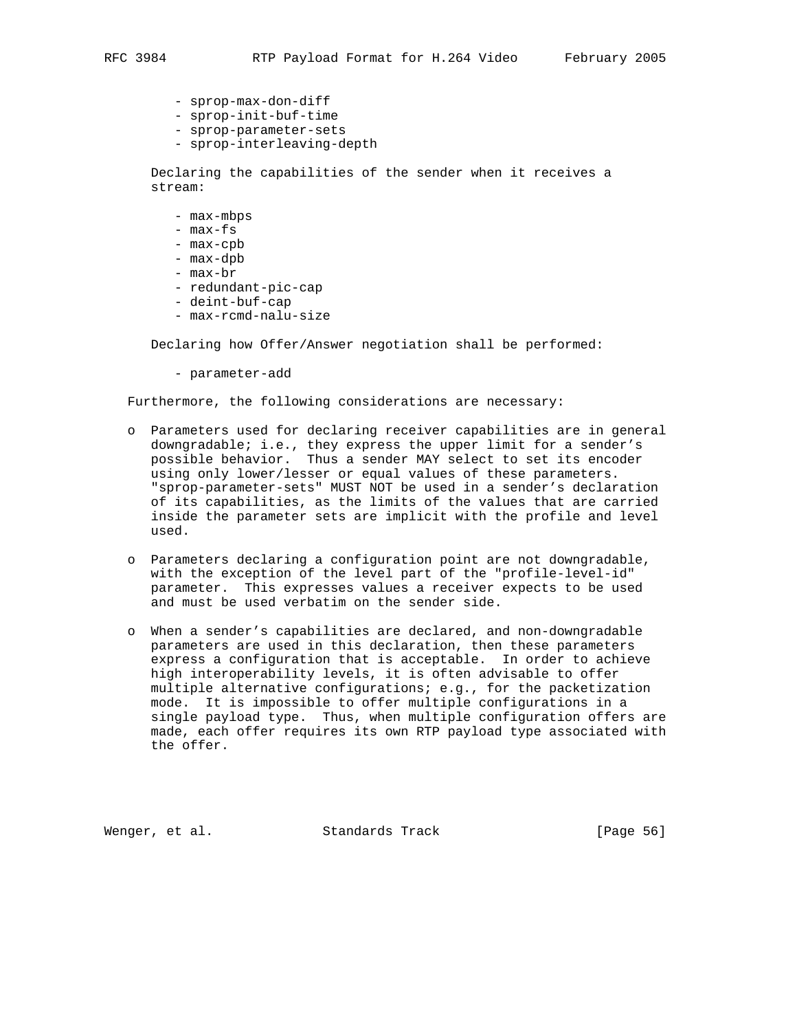- sprop-max-don-diff
- sprop-init-buf-time
- sprop-parameter-sets
- sprop-interleaving-depth

 Declaring the capabilities of the sender when it receives a stream:

- max-mbps
- max-fs
- max-cpb
- max-dpb
- max-br
- redundant-pic-cap
- deint-buf-cap
- max-rcmd-nalu-size

Declaring how Offer/Answer negotiation shall be performed:

- parameter-add

Furthermore, the following considerations are necessary:

- o Parameters used for declaring receiver capabilities are in general downgradable; i.e., they express the upper limit for a sender's possible behavior. Thus a sender MAY select to set its encoder using only lower/lesser or equal values of these parameters. "sprop-parameter-sets" MUST NOT be used in a sender's declaration of its capabilities, as the limits of the values that are carried inside the parameter sets are implicit with the profile and level used.
- o Parameters declaring a configuration point are not downgradable, with the exception of the level part of the "profile-level-id" parameter. This expresses values a receiver expects to be used and must be used verbatim on the sender side.
- o When a sender's capabilities are declared, and non-downgradable parameters are used in this declaration, then these parameters express a configuration that is acceptable. In order to achieve high interoperability levels, it is often advisable to offer multiple alternative configurations; e.g., for the packetization mode. It is impossible to offer multiple configurations in a single payload type. Thus, when multiple configuration offers are made, each offer requires its own RTP payload type associated with the offer.

Wenger, et al. Standards Track [Page 56]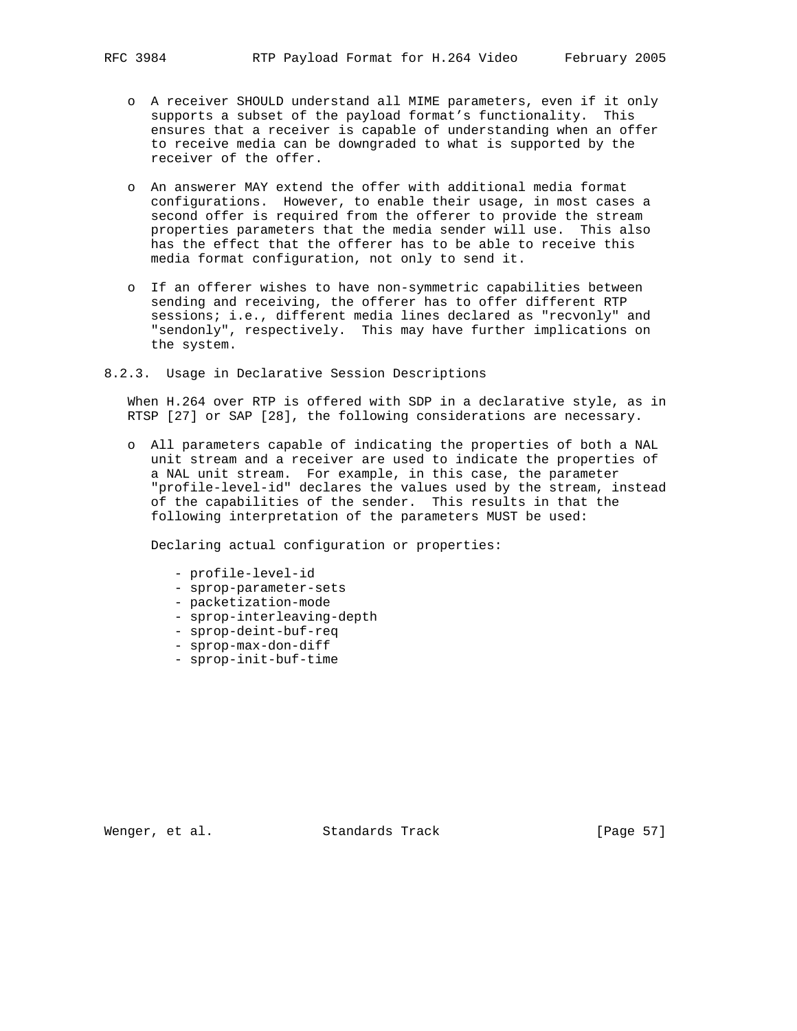- o A receiver SHOULD understand all MIME parameters, even if it only supports a subset of the payload format's functionality. This ensures that a receiver is capable of understanding when an offer to receive media can be downgraded to what is supported by the receiver of the offer.
- o An answerer MAY extend the offer with additional media format configurations. However, to enable their usage, in most cases a second offer is required from the offerer to provide the stream properties parameters that the media sender will use. This also has the effect that the offerer has to be able to receive this media format configuration, not only to send it.
- o If an offerer wishes to have non-symmetric capabilities between sending and receiving, the offerer has to offer different RTP sessions; i.e., different media lines declared as "recvonly" and "sendonly", respectively. This may have further implications on the system.
- 8.2.3. Usage in Declarative Session Descriptions

 When H.264 over RTP is offered with SDP in a declarative style, as in RTSP [27] or SAP [28], the following considerations are necessary.

 o All parameters capable of indicating the properties of both a NAL unit stream and a receiver are used to indicate the properties of a NAL unit stream. For example, in this case, the parameter "profile-level-id" declares the values used by the stream, instead of the capabilities of the sender. This results in that the following interpretation of the parameters MUST be used:

Declaring actual configuration or properties:

- profile-level-id
- sprop-parameter-sets
- packetization-mode
- sprop-interleaving-depth
- sprop-deint-buf-req
- sprop-max-don-diff
- sprop-init-buf-time

Wenger, et al. Standards Track [Page 57]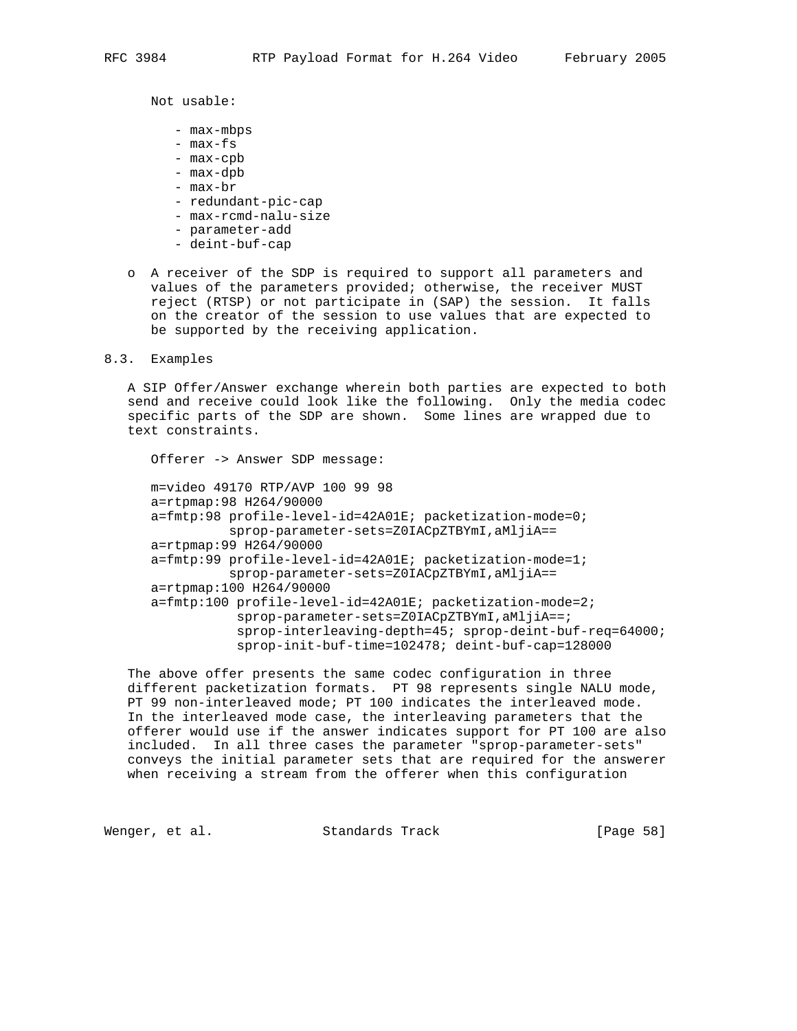Not usable:

- max-mbps
- max-fs
- max-cpb
- max-dpb
- max-br
- redundant-pic-cap
- max-rcmd-nalu-size
- parameter-add
- deint-buf-cap
- o A receiver of the SDP is required to support all parameters and values of the parameters provided; otherwise, the receiver MUST reject (RTSP) or not participate in (SAP) the session. It falls on the creator of the session to use values that are expected to be supported by the receiving application.

8.3. Examples

 A SIP Offer/Answer exchange wherein both parties are expected to both send and receive could look like the following. Only the media codec specific parts of the SDP are shown. Some lines are wrapped due to text constraints.

Offerer -> Answer SDP message:

 m=video 49170 RTP/AVP 100 99 98 a=rtpmap:98 H264/90000 a=fmtp:98 profile-level-id=42A01E; packetization-mode=0; sprop-parameter-sets=Z0IACpZTBYmI,aMljiA== a=rtpmap:99 H264/90000 a=fmtp:99 profile-level-id=42A01E; packetization-mode=1; sprop-parameter-sets=Z0IACpZTBYmI,aMljiA== a=rtpmap:100 H264/90000 a=fmtp:100 profile-level-id=42A01E; packetization-mode=2; sprop-parameter-sets=Z0IACpZTBYmI,aMljiA==; sprop-interleaving-depth=45; sprop-deint-buf-req=64000; sprop-init-buf-time=102478; deint-buf-cap=128000

 The above offer presents the same codec configuration in three different packetization formats. PT 98 represents single NALU mode, PT 99 non-interleaved mode; PT 100 indicates the interleaved mode. In the interleaved mode case, the interleaving parameters that the offerer would use if the answer indicates support for PT 100 are also included. In all three cases the parameter "sprop-parameter-sets" conveys the initial parameter sets that are required for the answerer when receiving a stream from the offerer when this configuration

Wenger, et al. Standards Track [Page 58]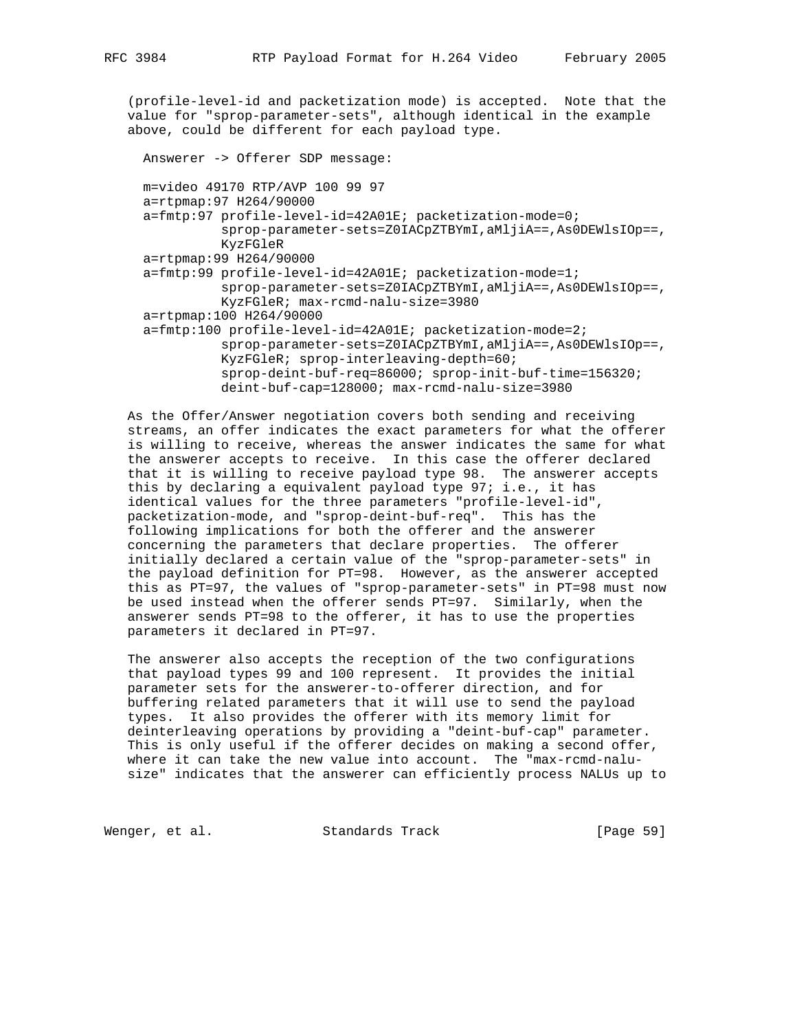(profile-level-id and packetization mode) is accepted. Note that the value for "sprop-parameter-sets", although identical in the example above, could be different for each payload type.

 Answerer -> Offerer SDP message: m=video 49170 RTP/AVP 100 99 97 a=rtpmap:97 H264/90000 a=fmtp:97 profile-level-id=42A01E; packetization-mode=0; sprop-parameter-sets=Z0IACpZTBYmI,aMljiA==,As0DEWlsIOp==, KyzFGleR a=rtpmap:99 H264/90000 a=fmtp:99 profile-level-id=42A01E; packetization-mode=1; sprop-parameter-sets=Z0IACpZTBYmI,aMljiA==,As0DEWlsIOp==, KyzFGleR; max-rcmd-nalu-size=3980 a=rtpmap:100 H264/90000 a=fmtp:100 profile-level-id=42A01E; packetization-mode=2; sprop-parameter-sets=Z0IACpZTBYmI,aMljiA==,As0DEWlsIOp==, KyzFGleR; sprop-interleaving-depth=60; sprop-deint-buf-req=86000; sprop-init-buf-time=156320; deint-buf-cap=128000; max-rcmd-nalu-size=3980

 As the Offer/Answer negotiation covers both sending and receiving streams, an offer indicates the exact parameters for what the offerer is willing to receive, whereas the answer indicates the same for what the answerer accepts to receive. In this case the offerer declared that it is willing to receive payload type 98. The answerer accepts this by declaring a equivalent payload type 97; i.e., it has identical values for the three parameters "profile-level-id", packetization-mode, and "sprop-deint-buf-req". This has the following implications for both the offerer and the answerer concerning the parameters that declare properties. The offerer initially declared a certain value of the "sprop-parameter-sets" in the payload definition for PT=98. However, as the answerer accepted this as PT=97, the values of "sprop-parameter-sets" in PT=98 must now be used instead when the offerer sends PT=97. Similarly, when the answerer sends PT=98 to the offerer, it has to use the properties parameters it declared in PT=97.

 The answerer also accepts the reception of the two configurations that payload types 99 and 100 represent. It provides the initial parameter sets for the answerer-to-offerer direction, and for buffering related parameters that it will use to send the payload types. It also provides the offerer with its memory limit for deinterleaving operations by providing a "deint-buf-cap" parameter. This is only useful if the offerer decides on making a second offer, where it can take the new value into account. The "max-rcmd-nalu size" indicates that the answerer can efficiently process NALUs up to

Wenger, et al. Standards Track [Page 59]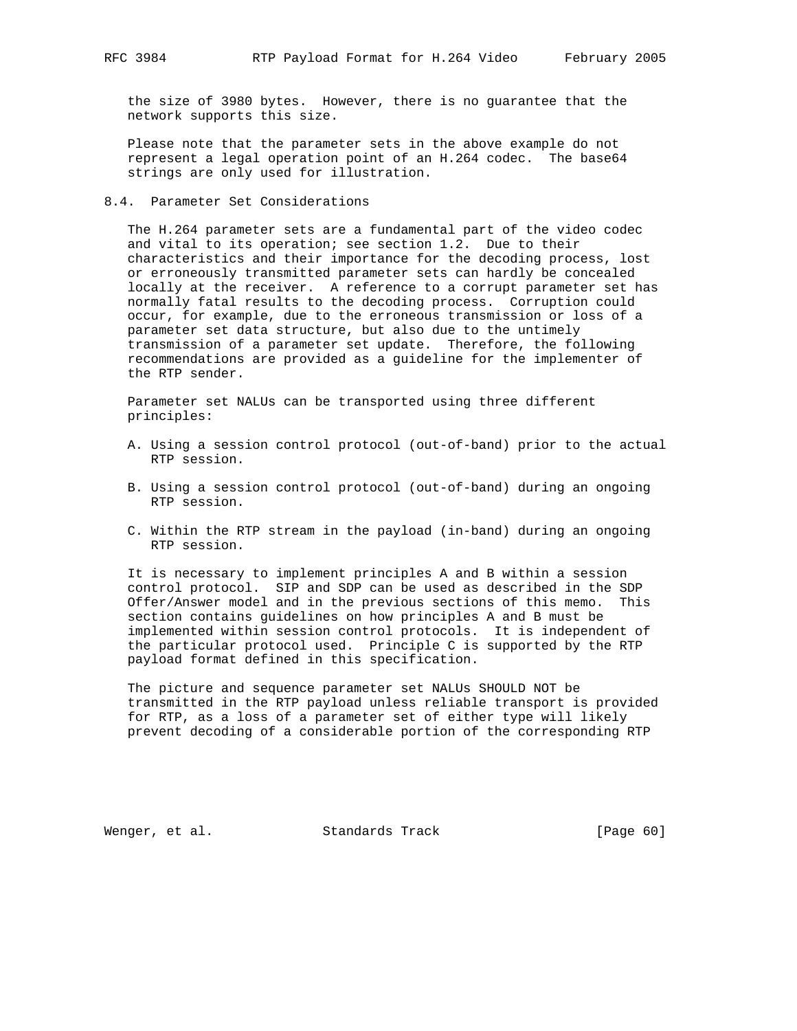the size of 3980 bytes. However, there is no guarantee that the network supports this size.

 Please note that the parameter sets in the above example do not represent a legal operation point of an H.264 codec. The base64 strings are only used for illustration.

#### 8.4. Parameter Set Considerations

 The H.264 parameter sets are a fundamental part of the video codec and vital to its operation; see section 1.2. Due to their characteristics and their importance for the decoding process, lost or erroneously transmitted parameter sets can hardly be concealed locally at the receiver. A reference to a corrupt parameter set has normally fatal results to the decoding process. Corruption could occur, for example, due to the erroneous transmission or loss of a parameter set data structure, but also due to the untimely transmission of a parameter set update. Therefore, the following recommendations are provided as a guideline for the implementer of the RTP sender.

 Parameter set NALUs can be transported using three different principles:

- A. Using a session control protocol (out-of-band) prior to the actual RTP session.
- B. Using a session control protocol (out-of-band) during an ongoing RTP session.
- C. Within the RTP stream in the payload (in-band) during an ongoing RTP session.

 It is necessary to implement principles A and B within a session control protocol. SIP and SDP can be used as described in the SDP Offer/Answer model and in the previous sections of this memo. This section contains guidelines on how principles A and B must be implemented within session control protocols. It is independent of the particular protocol used. Principle C is supported by the RTP payload format defined in this specification.

 The picture and sequence parameter set NALUs SHOULD NOT be transmitted in the RTP payload unless reliable transport is provided for RTP, as a loss of a parameter set of either type will likely prevent decoding of a considerable portion of the corresponding RTP

Wenger, et al. Standards Track [Page 60]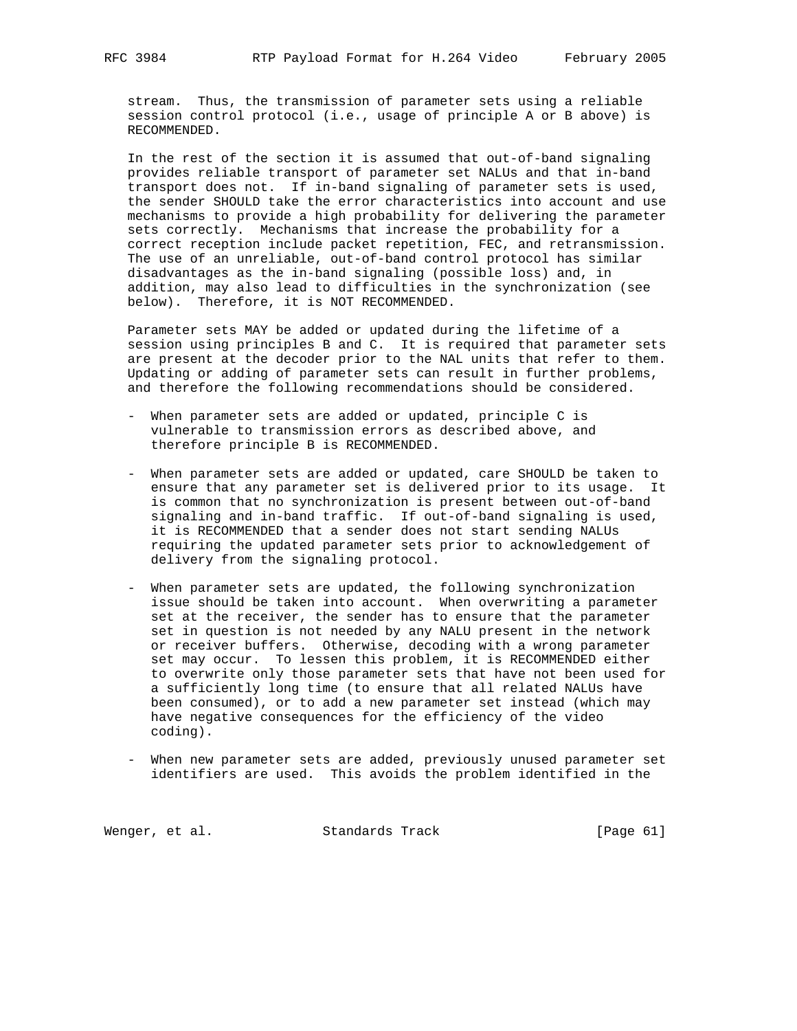stream. Thus, the transmission of parameter sets using a reliable session control protocol (i.e., usage of principle A or B above) is RECOMMENDED.

 In the rest of the section it is assumed that out-of-band signaling provides reliable transport of parameter set NALUs and that in-band transport does not. If in-band signaling of parameter sets is used, the sender SHOULD take the error characteristics into account and use mechanisms to provide a high probability for delivering the parameter sets correctly. Mechanisms that increase the probability for a correct reception include packet repetition, FEC, and retransmission. The use of an unreliable, out-of-band control protocol has similar disadvantages as the in-band signaling (possible loss) and, in addition, may also lead to difficulties in the synchronization (see below). Therefore, it is NOT RECOMMENDED.

 Parameter sets MAY be added or updated during the lifetime of a session using principles B and C. It is required that parameter sets are present at the decoder prior to the NAL units that refer to them. Updating or adding of parameter sets can result in further problems, and therefore the following recommendations should be considered.

- When parameter sets are added or updated, principle C is vulnerable to transmission errors as described above, and therefore principle B is RECOMMENDED.
- When parameter sets are added or updated, care SHOULD be taken to ensure that any parameter set is delivered prior to its usage. It is common that no synchronization is present between out-of-band signaling and in-band traffic. If out-of-band signaling is used, it is RECOMMENDED that a sender does not start sending NALUs requiring the updated parameter sets prior to acknowledgement of delivery from the signaling protocol.
- When parameter sets are updated, the following synchronization issue should be taken into account. When overwriting a parameter set at the receiver, the sender has to ensure that the parameter set in question is not needed by any NALU present in the network or receiver buffers. Otherwise, decoding with a wrong parameter set may occur. To lessen this problem, it is RECOMMENDED either to overwrite only those parameter sets that have not been used for a sufficiently long time (to ensure that all related NALUs have been consumed), or to add a new parameter set instead (which may have negative consequences for the efficiency of the video coding).
- When new parameter sets are added, previously unused parameter set identifiers are used. This avoids the problem identified in the

Wenger, et al. Standards Track [Page 61]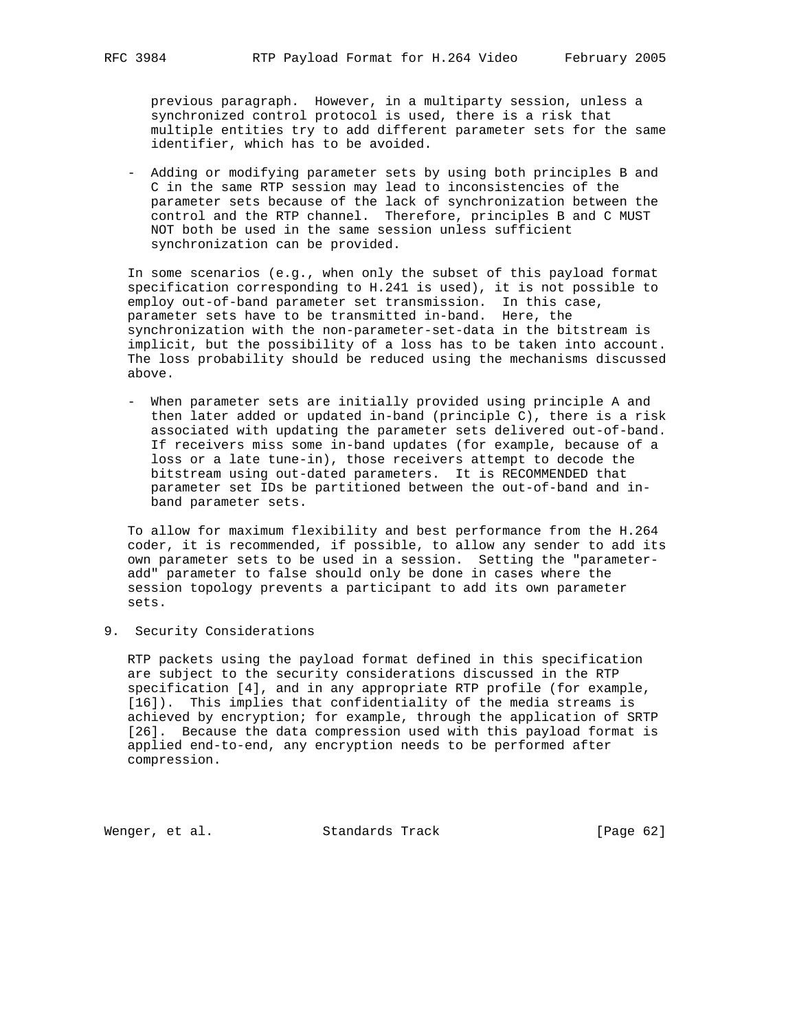previous paragraph. However, in a multiparty session, unless a synchronized control protocol is used, there is a risk that multiple entities try to add different parameter sets for the same identifier, which has to be avoided.

 - Adding or modifying parameter sets by using both principles B and C in the same RTP session may lead to inconsistencies of the parameter sets because of the lack of synchronization between the control and the RTP channel. Therefore, principles B and C MUST NOT both be used in the same session unless sufficient synchronization can be provided.

 In some scenarios (e.g., when only the subset of this payload format specification corresponding to H.241 is used), it is not possible to employ out-of-band parameter set transmission. In this case, parameter sets have to be transmitted in-band. Here, the synchronization with the non-parameter-set-data in the bitstream is implicit, but the possibility of a loss has to be taken into account. The loss probability should be reduced using the mechanisms discussed above.

 - When parameter sets are initially provided using principle A and then later added or updated in-band (principle C), there is a risk associated with updating the parameter sets delivered out-of-band. If receivers miss some in-band updates (for example, because of a loss or a late tune-in), those receivers attempt to decode the bitstream using out-dated parameters. It is RECOMMENDED that parameter set IDs be partitioned between the out-of-band and in band parameter sets.

 To allow for maximum flexibility and best performance from the H.264 coder, it is recommended, if possible, to allow any sender to add its own parameter sets to be used in a session. Setting the "parameter add" parameter to false should only be done in cases where the session topology prevents a participant to add its own parameter sets.

9. Security Considerations

 RTP packets using the payload format defined in this specification are subject to the security considerations discussed in the RTP specification [4], and in any appropriate RTP profile (for example, [16]). This implies that confidentiality of the media streams is achieved by encryption; for example, through the application of SRTP [26]. Because the data compression used with this payload format is applied end-to-end, any encryption needs to be performed after compression.

Wenger, et al. Standards Track [Page 62]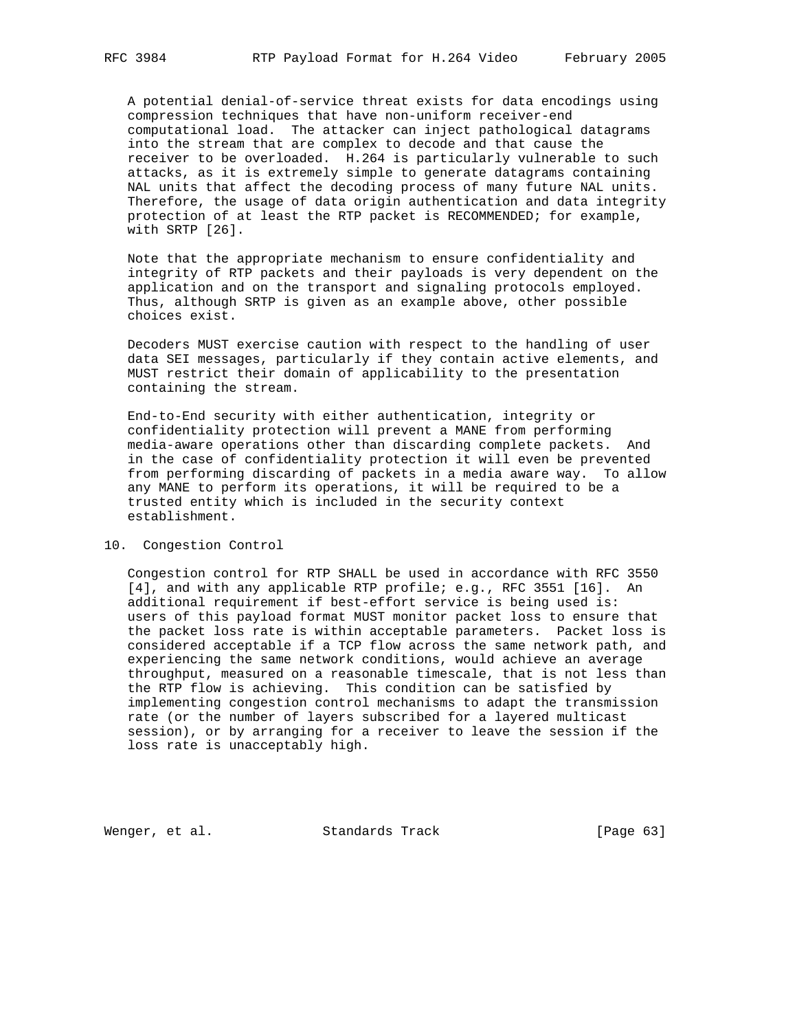A potential denial-of-service threat exists for data encodings using compression techniques that have non-uniform receiver-end computational load. The attacker can inject pathological datagrams into the stream that are complex to decode and that cause the receiver to be overloaded. H.264 is particularly vulnerable to such attacks, as it is extremely simple to generate datagrams containing NAL units that affect the decoding process of many future NAL units. Therefore, the usage of data origin authentication and data integrity protection of at least the RTP packet is RECOMMENDED; for example, with SRTP [26].

 Note that the appropriate mechanism to ensure confidentiality and integrity of RTP packets and their payloads is very dependent on the application and on the transport and signaling protocols employed. Thus, although SRTP is given as an example above, other possible choices exist.

 Decoders MUST exercise caution with respect to the handling of user data SEI messages, particularly if they contain active elements, and MUST restrict their domain of applicability to the presentation containing the stream.

 End-to-End security with either authentication, integrity or confidentiality protection will prevent a MANE from performing media-aware operations other than discarding complete packets. And in the case of confidentiality protection it will even be prevented from performing discarding of packets in a media aware way. To allow any MANE to perform its operations, it will be required to be a trusted entity which is included in the security context establishment.

## 10. Congestion Control

 Congestion control for RTP SHALL be used in accordance with RFC 3550 [4], and with any applicable RTP profile; e.g., RFC 3551 [16]. An additional requirement if best-effort service is being used is: users of this payload format MUST monitor packet loss to ensure that the packet loss rate is within acceptable parameters. Packet loss is considered acceptable if a TCP flow across the same network path, and experiencing the same network conditions, would achieve an average throughput, measured on a reasonable timescale, that is not less than the RTP flow is achieving. This condition can be satisfied by implementing congestion control mechanisms to adapt the transmission rate (or the number of layers subscribed for a layered multicast session), or by arranging for a receiver to leave the session if the loss rate is unacceptably high.

Wenger, et al. Standards Track [Page 63]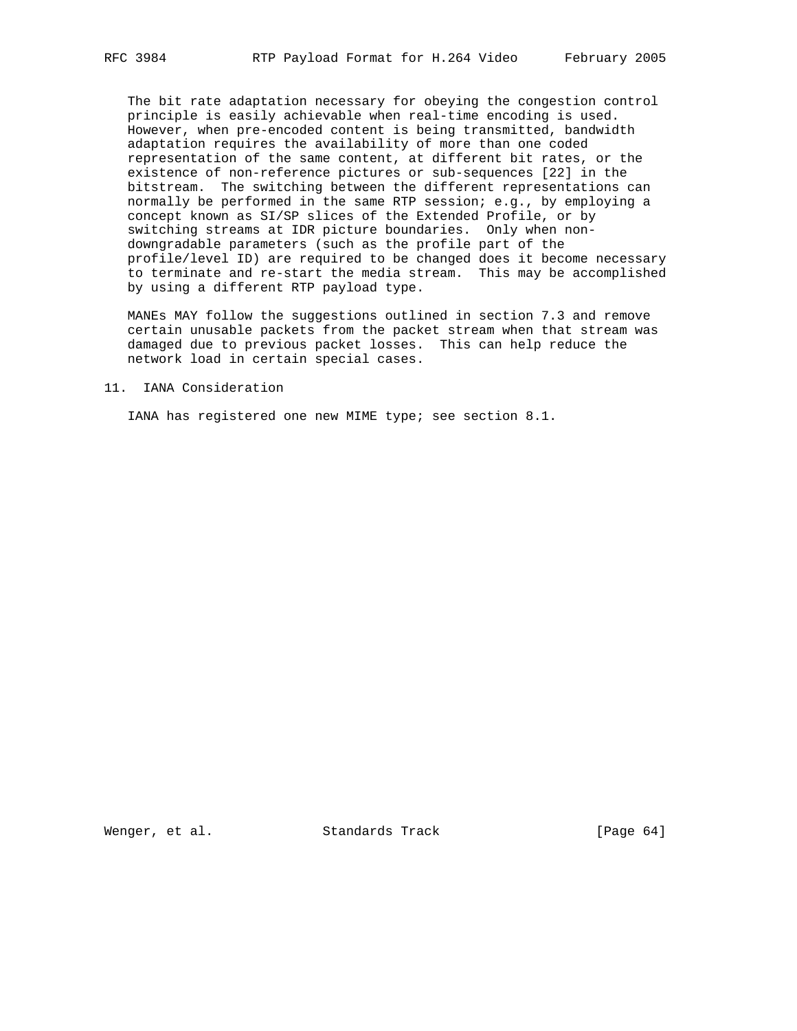The bit rate adaptation necessary for obeying the congestion control principle is easily achievable when real-time encoding is used. However, when pre-encoded content is being transmitted, bandwidth adaptation requires the availability of more than one coded representation of the same content, at different bit rates, or the existence of non-reference pictures or sub-sequences [22] in the bitstream. The switching between the different representations can normally be performed in the same RTP session; e.g., by employing a concept known as SI/SP slices of the Extended Profile, or by switching streams at IDR picture boundaries. Only when non downgradable parameters (such as the profile part of the profile/level ID) are required to be changed does it become necessary to terminate and re-start the media stream. This may be accomplished by using a different RTP payload type.

 MANEs MAY follow the suggestions outlined in section 7.3 and remove certain unusable packets from the packet stream when that stream was damaged due to previous packet losses. This can help reduce the network load in certain special cases.

#### 11. IANA Consideration

IANA has registered one new MIME type; see section 8.1.

Wenger, et al. Standards Track [Page 64]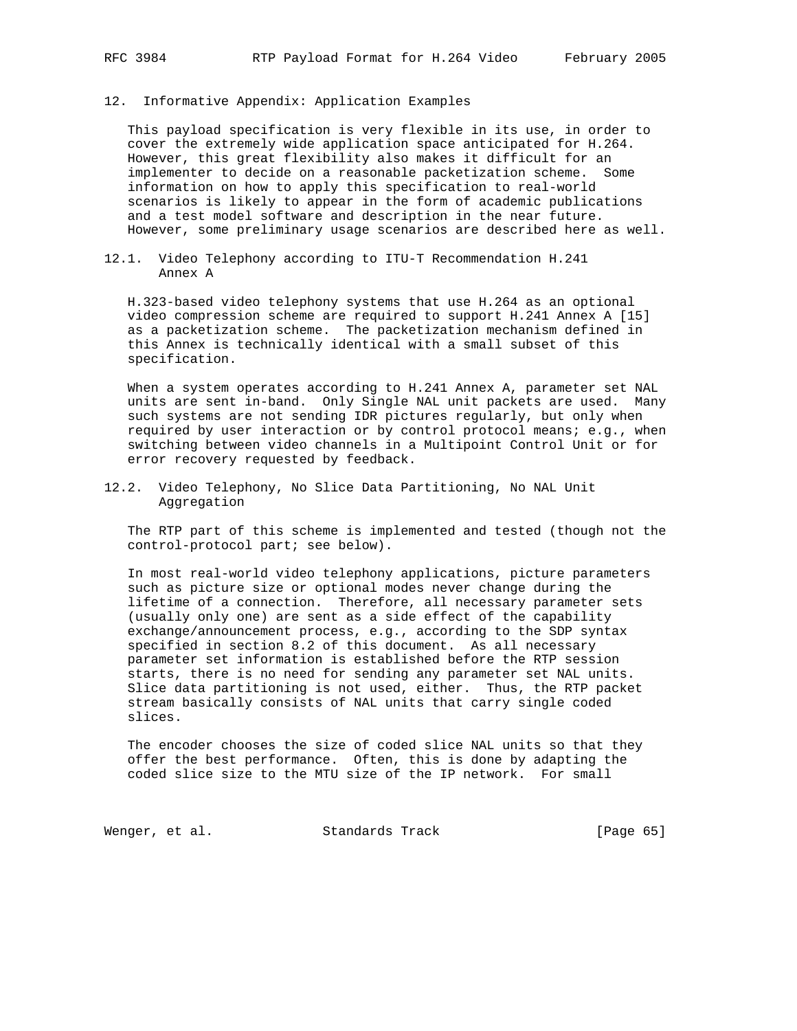12. Informative Appendix: Application Examples

 This payload specification is very flexible in its use, in order to cover the extremely wide application space anticipated for H.264. However, this great flexibility also makes it difficult for an implementer to decide on a reasonable packetization scheme. Some information on how to apply this specification to real-world scenarios is likely to appear in the form of academic publications and a test model software and description in the near future. However, some preliminary usage scenarios are described here as well.

12.1. Video Telephony according to ITU-T Recommendation H.241 Annex A

 H.323-based video telephony systems that use H.264 as an optional video compression scheme are required to support H.241 Annex A [15] as a packetization scheme. The packetization mechanism defined in this Annex is technically identical with a small subset of this specification.

 When a system operates according to H.241 Annex A, parameter set NAL units are sent in-band. Only Single NAL unit packets are used. Many such systems are not sending IDR pictures regularly, but only when required by user interaction or by control protocol means; e.g., when switching between video channels in a Multipoint Control Unit or for error recovery requested by feedback.

12.2. Video Telephony, No Slice Data Partitioning, No NAL Unit Aggregation

 The RTP part of this scheme is implemented and tested (though not the control-protocol part; see below).

 In most real-world video telephony applications, picture parameters such as picture size or optional modes never change during the lifetime of a connection. Therefore, all necessary parameter sets (usually only one) are sent as a side effect of the capability exchange/announcement process, e.g., according to the SDP syntax specified in section 8.2 of this document. As all necessary parameter set information is established before the RTP session starts, there is no need for sending any parameter set NAL units. Slice data partitioning is not used, either. Thus, the RTP packet stream basically consists of NAL units that carry single coded slices.

 The encoder chooses the size of coded slice NAL units so that they offer the best performance. Often, this is done by adapting the coded slice size to the MTU size of the IP network. For small

Wenger, et al. Standards Track [Page 65]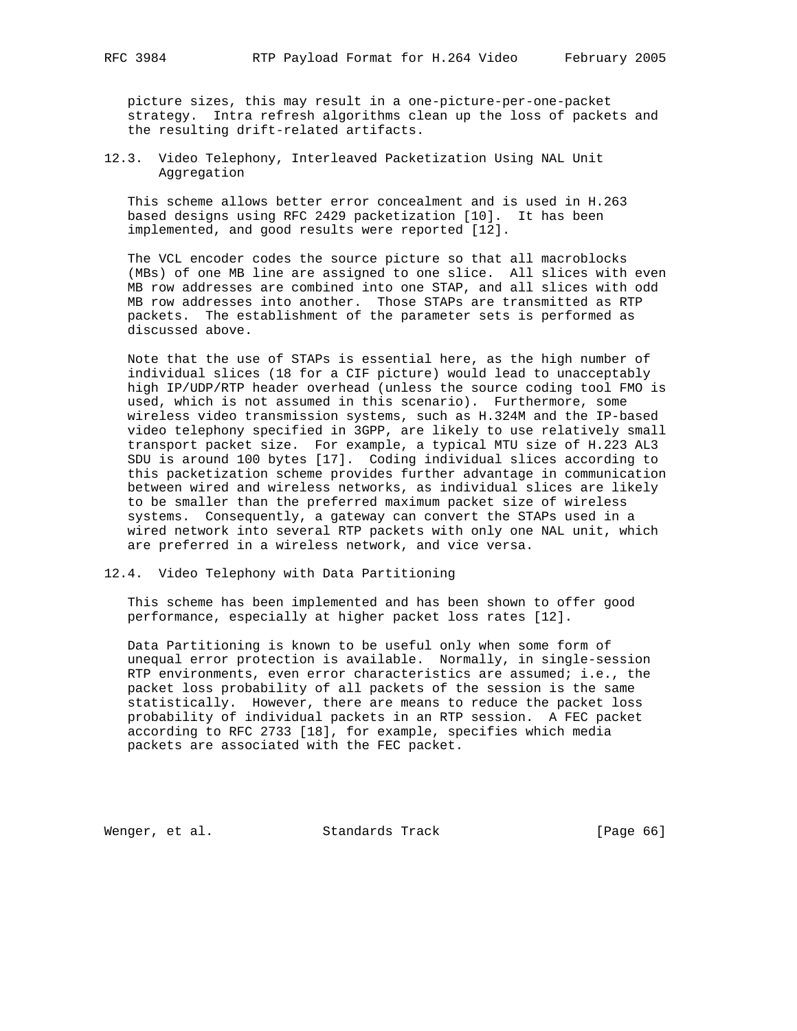picture sizes, this may result in a one-picture-per-one-packet strategy. Intra refresh algorithms clean up the loss of packets and the resulting drift-related artifacts.

12.3. Video Telephony, Interleaved Packetization Using NAL Unit Aggregation

 This scheme allows better error concealment and is used in H.263 based designs using RFC 2429 packetization [10]. It has been implemented, and good results were reported [12].

 The VCL encoder codes the source picture so that all macroblocks (MBs) of one MB line are assigned to one slice. All slices with even MB row addresses are combined into one STAP, and all slices with odd MB row addresses into another. Those STAPs are transmitted as RTP packets. The establishment of the parameter sets is performed as discussed above.

 Note that the use of STAPs is essential here, as the high number of individual slices (18 for a CIF picture) would lead to unacceptably high IP/UDP/RTP header overhead (unless the source coding tool FMO is used, which is not assumed in this scenario). Furthermore, some wireless video transmission systems, such as H.324M and the IP-based video telephony specified in 3GPP, are likely to use relatively small transport packet size. For example, a typical MTU size of H.223 AL3 SDU is around 100 bytes [17]. Coding individual slices according to this packetization scheme provides further advantage in communication between wired and wireless networks, as individual slices are likely to be smaller than the preferred maximum packet size of wireless systems. Consequently, a gateway can convert the STAPs used in a wired network into several RTP packets with only one NAL unit, which are preferred in a wireless network, and vice versa.

12.4. Video Telephony with Data Partitioning

 This scheme has been implemented and has been shown to offer good performance, especially at higher packet loss rates [12].

 Data Partitioning is known to be useful only when some form of unequal error protection is available. Normally, in single-session RTP environments, even error characteristics are assumed; i.e., the packet loss probability of all packets of the session is the same statistically. However, there are means to reduce the packet loss probability of individual packets in an RTP session. A FEC packet according to RFC 2733 [18], for example, specifies which media packets are associated with the FEC packet.

Wenger, et al. Standards Track [Page 66]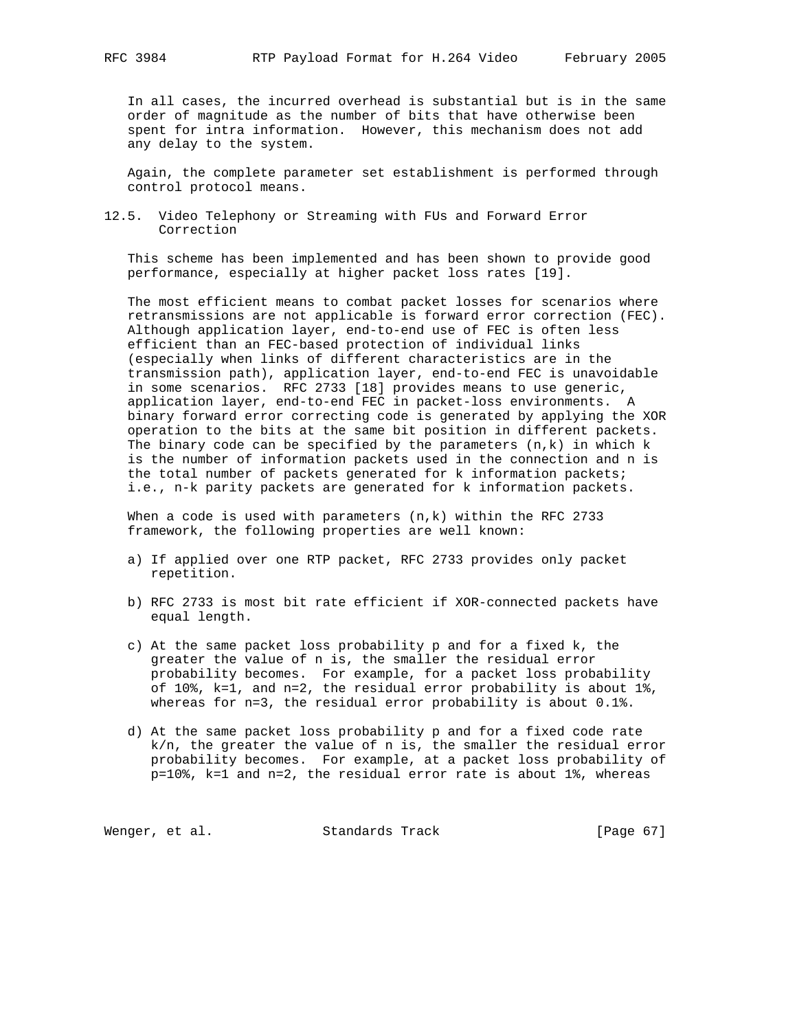In all cases, the incurred overhead is substantial but is in the same order of magnitude as the number of bits that have otherwise been spent for intra information. However, this mechanism does not add any delay to the system.

 Again, the complete parameter set establishment is performed through control protocol means.

12.5. Video Telephony or Streaming with FUs and Forward Error Correction

 This scheme has been implemented and has been shown to provide good performance, especially at higher packet loss rates [19].

 The most efficient means to combat packet losses for scenarios where retransmissions are not applicable is forward error correction (FEC). Although application layer, end-to-end use of FEC is often less efficient than an FEC-based protection of individual links (especially when links of different characteristics are in the transmission path), application layer, end-to-end FEC is unavoidable in some scenarios. RFC 2733 [18] provides means to use generic, application layer, end-to-end FEC in packet-loss environments. A binary forward error correcting code is generated by applying the XOR operation to the bits at the same bit position in different packets. The binary code can be specified by the parameters  $(n,k)$  in which  $k$  is the number of information packets used in the connection and n is the total number of packets generated for k information packets; i.e., n-k parity packets are generated for k information packets.

When a code is used with parameters  $(n,k)$  within the RFC 2733 framework, the following properties are well known:

- a) If applied over one RTP packet, RFC 2733 provides only packet repetition.
- b) RFC 2733 is most bit rate efficient if XOR-connected packets have equal length.
- c) At the same packet loss probability p and for a fixed k, the greater the value of n is, the smaller the residual error probability becomes. For example, for a packet loss probability of 10%, k=1, and n=2, the residual error probability is about 1%, whereas for n=3, the residual error probability is about 0.1%.
	- d) At the same packet loss probability p and for a fixed code rate k/n, the greater the value of n is, the smaller the residual error probability becomes. For example, at a packet loss probability of p=10%, k=1 and n=2, the residual error rate is about 1%, whereas

Wenger, et al. Standards Track [Page 67]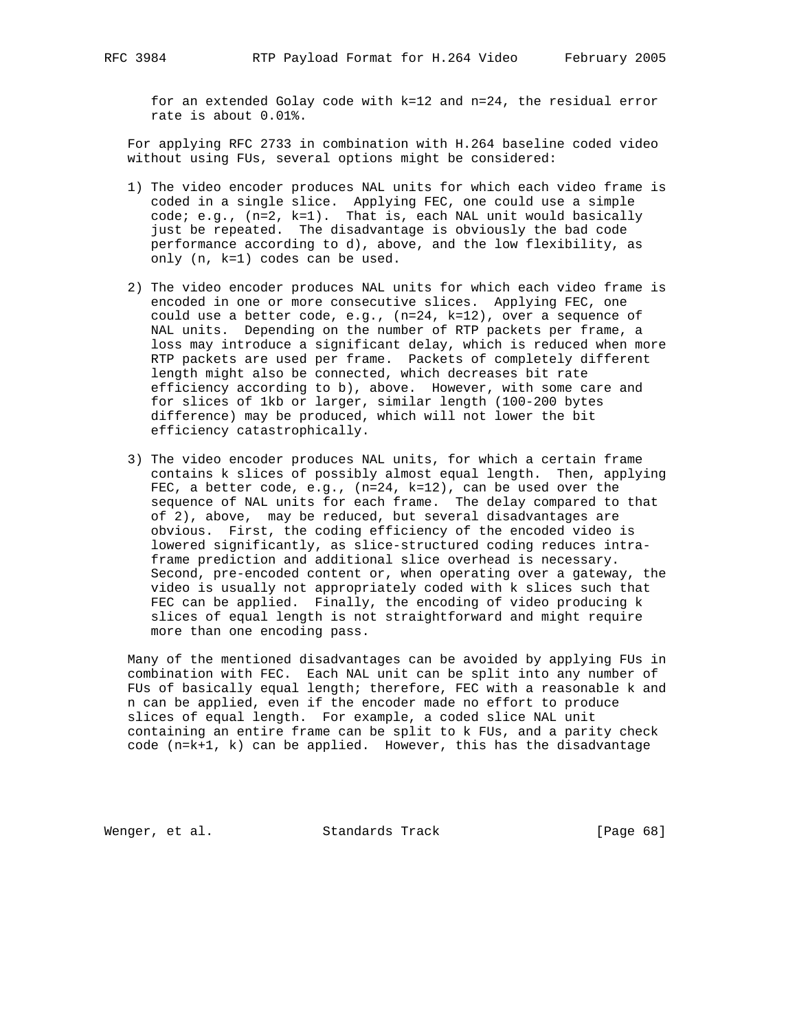for an extended Golay code with k=12 and n=24, the residual error rate is about 0.01%.

 For applying RFC 2733 in combination with H.264 baseline coded video without using FUs, several options might be considered:

- 1) The video encoder produces NAL units for which each video frame is coded in a single slice. Applying FEC, one could use a simple code; e.g.,  $(n=2, k=1)$ . That is, each NAL unit would basically just be repeated. The disadvantage is obviously the bad code performance according to d), above, and the low flexibility, as only (n, k=1) codes can be used.
- 2) The video encoder produces NAL units for which each video frame is encoded in one or more consecutive slices. Applying FEC, one could use a better code, e.g., (n=24, k=12), over a sequence of NAL units. Depending on the number of RTP packets per frame, a loss may introduce a significant delay, which is reduced when more RTP packets are used per frame. Packets of completely different length might also be connected, which decreases bit rate efficiency according to b), above. However, with some care and for slices of 1kb or larger, similar length (100-200 bytes difference) may be produced, which will not lower the bit efficiency catastrophically.
- 3) The video encoder produces NAL units, for which a certain frame contains k slices of possibly almost equal length. Then, applying FEC, a better code, e.g., (n=24, k=12), can be used over the sequence of NAL units for each frame. The delay compared to that of 2), above, may be reduced, but several disadvantages are obvious. First, the coding efficiency of the encoded video is lowered significantly, as slice-structured coding reduces intra frame prediction and additional slice overhead is necessary. Second, pre-encoded content or, when operating over a gateway, the video is usually not appropriately coded with k slices such that FEC can be applied. Finally, the encoding of video producing k slices of equal length is not straightforward and might require more than one encoding pass.

 Many of the mentioned disadvantages can be avoided by applying FUs in combination with FEC. Each NAL unit can be split into any number of FUs of basically equal length; therefore, FEC with a reasonable k and n can be applied, even if the encoder made no effort to produce slices of equal length. For example, a coded slice NAL unit containing an entire frame can be split to k FUs, and a parity check code (n=k+1, k) can be applied. However, this has the disadvantage

Wenger, et al. Standards Track [Page 68]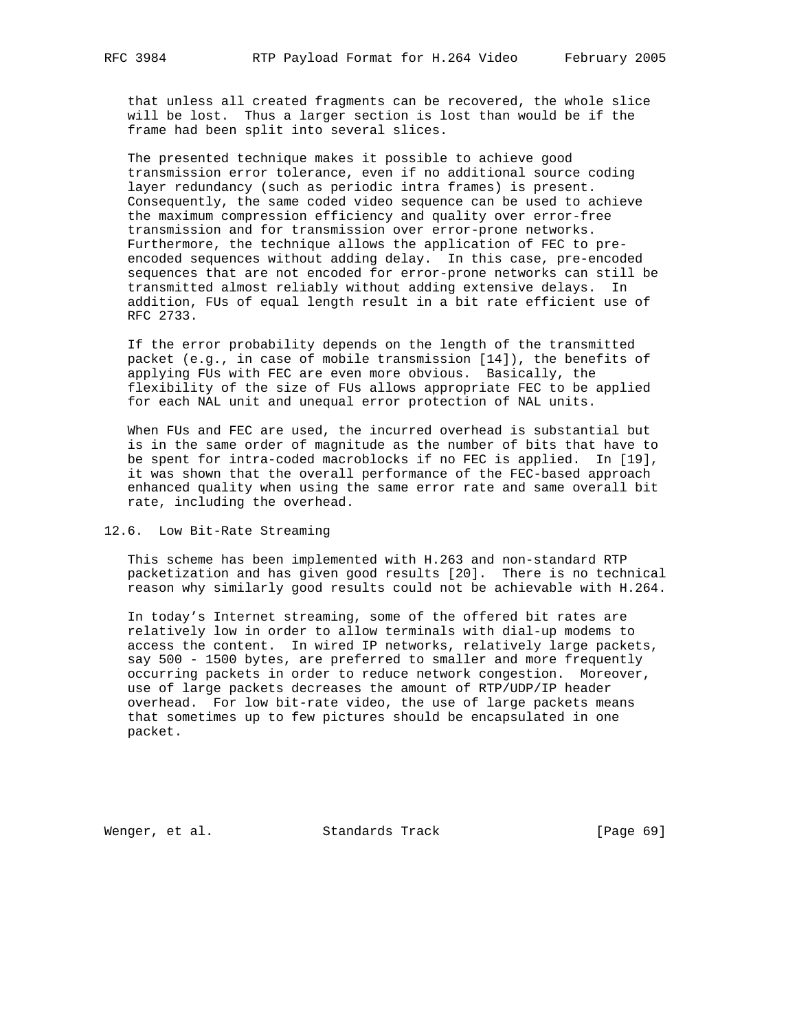that unless all created fragments can be recovered, the whole slice will be lost. Thus a larger section is lost than would be if the frame had been split into several slices.

 The presented technique makes it possible to achieve good transmission error tolerance, even if no additional source coding layer redundancy (such as periodic intra frames) is present. Consequently, the same coded video sequence can be used to achieve the maximum compression efficiency and quality over error-free transmission and for transmission over error-prone networks. Furthermore, the technique allows the application of FEC to pre encoded sequences without adding delay. In this case, pre-encoded sequences that are not encoded for error-prone networks can still be transmitted almost reliably without adding extensive delays. In addition, FUs of equal length result in a bit rate efficient use of RFC 2733.

 If the error probability depends on the length of the transmitted packet (e.g., in case of mobile transmission [14]), the benefits of applying FUs with FEC are even more obvious. Basically, the flexibility of the size of FUs allows appropriate FEC to be applied for each NAL unit and unequal error protection of NAL units.

 When FUs and FEC are used, the incurred overhead is substantial but is in the same order of magnitude as the number of bits that have to be spent for intra-coded macroblocks if no FEC is applied. In [19], it was shown that the overall performance of the FEC-based approach enhanced quality when using the same error rate and same overall bit rate, including the overhead.

## 12.6. Low Bit-Rate Streaming

 This scheme has been implemented with H.263 and non-standard RTP packetization and has given good results [20]. There is no technical reason why similarly good results could not be achievable with H.264.

 In today's Internet streaming, some of the offered bit rates are relatively low in order to allow terminals with dial-up modems to access the content. In wired IP networks, relatively large packets, say 500 - 1500 bytes, are preferred to smaller and more frequently occurring packets in order to reduce network congestion. Moreover, use of large packets decreases the amount of RTP/UDP/IP header overhead. For low bit-rate video, the use of large packets means that sometimes up to few pictures should be encapsulated in one packet.

Wenger, et al. Standards Track [Page 69]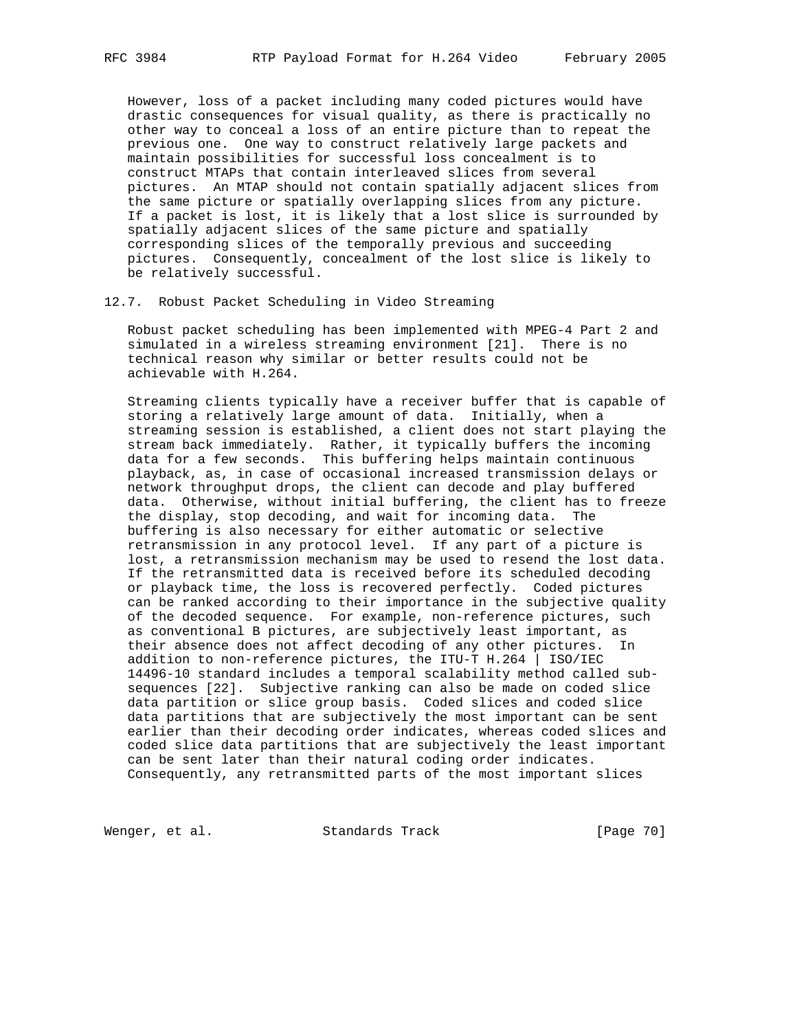However, loss of a packet including many coded pictures would have drastic consequences for visual quality, as there is practically no other way to conceal a loss of an entire picture than to repeat the previous one. One way to construct relatively large packets and maintain possibilities for successful loss concealment is to construct MTAPs that contain interleaved slices from several pictures. An MTAP should not contain spatially adjacent slices from the same picture or spatially overlapping slices from any picture. If a packet is lost, it is likely that a lost slice is surrounded by spatially adjacent slices of the same picture and spatially corresponding slices of the temporally previous and succeeding pictures. Consequently, concealment of the lost slice is likely to be relatively successful.

## 12.7. Robust Packet Scheduling in Video Streaming

 Robust packet scheduling has been implemented with MPEG-4 Part 2 and simulated in a wireless streaming environment [21]. There is no technical reason why similar or better results could not be achievable with H.264.

 Streaming clients typically have a receiver buffer that is capable of storing a relatively large amount of data. Initially, when a streaming session is established, a client does not start playing the stream back immediately. Rather, it typically buffers the incoming data for a few seconds. This buffering helps maintain continuous playback, as, in case of occasional increased transmission delays or network throughput drops, the client can decode and play buffered data. Otherwise, without initial buffering, the client has to freeze the display, stop decoding, and wait for incoming data. The buffering is also necessary for either automatic or selective retransmission in any protocol level. If any part of a picture is lost, a retransmission mechanism may be used to resend the lost data. If the retransmitted data is received before its scheduled decoding or playback time, the loss is recovered perfectly. Coded pictures can be ranked according to their importance in the subjective quality of the decoded sequence. For example, non-reference pictures, such as conventional B pictures, are subjectively least important, as their absence does not affect decoding of any other pictures. In addition to non-reference pictures, the ITU-T H.264 | ISO/IEC 14496-10 standard includes a temporal scalability method called sub sequences [22]. Subjective ranking can also be made on coded slice data partition or slice group basis. Coded slices and coded slice data partitions that are subjectively the most important can be sent earlier than their decoding order indicates, whereas coded slices and coded slice data partitions that are subjectively the least important can be sent later than their natural coding order indicates. Consequently, any retransmitted parts of the most important slices

Wenger, et al. Standards Track [Page 70]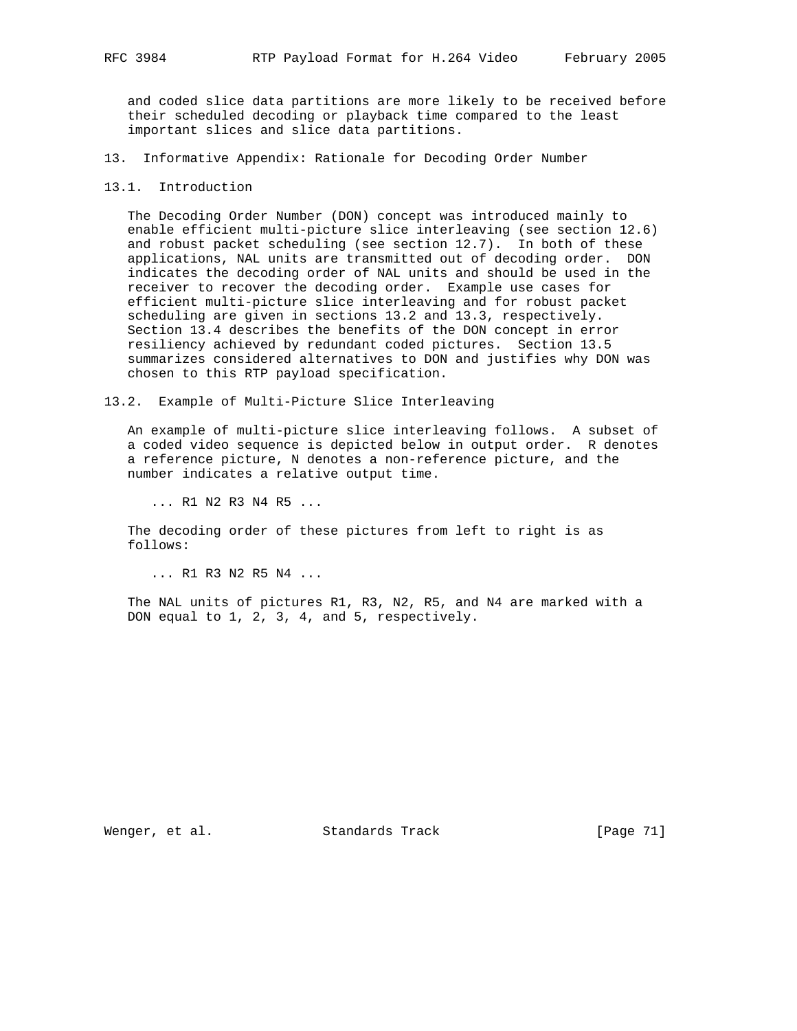and coded slice data partitions are more likely to be received before their scheduled decoding or playback time compared to the least important slices and slice data partitions.

- 13. Informative Appendix: Rationale for Decoding Order Number
- 13.1. Introduction

 The Decoding Order Number (DON) concept was introduced mainly to enable efficient multi-picture slice interleaving (see section 12.6) and robust packet scheduling (see section 12.7). In both of these applications, NAL units are transmitted out of decoding order. DON indicates the decoding order of NAL units and should be used in the receiver to recover the decoding order. Example use cases for efficient multi-picture slice interleaving and for robust packet scheduling are given in sections 13.2 and 13.3, respectively. Section 13.4 describes the benefits of the DON concept in error resiliency achieved by redundant coded pictures. Section 13.5 summarizes considered alternatives to DON and justifies why DON was chosen to this RTP payload specification.

13.2. Example of Multi-Picture Slice Interleaving

 An example of multi-picture slice interleaving follows. A subset of a coded video sequence is depicted below in output order. R denotes a reference picture, N denotes a non-reference picture, and the number indicates a relative output time.

... R1 N2 R3 N4 R5 ...

 The decoding order of these pictures from left to right is as follows:

... R1 R3 N2 R5 N4 ...

 The NAL units of pictures R1, R3, N2, R5, and N4 are marked with a DON equal to 1, 2, 3, 4, and 5, respectively.

Wenger, et al. Standards Track [Page 71]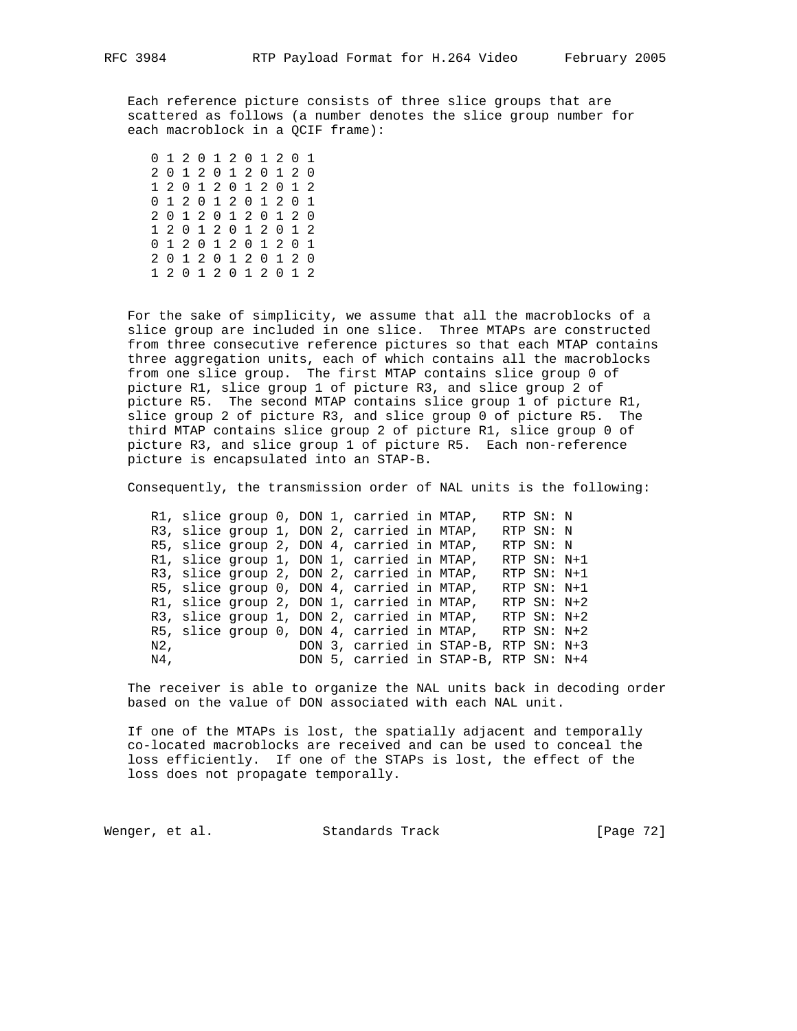Each reference picture consists of three slice groups that are scattered as follows (a number denotes the slice group number for each macroblock in a QCIF frame):

 0 1 2 0 1 2 0 1 2 0 1 2 0 1 2 0 1 2 0 1 2 0 1 2 0 1 2 0 1 2 0 1 2 0 1 2 0 1 2 0 1 2 0 1 2 0 1 2 0 1 2 0 1 2 0 1 2 0 1 2 0 1 2 0 1 2 0 1 2 0 1 2 0 1 2 0 1 2 0 1 2 0 1 2 0 1 2 0 1 2 0 1 2 0 1 2 0 1 2

 For the sake of simplicity, we assume that all the macroblocks of a slice group are included in one slice. Three MTAPs are constructed from three consecutive reference pictures so that each MTAP contains three aggregation units, each of which contains all the macroblocks from one slice group. The first MTAP contains slice group 0 of picture R1, slice group 1 of picture R3, and slice group 2 of picture R5. The second MTAP contains slice group 1 of picture R1, slice group 2 of picture R3, and slice group 0 of picture R5. The third MTAP contains slice group 2 of picture R1, slice group 0 of picture R3, and slice group 1 of picture R5. Each non-reference picture is encapsulated into an STAP-B.

Consequently, the transmission order of NAL units is the following:

 R1, slice group 0, DON 1, carried in MTAP, RTP SN: N R3, slice group 1, DON 2, carried in MTAP, RTP SN: N R5, slice group 2, DON 4, carried in MTAP, RTP SN: N R1, slice group 1, DON 1, carried in MTAP, RTP SN: N+1 R3, slice group 2, DON 2, carried in MTAP, RTP SN: N+1 R5, slice group 0, DON 4, carried in MTAP, RTP SN: N+1 R1, slice group 2, DON 1, carried in MTAP, RTP SN: N+2 R3, slice group 1, DON 2, carried in MTAP, RTP SN: N+2 R5, slice group 0, DON 4, carried in MTAP, RTP SN: N+2 N2, DON 3, carried in STAP-B, RTP SN: N+3 N4, DON 5, carried in STAP-B, RTP SN: N+4

 The receiver is able to organize the NAL units back in decoding order based on the value of DON associated with each NAL unit.

 If one of the MTAPs is lost, the spatially adjacent and temporally co-located macroblocks are received and can be used to conceal the loss efficiently. If one of the STAPs is lost, the effect of the loss does not propagate temporally.

Wenger, et al. Standards Track [Page 72]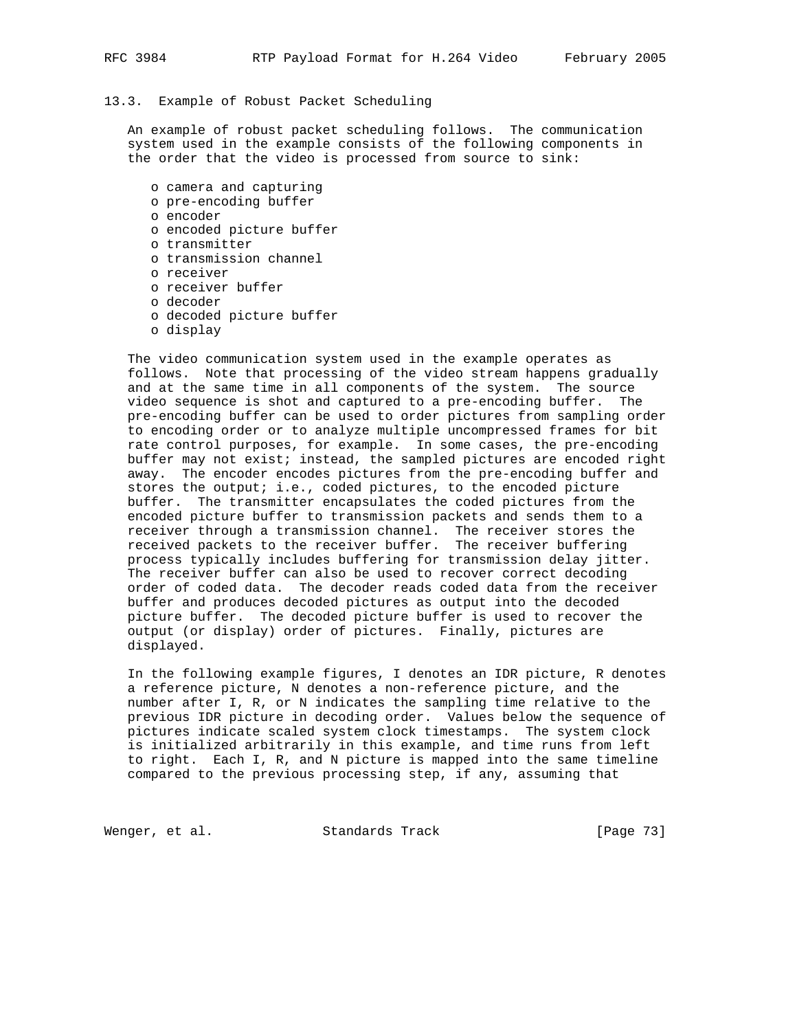## 13.3. Example of Robust Packet Scheduling

 An example of robust packet scheduling follows. The communication system used in the example consists of the following components in the order that the video is processed from source to sink:

- o camera and capturing
- o pre-encoding buffer
- o encoder
- o encoded picture buffer
- o transmitter
- o transmission channel
- o receiver
- o receiver buffer
- o decoder
- o decoded picture buffer
- o display

 The video communication system used in the example operates as follows. Note that processing of the video stream happens gradually and at the same time in all components of the system. The source video sequence is shot and captured to a pre-encoding buffer. The pre-encoding buffer can be used to order pictures from sampling order to encoding order or to analyze multiple uncompressed frames for bit rate control purposes, for example. In some cases, the pre-encoding buffer may not exist; instead, the sampled pictures are encoded right away. The encoder encodes pictures from the pre-encoding buffer and stores the output; i.e., coded pictures, to the encoded picture buffer. The transmitter encapsulates the coded pictures from the encoded picture buffer to transmission packets and sends them to a receiver through a transmission channel. The receiver stores the received packets to the receiver buffer. The receiver buffering process typically includes buffering for transmission delay jitter. The receiver buffer can also be used to recover correct decoding order of coded data. The decoder reads coded data from the receiver buffer and produces decoded pictures as output into the decoded picture buffer. The decoded picture buffer is used to recover the output (or display) order of pictures. Finally, pictures are displayed.

 In the following example figures, I denotes an IDR picture, R denotes a reference picture, N denotes a non-reference picture, and the number after I, R, or N indicates the sampling time relative to the previous IDR picture in decoding order. Values below the sequence of pictures indicate scaled system clock timestamps. The system clock is initialized arbitrarily in this example, and time runs from left to right. Each I, R, and N picture is mapped into the same timeline compared to the previous processing step, if any, assuming that

Wenger, et al. Standards Track [Page 73]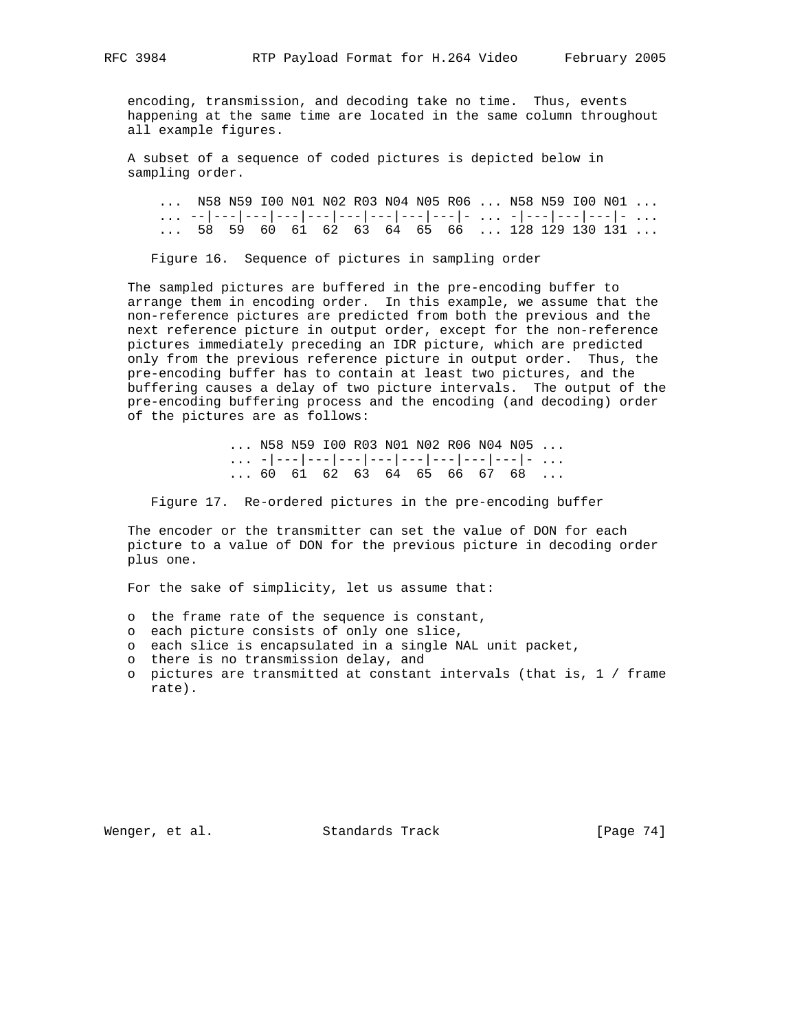encoding, transmission, and decoding take no time. Thus, events happening at the same time are located in the same column throughout all example figures.

 A subset of a sequence of coded pictures is depicted below in sampling order.

 ... N58 N59 I00 N01 N02 R03 N04 N05 R06 ... N58 N59 I00 N01 ... ... --|---|---|---|---|---|---|---|---|- ... -|---|---|---|- ... ... 58 59 60 61 62 63 64 65 66 ... 128 129 130 131 ...

Figure 16. Sequence of pictures in sampling order

 The sampled pictures are buffered in the pre-encoding buffer to arrange them in encoding order. In this example, we assume that the non-reference pictures are predicted from both the previous and the next reference picture in output order, except for the non-reference pictures immediately preceding an IDR picture, which are predicted only from the previous reference picture in output order. Thus, the pre-encoding buffer has to contain at least two pictures, and the buffering causes a delay of two picture intervals. The output of the pre-encoding buffering process and the encoding (and decoding) order of the pictures are as follows:

 ... N58 N59 I00 R03 N01 N02 R06 N04 N05 ...  $\dots$  -|---|---|---|---|---|---|---|---|- ... ... 60 61 62 63 64 65 66 67 68 ...

Figure 17. Re-ordered pictures in the pre-encoding buffer

 The encoder or the transmitter can set the value of DON for each picture to a value of DON for the previous picture in decoding order plus one.

For the sake of simplicity, let us assume that:

- o the frame rate of the sequence is constant,
- o each picture consists of only one slice,
- o each slice is encapsulated in a single NAL unit packet,
- o there is no transmission delay, and
- o pictures are transmitted at constant intervals (that is, 1 / frame rate).

Wenger, et al. Standards Track [Page 74]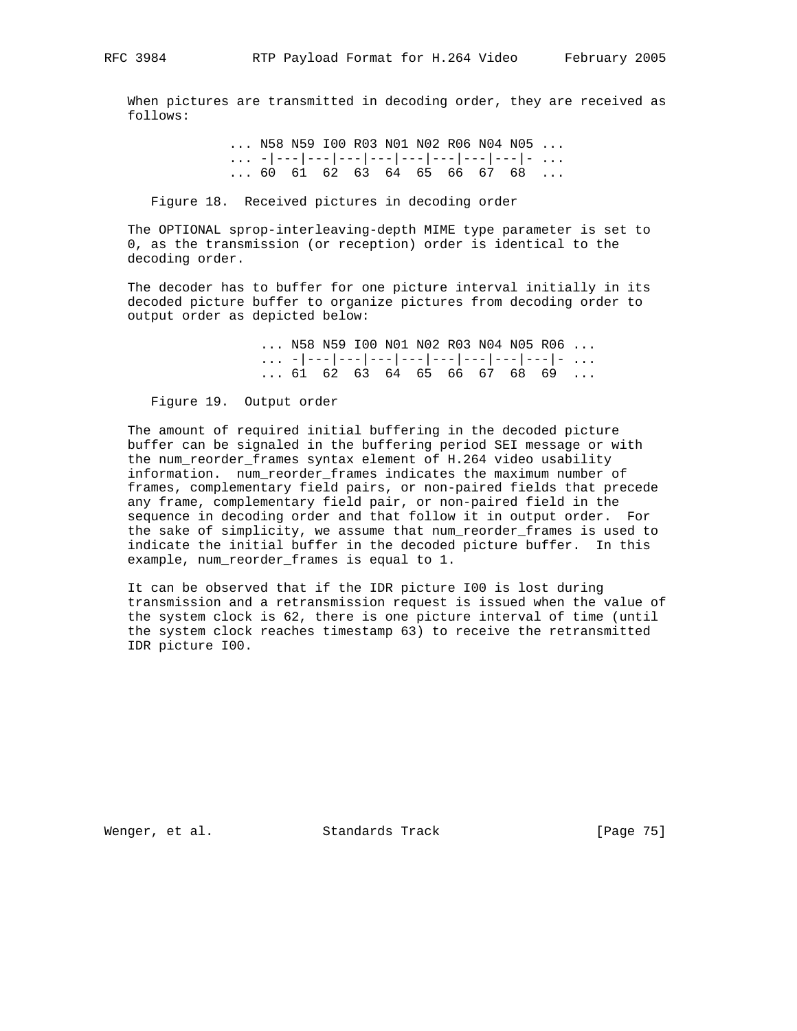When pictures are transmitted in decoding order, they are received as follows:

> ... N58 N59 I00 R03 N01 N02 R06 N04 N05 ... ... -|---|---|---|---|---|---|---|---|- ... ... 60 61 62 63 64 65 66 67 68 ...

Figure 18. Received pictures in decoding order

 The OPTIONAL sprop-interleaving-depth MIME type parameter is set to 0, as the transmission (or reception) order is identical to the decoding order.

 The decoder has to buffer for one picture interval initially in its decoded picture buffer to organize pictures from decoding order to output order as depicted below:

> ... N58 N59 I00 N01 N02 R03 N04 N05 R06 ... ... -|---|---|---|---|---|---|---|---|- ... ... 61 62 63 64 65 66 67 68 69 ...

Figure 19. Output order

 The amount of required initial buffering in the decoded picture buffer can be signaled in the buffering period SEI message or with the num\_reorder\_frames syntax element of H.264 video usability information. num\_reorder\_frames indicates the maximum number of frames, complementary field pairs, or non-paired fields that precede any frame, complementary field pair, or non-paired field in the sequence in decoding order and that follow it in output order. For the sake of simplicity, we assume that num\_reorder\_frames is used to indicate the initial buffer in the decoded picture buffer. In this example, num\_reorder\_frames is equal to 1.

 It can be observed that if the IDR picture I00 is lost during transmission and a retransmission request is issued when the value of the system clock is 62, there is one picture interval of time (until the system clock reaches timestamp 63) to receive the retransmitted IDR picture I00.

Wenger, et al. Standards Track [Page 75]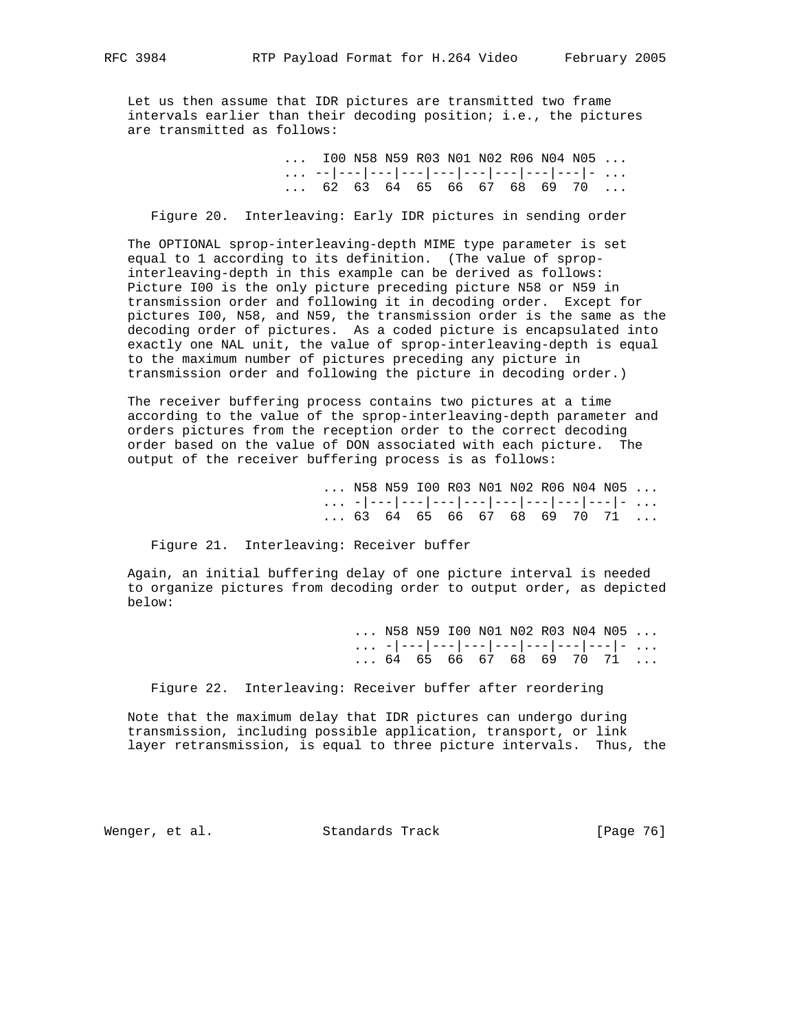Let us then assume that IDR pictures are transmitted two frame intervals earlier than their decoding position; i.e., the pictures are transmitted as follows:

| $\ldots$ 100 N58 N59 R03 N01 N02 R06 N04 N05 $\ldots$ |  |  |  |  |  |
|-------------------------------------------------------|--|--|--|--|--|
|                                                       |  |  |  |  |  |
| $\ldots$ 62 63 64 65 66 67 68 69 70 $\ldots$          |  |  |  |  |  |

Figure 20. Interleaving: Early IDR pictures in sending order

 The OPTIONAL sprop-interleaving-depth MIME type parameter is set equal to 1 according to its definition. (The value of sprop interleaving-depth in this example can be derived as follows: Picture I00 is the only picture preceding picture N58 or N59 in transmission order and following it in decoding order. Except for pictures I00, N58, and N59, the transmission order is the same as the decoding order of pictures. As a coded picture is encapsulated into exactly one NAL unit, the value of sprop-interleaving-depth is equal to the maximum number of pictures preceding any picture in transmission order and following the picture in decoding order.)

 The receiver buffering process contains two pictures at a time according to the value of the sprop-interleaving-depth parameter and orders pictures from the reception order to the correct decoding order based on the value of DON associated with each picture. The output of the receiver buffering process is as follows:

> ... N58 N59 I00 R03 N01 N02 R06 N04 N05 ... ... -|---|---|---|---|---|---|---|---|- ... ... 63 64 65 66 67 68 69 70 71 ...

Figure 21. Interleaving: Receiver buffer

 Again, an initial buffering delay of one picture interval is needed to organize pictures from decoding order to output order, as depicted below:

 ... N58 N59 I00 N01 N02 R03 N04 N05 ... ... -|---|---|---|---|---|---|---|---|- ...  $\ldots$  64 65 66 67 68 69 70 71  $\ldots$ 

Figure 22. Interleaving: Receiver buffer after reordering

 Note that the maximum delay that IDR pictures can undergo during transmission, including possible application, transport, or link layer retransmission, is equal to three picture intervals. Thus, the

Wenger, et al. Standards Track [Page 76]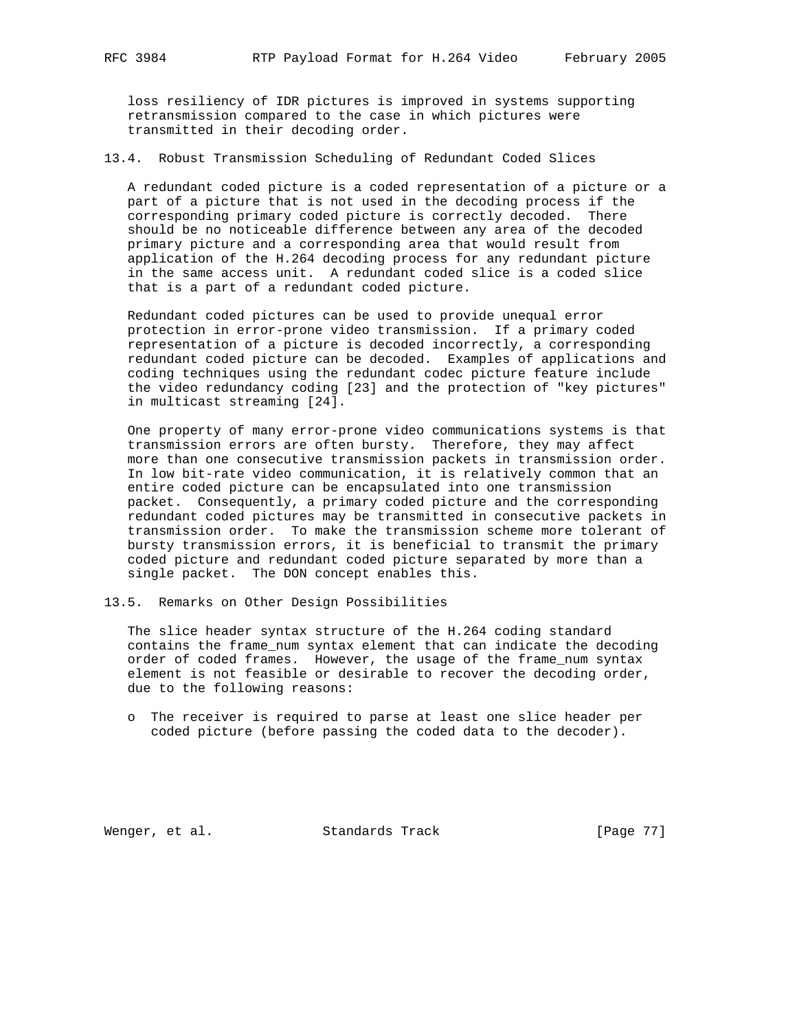loss resiliency of IDR pictures is improved in systems supporting retransmission compared to the case in which pictures were transmitted in their decoding order.

13.4. Robust Transmission Scheduling of Redundant Coded Slices

 A redundant coded picture is a coded representation of a picture or a part of a picture that is not used in the decoding process if the corresponding primary coded picture is correctly decoded. There should be no noticeable difference between any area of the decoded primary picture and a corresponding area that would result from application of the H.264 decoding process for any redundant picture in the same access unit. A redundant coded slice is a coded slice that is a part of a redundant coded picture.

 Redundant coded pictures can be used to provide unequal error protection in error-prone video transmission. If a primary coded representation of a picture is decoded incorrectly, a corresponding redundant coded picture can be decoded. Examples of applications and coding techniques using the redundant codec picture feature include the video redundancy coding [23] and the protection of "key pictures" in multicast streaming [24].

 One property of many error-prone video communications systems is that transmission errors are often bursty. Therefore, they may affect more than one consecutive transmission packets in transmission order. In low bit-rate video communication, it is relatively common that an entire coded picture can be encapsulated into one transmission packet. Consequently, a primary coded picture and the corresponding redundant coded pictures may be transmitted in consecutive packets in transmission order. To make the transmission scheme more tolerant of bursty transmission errors, it is beneficial to transmit the primary coded picture and redundant coded picture separated by more than a single packet. The DON concept enables this.

13.5. Remarks on Other Design Possibilities

 The slice header syntax structure of the H.264 coding standard contains the frame\_num syntax element that can indicate the decoding order of coded frames. However, the usage of the frame\_num syntax element is not feasible or desirable to recover the decoding order, due to the following reasons:

 o The receiver is required to parse at least one slice header per coded picture (before passing the coded data to the decoder).

Wenger, et al. Standards Track [Page 77]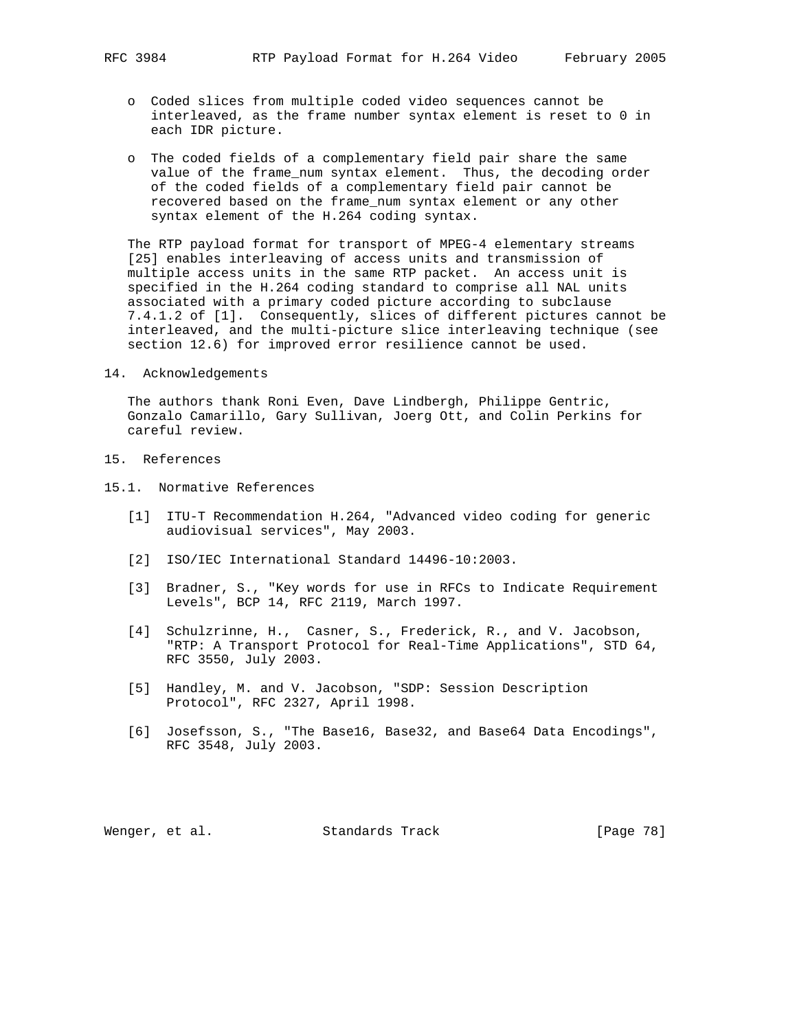- 
- o Coded slices from multiple coded video sequences cannot be interleaved, as the frame number syntax element is reset to 0 in each IDR picture.
- o The coded fields of a complementary field pair share the same value of the frame\_num syntax element. Thus, the decoding order of the coded fields of a complementary field pair cannot be recovered based on the frame\_num syntax element or any other syntax element of the H.264 coding syntax.

 The RTP payload format for transport of MPEG-4 elementary streams [25] enables interleaving of access units and transmission of multiple access units in the same RTP packet. An access unit is specified in the H.264 coding standard to comprise all NAL units associated with a primary coded picture according to subclause 7.4.1.2 of [1]. Consequently, slices of different pictures cannot be interleaved, and the multi-picture slice interleaving technique (see section 12.6) for improved error resilience cannot be used.

14. Acknowledgements

 The authors thank Roni Even, Dave Lindbergh, Philippe Gentric, Gonzalo Camarillo, Gary Sullivan, Joerg Ott, and Colin Perkins for careful review.

- 15. References
- 15.1. Normative References
	- [1] ITU-T Recommendation H.264, "Advanced video coding for generic audiovisual services", May 2003.
	- [2] ISO/IEC International Standard 14496-10:2003.
	- [3] Bradner, S., "Key words for use in RFCs to Indicate Requirement Levels", BCP 14, RFC 2119, March 1997.
	- [4] Schulzrinne, H., Casner, S., Frederick, R., and V. Jacobson, "RTP: A Transport Protocol for Real-Time Applications", STD 64, RFC 3550, July 2003.
	- [5] Handley, M. and V. Jacobson, "SDP: Session Description Protocol", RFC 2327, April 1998.
	- [6] Josefsson, S., "The Base16, Base32, and Base64 Data Encodings", RFC 3548, July 2003.

Wenger, et al. Standards Track [Page 78]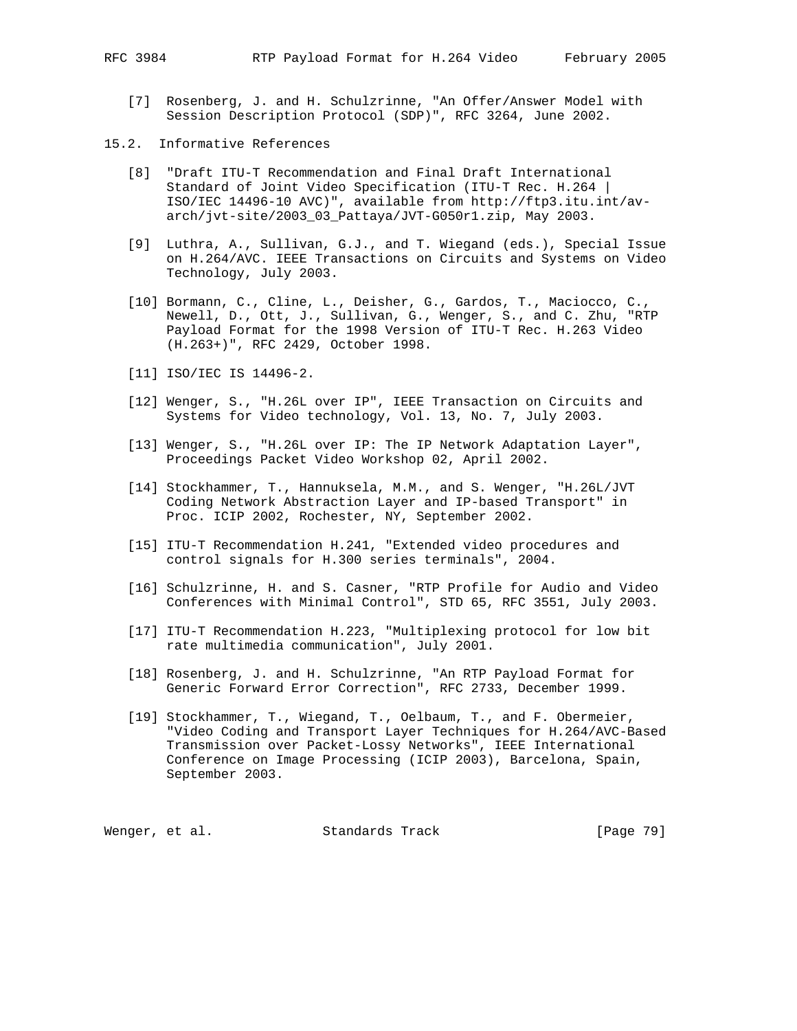- [7] Rosenberg, J. and H. Schulzrinne, "An Offer/Answer Model with Session Description Protocol (SDP)", RFC 3264, June 2002.
- 15.2. Informative References
	- [8] "Draft ITU-T Recommendation and Final Draft International Standard of Joint Video Specification (ITU-T Rec. H.264 | ISO/IEC 14496-10 AVC)", available from http://ftp3.itu.int/av arch/jvt-site/2003\_03\_Pattaya/JVT-G050r1.zip, May 2003.
	- [9] Luthra, A., Sullivan, G.J., and T. Wiegand (eds.), Special Issue on H.264/AVC. IEEE Transactions on Circuits and Systems on Video Technology, July 2003.
	- [10] Bormann, C., Cline, L., Deisher, G., Gardos, T., Maciocco, C., Newell, D., Ott, J., Sullivan, G., Wenger, S., and C. Zhu, "RTP Payload Format for the 1998 Version of ITU-T Rec. H.263 Video (H.263+)", RFC 2429, October 1998.
	- [11] ISO/IEC IS 14496-2.
	- [12] Wenger, S., "H.26L over IP", IEEE Transaction on Circuits and Systems for Video technology, Vol. 13, No. 7, July 2003.
	- [13] Wenger, S., "H.26L over IP: The IP Network Adaptation Layer", Proceedings Packet Video Workshop 02, April 2002.
	- [14] Stockhammer, T., Hannuksela, M.M., and S. Wenger, "H.26L/JVT Coding Network Abstraction Layer and IP-based Transport" in Proc. ICIP 2002, Rochester, NY, September 2002.
	- [15] ITU-T Recommendation H.241, "Extended video procedures and control signals for H.300 series terminals", 2004.
	- [16] Schulzrinne, H. and S. Casner, "RTP Profile for Audio and Video Conferences with Minimal Control", STD 65, RFC 3551, July 2003.
	- [17] ITU-T Recommendation H.223, "Multiplexing protocol for low bit rate multimedia communication", July 2001.
	- [18] Rosenberg, J. and H. Schulzrinne, "An RTP Payload Format for Generic Forward Error Correction", RFC 2733, December 1999.
	- [19] Stockhammer, T., Wiegand, T., Oelbaum, T., and F. Obermeier, "Video Coding and Transport Layer Techniques for H.264/AVC-Based Transmission over Packet-Lossy Networks", IEEE International Conference on Image Processing (ICIP 2003), Barcelona, Spain, September 2003.

Wenger, et al. Standards Track [Page 79]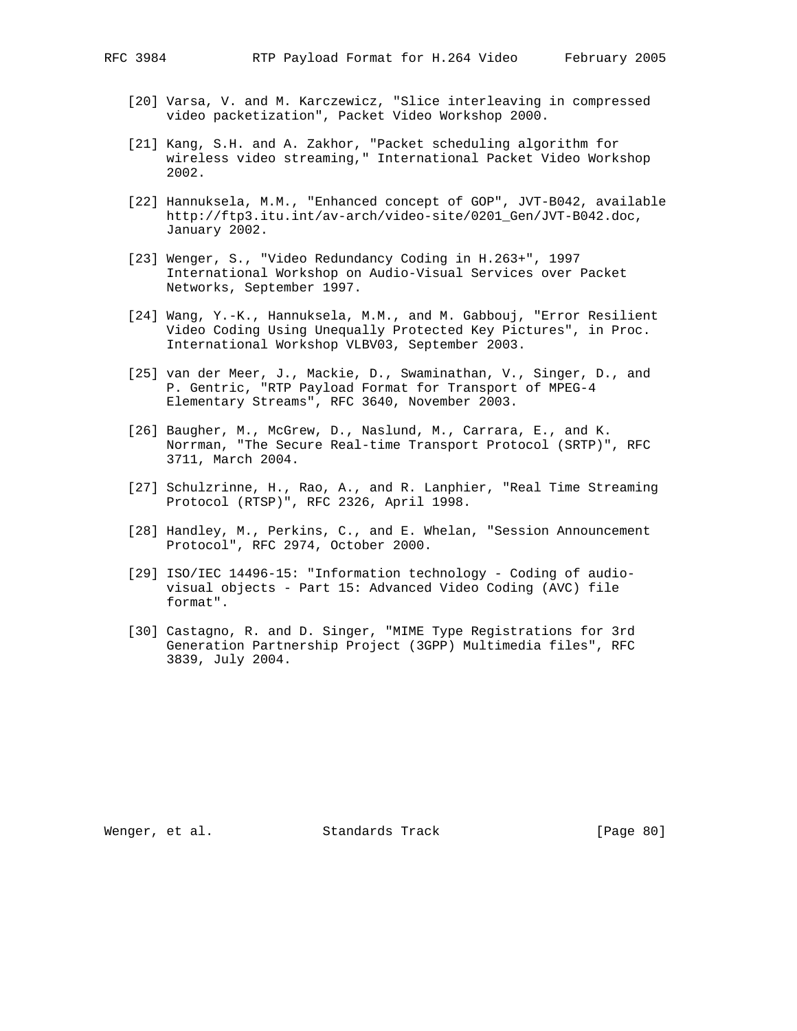- [20] Varsa, V. and M. Karczewicz, "Slice interleaving in compressed video packetization", Packet Video Workshop 2000.
- [21] Kang, S.H. and A. Zakhor, "Packet scheduling algorithm for wireless video streaming," International Packet Video Workshop 2002.
- [22] Hannuksela, M.M., "Enhanced concept of GOP", JVT-B042, available http://ftp3.itu.int/av-arch/video-site/0201\_Gen/JVT-B042.doc, January 2002.
- [23] Wenger, S., "Video Redundancy Coding in H.263+", 1997 International Workshop on Audio-Visual Services over Packet Networks, September 1997.
- [24] Wang, Y.-K., Hannuksela, M.M., and M. Gabbouj, "Error Resilient Video Coding Using Unequally Protected Key Pictures", in Proc. International Workshop VLBV03, September 2003.
- [25] van der Meer, J., Mackie, D., Swaminathan, V., Singer, D., and P. Gentric, "RTP Payload Format for Transport of MPEG-4 Elementary Streams", RFC 3640, November 2003.
- [26] Baugher, M., McGrew, D., Naslund, M., Carrara, E., and K. Norrman, "The Secure Real-time Transport Protocol (SRTP)", RFC 3711, March 2004.
- [27] Schulzrinne, H., Rao, A., and R. Lanphier, "Real Time Streaming Protocol (RTSP)", RFC 2326, April 1998.
- [28] Handley, M., Perkins, C., and E. Whelan, "Session Announcement Protocol", RFC 2974, October 2000.
- [29] ISO/IEC 14496-15: "Information technology Coding of audio visual objects - Part 15: Advanced Video Coding (AVC) file format".
- [30] Castagno, R. and D. Singer, "MIME Type Registrations for 3rd Generation Partnership Project (3GPP) Multimedia files", RFC 3839, July 2004.

Wenger, et al. Standards Track [Page 80]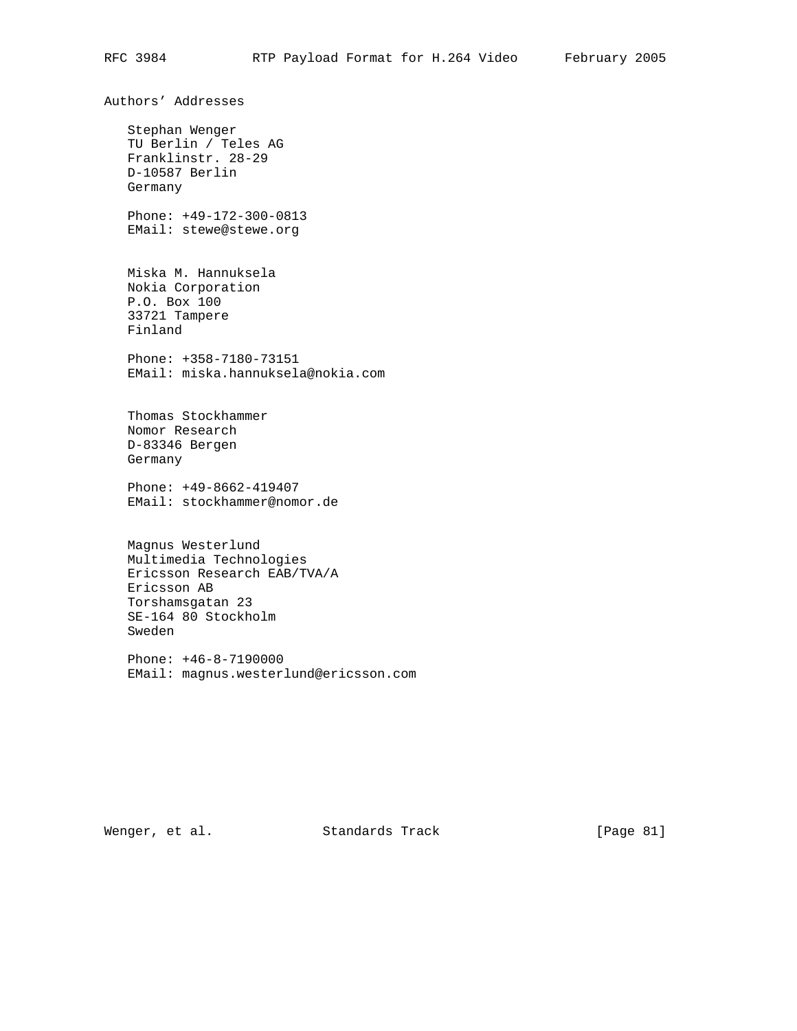Authors' Addresses Stephan Wenger TU Berlin / Teles AG Franklinstr. 28-29 D-10587 Berlin Germany Phone: +49-172-300-0813 EMail: stewe@stewe.org Miska M. Hannuksela Nokia Corporation P.O. Box 100 33721 Tampere Finland Phone: +358-7180-73151 EMail: miska.hannuksela@nokia.com Thomas Stockhammer Nomor Research D-83346 Bergen Germany Phone: +49-8662-419407 EMail: stockhammer@nomor.de Magnus Westerlund Multimedia Technologies Ericsson Research EAB/TVA/A Ericsson AB Torshamsgatan 23 SE-164 80 Stockholm Sweden Phone: +46-8-7190000 EMail: magnus.westerlund@ericsson.com

Wenger, et al. Standards Track [Page 81]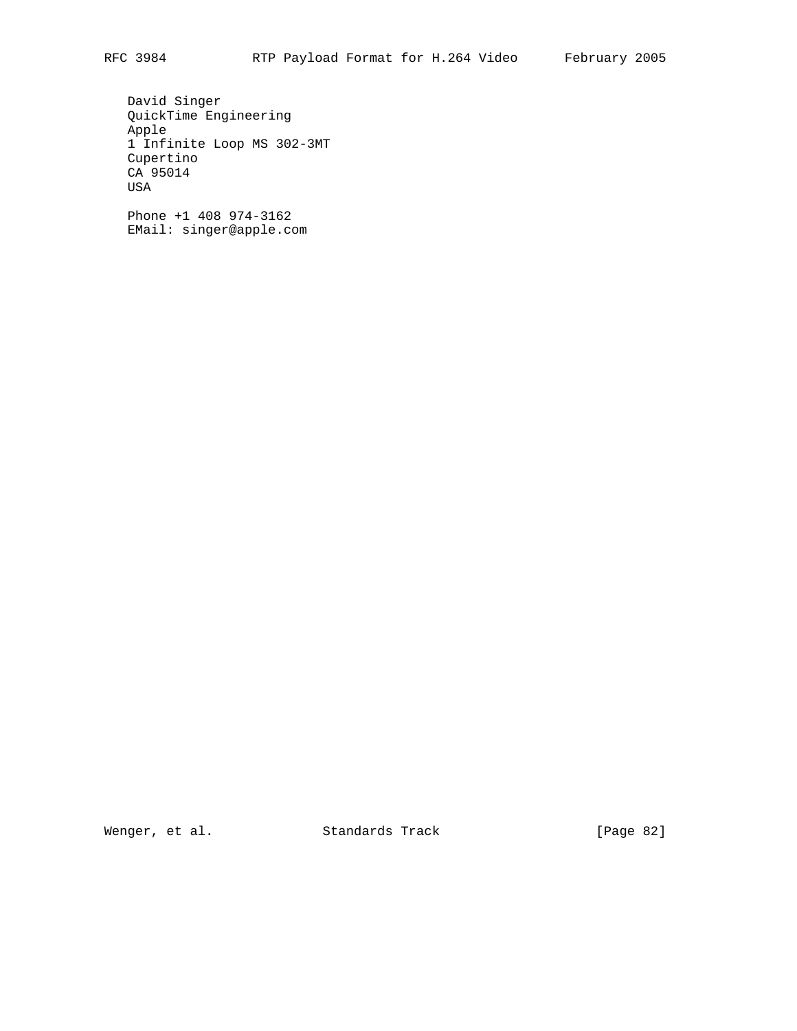David Singer QuickTime Engineering Apple 1 Infinite Loop MS 302-3MT Cupertino CA 95014 USA

 Phone +1 408 974-3162 EMail: singer@apple.com

Wenger, et al. Standards Track [Page 82]